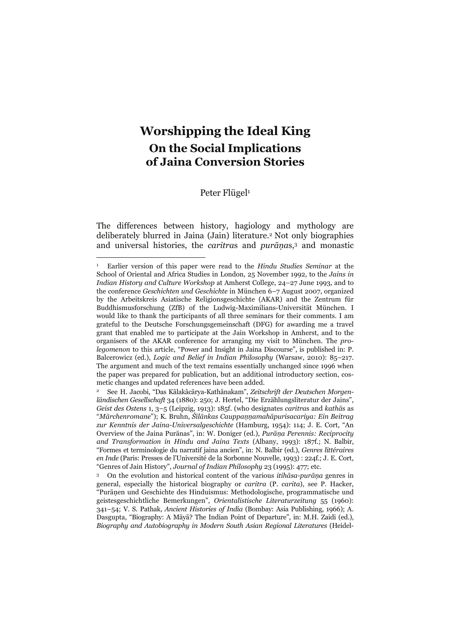# **Worshipping the Ideal King On the Social Implications of Jaina Conversion Stories**

Peter Flügel<sup>1</sup>

The differences between history, hagiology and mythology are deliberately blurred in Jaina (Jain) literature.2 Not only biographies and universal histories, the *caritra*s and *purāṇa*s,3 and monastic

<sup>1</sup> Earlier version of this paper were read to the *Hindu Studies Seminar* at the School of Oriental and Africa Studies in London, 25 November 1992, to the *Jains in Indian History and Culture Workshop* at Amherst College, 24–27 June 1993, and to the conference *Geschichten und Geschichte* in München 6–7 August 2007, organized by the Arbeitskreis Asiatische Religionsgeschichte (AKAR) and the Zentrum für Buddhismusforschung (ZfB) of the Ludwig-Maximilians-Universität München. I would like to thank the participants of all three seminars for their comments. I am grateful to the Deutsche Forschungsgemeinschaft (DFG) for awarding me a travel grant that enabled me to participate at the Jain Workshop in Amherst, and to the organisers of the AKAR conference for arranging my visit to München. The *prolegomenon* to this article, "Power and Insight in Jaina Discourse", is published in: P. Balcerowicz (ed.), *Logic and Belief in Indian Philosophy* (Warsaw, 2010): 85–217. The argument and much of the text remains essentially unchanged since 1996 when the paper was prepared for publication, but an additional introductory section, cosmetic changes and updated references have been added.

<sup>2</sup> See H. Jacobi, "Das Kâlakâcārya-Kathânakam", *Zeitschrift der Deutschen Morgenländischen Gesellschaft* 34 (1880): 250; J. Hertel, "Die Erzählungsliteratur der Jains", *Geist des Ostens* 1, 3–5 (Leipzig, 1913): 185f. (who designates *caritra*s and *kathā*s as "*Märchenromane*"); K. Bruhn, *Śīlānkas Cauppaṇṇamahāpurisacariya: Ein Beitrag zur Kenntnis der Jaina-Universalgeschichte* (Hamburg, 1954): 114; J. E. Cort, "An Overview of the Jaina Purānas", in: W. Doniger (ed.), *Purāṇa Perennis: Reciprocity and Transformation in Hindu and Jaina Texts* (Albany, 1993): 187f.; N. Balbir, "Formes et terminologie du narratif jaina ancien", in: N. Balbir (ed.), *Genres littéraires en Inde* (Paris: Presses de l'Université de la Sorbonne Nouvelle, 1993) : 224f.; J. E. Cort, "Genres of Jain History", *Journal of Indian Philosophy* 23 (1995): 477; etc.

<sup>3</sup> On the evolution and historical content of the various *itihāsa-purāṇa* genres in general, especially the historical biography or *caritra* (P. *carita*), see P. Hacker, "Purāṇen und Geschichte des Hinduismus: Methodologische, programmatische und geistesgeschichtliche Bemerkungen", *Orientalistische Literaturzeitung* 55 (1960): 341–54; V. S. Pathak, *Ancient Histories of India* (Bombay: Asia Publishing, 1966); A. Dasgupta, "Biography: A Māyā? The Indian Point of Departure", in: M.H. Zaidi (ed.), *Biography and Autobiography in Modern South Asian Regional Literatures* (Heidel-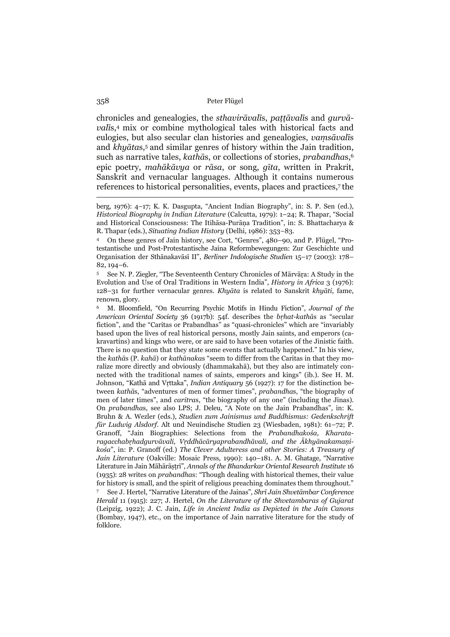chronicles and genealogies, the *sthavirāvalī*s, *paṭṭāvalī*s and *gurvāvalī*s,4 mix or combine mythological tales with historical facts and eulogies, but also secular clan histories and genealogies, *vaṃsāvalī*s and *khyāta*s,5 and similar genres of history within the Jain tradition, such as narrative tales, *kathā*s, or collections of stories, *prabandha*s,6 epic poetry, *mahākāvya* or *rāsa*, or song, *gīta*, written in Prakrit, Sanskrit and vernacular languages. Although it contains numerous references to historical personalities, events, places and practices,7 the

berg, 1976): 4–17; K. K. Dasgupta, "Ancient Indian Biography", in: S. P. Sen (ed.), *Historical Biography in Indian Literature* (Calcutta, 1979): 1–24; R. Thapar, "Social and Historical Consciousness: The Itihāsa-Purāṇa Tradition", in: S. Bhattacharya & R. Thapar (eds.), *Situating Indian History* (Delhi, 1986): 353–83.

<sup>4</sup> On these genres of Jain history, see Cort, "Genres", 480–90, and P. Flügel, "Protestantische und Post-Protestantische Jaina Reformbewegungen: Zur Geschichte und Organisation der Sthānakavāsī II", *Berliner Indologische Studien* 15–17 (2003): 178– 82, 194–6.

<sup>5</sup> See N. P. Ziegler, "The Seventeenth Century Chronicles of Mārvāṛa: A Study in the Evolution and Use of Oral Traditions in Western India", *History in Africa* 3 (1976): 128–31 for further vernacular genres. *Khyāta* is related to Sanskrit *khyāti*, fame, renown, glory.

<sup>6</sup> M. Bloomfield, "On Recurring Psychic Motifs in Hindu Fiction", *Journal of the American Oriental Society* 36 (1917b): 54f. describes the *bṛhat-kathā*s as "secular fiction", and the "Caritas or Prabandhas" as "quasi-chronicles" which are "invariably based upon the lives of real historical persons, mostly Jain saints, and emperors (cakravartins) and kings who were, or are said to have been votaries of the Jinistic faith. There is no question that they state some events that actually happened." In his view, the *kathā*s (P. *kahā*) or *kathānaka*s "seem to differ from the Caritas in that they moralize more directly and obviously (dhammakahā), but they also are intimately connected with the traditional names of saints, emperors and kings" (ib.). See H. M. Johnson, "Kathā and Vṛttaka", *Indian Antiquary* 56 (1927): 17 for the distinction between *kathā*s, "adventures of men of former times", *prabandha*s, "the biography of men of later times", and *caritra*s, "the biography of any one" (including the Jinas). On *prabandha*s, see also LPS; J. Deleu, "A Note on the Jain Prabandhas", in: K. Bruhn & A. Wezler (eds.), *Studien zum Jainismus und Buddhismus: Gedenkschrift für Ludwig Alsdorf*. Alt und Neuindische Studien 23 (Wiesbaden, 1981): 61–72; P. Granoff, "Jain Biographies: Selections from the *Prabandhakośa, Kharataragacchabṛhadgurvāvali, Vṛddhācāryaprabandhāvali, and the Ākhyānakamaṇikośa*", in: P. Granoff (ed.) *The Clever Adulteress and other Stories: A Treasury of Jain Literature* (Oakville: Mosaic Press, 1990): 140–181. A. M. Ghatage, "Narrative Literature in Jain Māhārāṣṭrī", *Annals of the Bhandarkar Oriental Research Institute* 16 (1935): 28 writes on *prabandha*s: "Though dealing with historical themes, their value for history is small, and the spirit of religious preaching dominates them throughout."

<sup>7</sup> See J. Hertel, "Narrative Literature of the Jainas", *Shrī Jain Shvetāmbar Conference Herald* 11 (1915): 227; J. Hertel, *On the Literature of the Shvetambaras of Gujarat* (Leipzig, 1922); J. C. Jain, *Life in Ancient India as Depicted in the Jain Canons* (Bombay, 1947), etc., on the importance of Jain narrative literature for the study of folklore.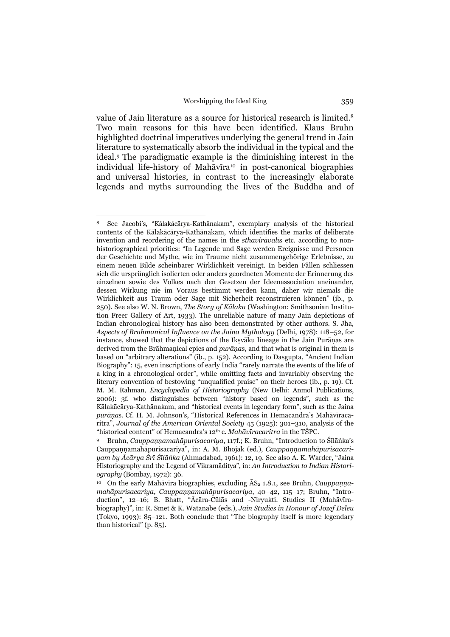value of Jain literature as a source for historical research is limited.8 Two main reasons for this have been identified. Klaus Bruhn highlighted doctrinal imperatives underlying the general trend in Jain literature to systematically absorb the individual in the typical and the ideal.9 The paradigmatic example is the diminishing interest in the individual life-history of Mahāvīra<sup>10</sup> in post-canonical biographies and universal histories, in contrast to the increasingly elaborate legends and myths surrounding the lives of the Buddha and of

<sup>8</sup> See Jacobi's, "Kâlakâcārya-Kathânakam", exemplary analysis of the historical contents of the Kālakācārya-Kathānakam, which identifies the marks of deliberate invention and reordering of the names in the *sthavirāvalī*s etc. according to nonhistoriographical priorities: "In Legende und Sage werden Ereignisse und Personen der Geschichte und Mythe, wie im Traume nicht zusammengehörige Erlebnisse, zu einem neuen Bilde scheinbarer Wirklichkeit vereinigt. In beiden Fällen schliessen sich die ursprünglich isolierten oder anders geordneten Momente der Erinnerung des einzelnen sowie des Volkes nach den Gesetzen der Ideenassociation aneinander, dessen Wirkung nie im Voraus bestimmt werden kann, daher wir niemals die Wirklichkeit aus Traum oder Sage mit Sicherheit reconstruieren können" (ib., p. 250). See also W. N. Brown, *The Story of Kālaka* (Washington: Smithsonian Institution Freer Gallery of Art, 1933). The unreliable nature of many Jain depictions of Indian chronological history has also been demonstrated by other authors. S. Jha, *Aspects of Brahmanical Influence on the Jaina Mythology* (Delhi, 1978): 118–52, for instance, showed that the depictions of the Iksvāku lineage in the Jain Purānas are derived from the Brāhmaṇical epics and *purāṇa*s, and that what is original in them is based on "arbitrary alterations" (ib., p. 152). According to Dasgupta, "Ancient Indian Biography": 15, even inscriptions of early India "rarely narrate the events of the life of a king in a chronological order", while omitting facts and invariably observing the literary convention of bestowing "unqualified praise" on their heroes (ib., p. 19). Cf. M. M. Rahman, *Encyclopedia of Historiography* (New Delhi: Anmol Publications, 2006): 3f. who distinguishes between "history based on legends", such as the Kālakācārya-Kathānakam, and "historical events in legendary form", such as the Jaina *purāṇa*s. Cf. H. M. Johnson's, "Historical References in Hemacandra's Mahāvīracaritra", *Journal of the American Oriental Society* 45 (1925): 301–310, analysis of the "historical content" of Hemacandra's 12th c. *Mahāvīracaritra* in the TŚPC.

<sup>9</sup> Bruhn, *Cauppaṇṇamahāpurisacariya*, 117f.; K. Bruhn, "Introduction to Śīlāṅka's Cauppaṇṇamahāpurisacariya", in: A. M. Bhojak (ed.), *Cauppaṇṇamahāpurisacariyam by Ācārya Śrī Śīlāṅka* (Ahmadabad, 1961): 12, 19. See also A. K. Warder, "Jaina Historiography and the Legend of Vikramāditya", in: *An Introduction to Indian Historiography* (Bombay, 1972): 36.

<sup>&</sup>lt;sup>10</sup> On the early Mahāvīra biographies, excluding  $\overline{A}S_2$  1.8.1, see Bruhn, *Cauppannamahāpurisacariya*, *Cauppaṇṇamahāpurisacariya*, 40–42, 115–17; Bruhn, "Introduction", 12–16; B. Bhatt, "Ācāra-Cūlās and -Niryukti. Studies II (Mahāvīrabiography)", in: R. Smet & K. Watanabe (eds.), *Jain Studies in Honour of Jozef Deleu* (Tokyo, 1993): 85–121. Both conclude that "The biography itself is more legendary than historical" (p. 85).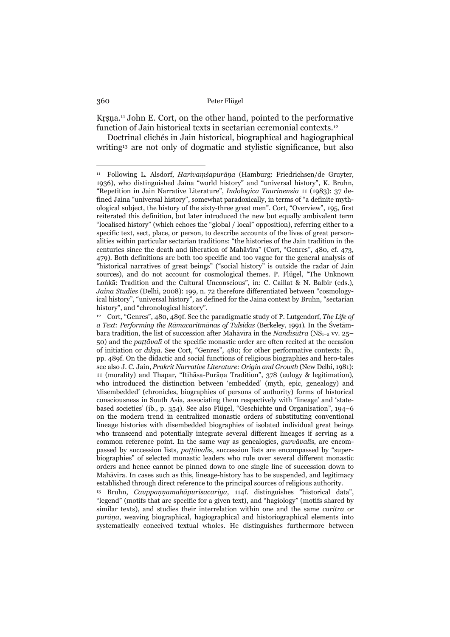Kṛṣṇa.11 John E. Cort, on the other hand, pointed to the performative function of Jain historical texts in sectarian ceremonial contexts.12

 Doctrinal clichés in Jain historical, biographical and hagiographical writing13 are not only of dogmatic and stylistic significance, but also

13 Bruhn, *Cauppaṇṇamahāpurisacariya*, 114f. distinguishes "historical data", "legend" (motifs that are specific for a given text), and "hagiology" (motifs shared by similar texts), and studies their interrelation within one and the same *caritra* or *purāṇa*, weaving biographical, hagiographical and historiographical elements into systematically conceived textual wholes. He distinguishes furthermore between

<sup>11</sup> Following L. Alsdorf, *Harivaṃśapurāṇa* (Hamburg: Friedrichsen/de Gruyter, 1936), who distinguished Jaina "world history" and "universal history", K. Bruhn, "Repetition in Jain Narrative Literature", *Indologica Taurinensia* 11 (1983): 37 defined Jaina "universal history", somewhat paradoxically, in terms of "a definite mythological subject, the history of the sixty-three great men". Cort, "Overview", 195, first reiterated this definition, but later introduced the new but equally ambivalent term "localised history" (which echoes the "global / local" opposition), referring either to a specific text, sect, place, or person, to describe accounts of the lives of great personalities within particular sectarian traditions: "the histories of the Jain tradition in the centuries since the death and liberation of Mahāvīra" (Cort, "Genres", 480, cf. 473, 479). Both definitions are both too specific and too vague for the general analysis of "historical narratives of great beings" ("social history" is outside the radar of Jain sources), and do not account for cosmological themes. P. Flügel, "The Unknown Loṅkā: Tradition and the Cultural Unconscious", in: C. Caillat & N. Balbir (eds.), *Jaina Studies* (Delhi, 2008): 199, n. 72 therefore differentiated between "cosmologyical history", "universal history", as defined for the Jaina context by Bruhn, "sectarian history", and "chronological history".

<sup>12</sup> Cort, "Genres", 480, 489f. See the paradigmatic study of P. Lutgendorf, *The Life of a Text: Performing the Rāmacaritmānas of Tulsidas* (Berkeley, 1991). In the Śvetāmbara tradition, the list of succession after Mahāvīra in the *Nandīsūtra* (NS1–2 vv. 25– 50) and the *paṭṭāvalī* of the specific monastic order are often recited at the occasion of initiation or *dīkṣā*. See Cort, "Genres", 480; for other performative contexts: ib., pp. 489f. On the didactic and social functions of religious biographies and hero-tales see also J. C. Jain, *Prakrit Narrative Literature: Origin and Growth* (New Delhi, 1981): 11 (morality) and Thapar, "Itihāsa-Purāṇa Tradition", 378 (eulogy & legitimation), who introduced the distinction between 'embedded' (myth, epic, genealogy) and 'disembedded' (chronicles, biographies of persons of authority) forms of historical consciousness in South Asia, associating them respectively with 'lineage' and 'statebased societies' (ib., p. 354). See also Flügel, "Geschichte und Organisation", 194–6 on the modern trend in centralized monastic orders of substituting conventional lineage histories with disembedded biographies of isolated individual great beings who transcend and potentially integrate several different lineages if serving as a common reference point. In the same way as genealogies, *gurvāvalī*s, are encompassed by succession lists, *paṭṭāvalī*s, succession lists are encompassed by "superbiographies" of selected monastic leaders who rule over several different monastic orders and hence cannot be pinned down to one single line of succession down to Mahāvīra. In cases such as this, lineage-history has to be suspended, and legitimacy established through direct reference to the principal sources of religious authority.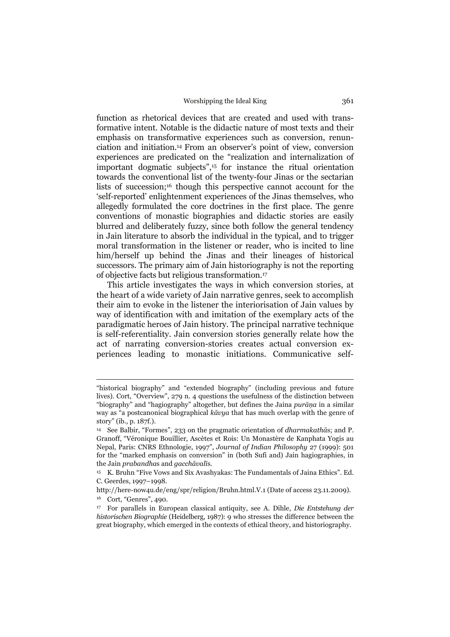function as rhetorical devices that are created and used with transformative intent. Notable is the didactic nature of most texts and their emphasis on transformative experiences such as conversion, renunciation and initiation.14 From an observer's point of view, conversion experiences are predicated on the "realization and internalization of important dogmatic subjects",15 for instance the ritual orientation towards the conventional list of the twenty-four Jinas or the sectarian lists of succession;16 though this perspective cannot account for the 'self-reported' enlightenment experiences of the Jinas themselves, who allegedly formulated the core doctrines in the first place. The genre conventions of monastic biographies and didactic stories are easily blurred and deliberately fuzzy, since both follow the general tendency in Jain literature to absorb the individual in the typical, and to trigger moral transformation in the listener or reader, who is incited to line him/herself up behind the Jinas and their lineages of historical successors. The primary aim of Jain historiography is not the reporting of objective facts but religious transformation.17

 This article investigates the ways in which conversion stories, at the heart of a wide variety of Jain narrative genres, seek to accomplish their aim to evoke in the listener the interiorisation of Jain values by way of identification with and imitation of the exemplary acts of the paradigmatic heroes of Jain history. The principal narrative technique is self-referentiality. Jain conversion stories generally relate how the act of narrating conversion-stories creates actual conversion experiences leading to monastic initiations. Communicative self-

<sup>&</sup>quot;historical biography" and "extended biography" (including previous and future lives). Cort, "Overview", 279 n. 4 questions the usefulness of the distinction between "biography" and "hagiography" altogether, but defines the Jaina *purāṇa* in a similar way as "a postcanonical biographical *kāvya* that has much overlap with the genre of story" (ib., p. 187f.).

<sup>14</sup> See Balbir, "Formes", 233 on the pragmatic orientation of *dharmakathā*s; and P. Granoff, "Véronique Bouillier, Ascètes et Rois: Un Monastère de Kanphata Yogis au Nepal, Paris: CNRS Ethnologie, 1997", *Journal of Indian Philosophy* 27 (1999): 501 for the "marked emphasis on conversion" in (both Sufi and) Jain hagiographies, in the Jain *prabandha*s and *gacchāvalī*s.

<sup>15</sup> K. Bruhn "Five Vows and Six Avashyakas: The Fundamentals of Jaina Ethics". Ed. C. Geerdes, 1997–1998.

http://here-now4u.de/eng/spr/religion/Bruhn.html.V.1 (Date of access 23.11.2009). 16 Cort, "Genres", 490.

<sup>17</sup> For parallels in European classical antiquity, see A. Dihle, *Die Entstehung der historischen Biographie* (Heidelberg, 1987): 9 who stresses the difference between the great biography, which emerged in the contexts of ethical theory, and historiography.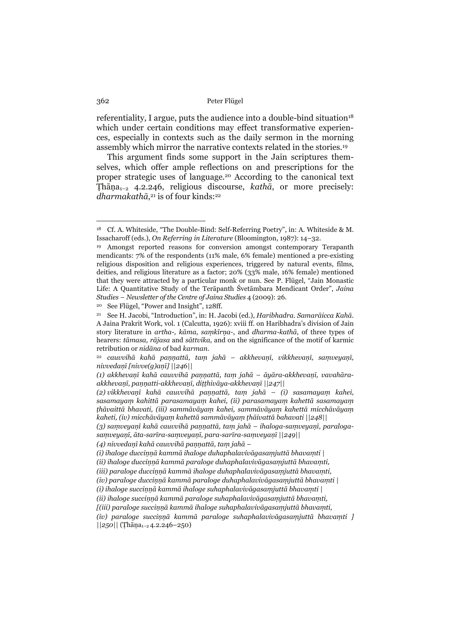referentiality, I argue, puts the audience into a double-bind situation<sup>18</sup> which under certain conditions may effect transformative experiences, especially in contexts such as the daily sermon in the morning assembly which mirror the narrative contexts related in the stories.19

 This argument finds some support in the Jain scriptures themselves, which offer ample reflections on and prescriptions for the proper strategic uses of language.20 According to the canonical text Ṭhāṇa1–2 4.2.246, religious discourse, *kathā*, or more precisely: *dharmakathā*, 21 is of four kinds:22

20 See Flügel, "Power and Insight", 128ff.

<sup>18</sup> Cf. A. Whiteside, "The Double-Bind: Self-Referring Poetry", in: A. Whiteside & M. Issacharoff (eds.), *On Referring in Literature* (Bloomington, 1987): 14–32.

<sup>&</sup>lt;sup>19</sup> Amongst reported reasons for conversion amongst contemporary Terapanth mendicants: 7% of the respondents (11% male, 6% female) mentioned a pre-existing religious disposition and religious experiences, triggered by natural events, films, deities, and religious literature as a factor; 20% (33% male, 16% female) mentioned that they were attracted by a particular monk or nun. See P. Flügel, "Jain Monastic Life: A Quantitative Study of the Terāpanth Śvetāmbara Mendicant Order", *Jaina Studies – Newsletter of the Centre of Jaina Studies* 4 (2009): 26.

<sup>21</sup> See H. Jacobi, "Introduction", in: H. Jacobi (ed.), *Haribhadra. Samarāicca Kahā*. A Jaina Prakrit Work, vol. 1 (Calcutta, 1926): xviii ff. on Haribhadra's division of Jain story literature in *artha-, kāma, saṃkīrṇa*-, and *dharma-kathā*, of three types of hearers: *tāmasa, rājasa* and *sāttvika*, and on the significance of the motif of karmic retribution or *nidāna* of bad *karman*.

<sup>22</sup> *cauvvihā kahā paṇṇattā, taṃ jahā – akkhevaṇī, vikkhevaṇī, saṃveyaṇī, nivvedaṇī [nivve(g)aṇī] ||246||* 

<sup>(1)</sup> akkhevanī kahā cauvvihā pannattā, tam jahā – āyāra-akkhevanī, vavahāra*akkhevaṇī, paṇṇatti-akkhevaṇī, diṭṭhivāya-akkhevaṇī ||247||* 

*<sup>(2)</sup> vikkhevaṇī kahā cauvvihā paṇṇattā, taṃ jahā – (i) sasamayaṃ kahei, sasamayaṃ kahittā parasamayaṃ kahei, (ii) parasamayaṃ kahettā sasamayaṃ* thāvaittā bhavati, (iii) sammāvāyam kahei, sammāvāyam kahettā micchāvāyam *kaheti, (iv) micchāvāyaṃ kahettā sammāvāyaṃ ṭhāivattā bahavati ||248||* 

<sup>(3)</sup> samveyanī kahā cauvvihā paņņattā, tam jahā – ihaloga-samveyanī, paraloga*saṃveyaṇī, āta-sarīra-saṃveyaṇī, para-sarīra-saṃveyaṇī ||249||* 

*<sup>(4)</sup> nivvedaṇī kahā cauvvihā paṇṇattā, taṃ jahā –* 

*<sup>(</sup>i) ihaloge ducciṇṇā kammā ihaloge duhaphalavivāgasaṃjuttā bhavaṃti |* 

*<sup>(</sup>ii) ihaloge ducciṇṇā kammā paraloge duhaphalavivāgasaṃjuttā bhavaṃti,* 

*<sup>(</sup>iii) paraloge ducciṇṇā kammā ihaloge duhaphalavivāgasaṃjuttā bhavaṃti,* 

*<sup>(</sup>iv) paraloge ducciṇṇā kammā paraloge duhaphalavivāgasaṃjuttā bhavaṃti |* 

*<sup>(</sup>i) ihaloge succiṇṇā kammā ihaloge suhaphalavivāgasaṃjuttā bhavaṃti |* 

*<sup>(</sup>ii) ihaloge succiṇṇā kammā paraloge suhaphalavivāgasaṃjuttā bhavaṃti,* 

*<sup>[(</sup>iii) paraloge succiṇṇā kammā ihaloge suhaphalavivāgasaṃjuttā bhavaṃti,* 

*<sup>(</sup>iv) paraloge succiṇṇā kammā paraloge suhaphalavivāgasaṃjuttā bhavaṃti ] ||250||* (Ṭhāṇa1–2 4.2.246–250)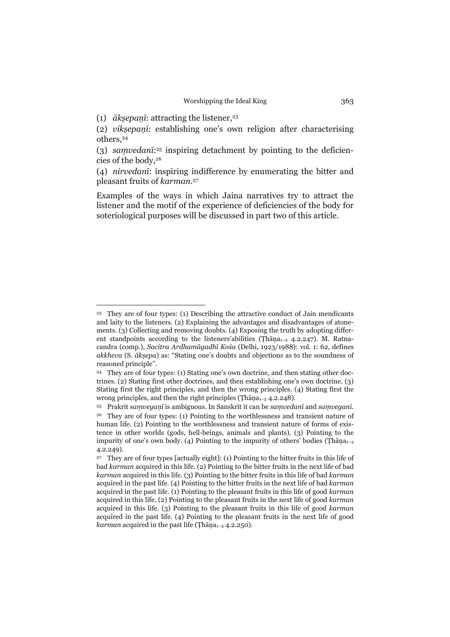(1)  $\bar{a}$ *ksepani*: attracting the listener,<sup>23</sup>

 $\overline{a}$ 

(2) *vikṣepaṇī*: establishing one's own religion after characterising others,24

(3) *saṃvedanī*:25 inspiring detachment by pointing to the deficiencies of the body,26

(4) *nirvedanī*: inspiring indifference by enumerating the bitter and pleasant fruits of *karman*. 27

Examples of the ways in which Jaina narratives try to attract the listener and the motif of the experience of deficiencies of the body for soteriological purposes will be discussed in part two of this article.

<sup>23</sup> They are of four types: (1) Describing the attractive conduct of Jain mendicants and laity to the listeners. (2) Explaining the advantages and disadvantages of atonements. (3) Collecting and removing doubts. (4) Exposing the truth by adopting different standpoints according to the listeners'abilities (Thāṇa<sub>1-2</sub> 4.2.247). M. Ratnacandra (comp.), *Sacitra Ardhamāgadhī Kośa* (Delhi, 1923/1988): vol. 1: 62, defines *akkheva* (S. *ākṣepa*) as: "Stating one's doubts and objections as to the soundness of reasoned principle".

<sup>24</sup> They are of four types: (1) Stating one's own doctrine, and then stating other doctrines. (2) Stating first other doctrines, and then establishing one's own doctrine. (3) Stating first the right principles, and then the wrong principles. (4) Stating first the wrong principles, and then the right principles (Thāṇa<sub>1-2</sub> 4.2.248).

<sup>25</sup> Prakrit *saṃveyaṇī* is ambiguous. In Sanskrit it can be *saṃvedanī* and *saṃveganī*. 26 They are of four types: (1) Pointing to the worthlessness and transient nature of human life. (2) Pointing to the worthlessness and transient nature of forms of existence in other worlds (gods, hell-beings, animals and plants). (3) Pointing to the impurity of one's own body. (4) Pointing to the impurity of others' bodies (Thāṇa<sub>1-2</sub> 4.2.249).

<sup>27</sup> They are of four types [actually eight]: (1) Pointing to the bitter fruits in this life of bad *karman* acquired in this life. (2) Pointing to the bitter fruits in the next life of bad *karman* acquired in this life. (3) Pointing to the bitter fruits in this life of bad *karman* acquired in the past life. (4) Pointing to the bitter fruits in the next life of bad *karman*  acquired in the past life. (1) Pointing to the pleasant fruits in this life of good *karman* acquired in this life. (2) Pointing to the pleasant fruits in the next life of good *karman* acquired in this life. (3) Pointing to the pleasant fruits in this life of good *karman* acquired in the past life. (4) Pointing to the pleasant fruits in the next life of good *karman* acquired in the past life (Thāṇa<sub>1-2</sub> 4.2.250).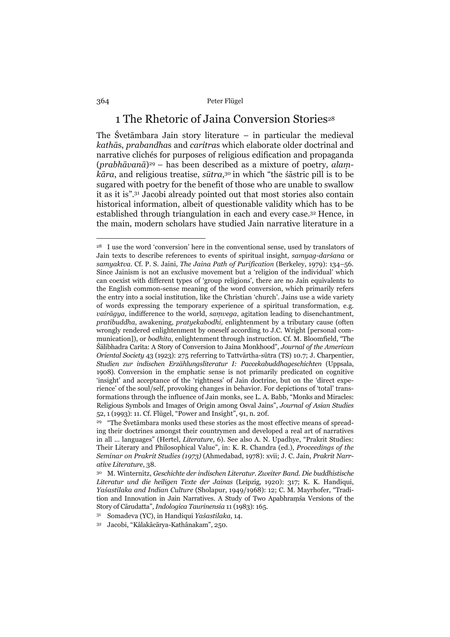## 1 The Rhetoric of Jaina Conversion Stories<sup>28</sup>

The Śvetāmbara Jain story literature – in particular the medieval *kathā*s, *prabandha*s and *caritra*s which elaborate older doctrinal and narrative clichés for purposes of religious edification and propaganda (*prabhāvanā*)29 – has been described as a mixture of poetry, *alaṃkāra*, and religious treatise, *sūtra*, 30 in which "the śāstric pill is to be sugared with poetry for the benefit of those who are unable to swallow it as it is".31 Jacobi already pointed out that most stories also contain historical information, albeit of questionable validity which has to be established through triangulation in each and every case.32 Hence, in the main, modern scholars have studied Jain narrative literature in a

<sup>&</sup>lt;sup>28</sup> I use the word 'conversion' here in the conventional sense, used by translators of Jain texts to describe references to events of spiritual insight, *samyag-darśana* or *samyaktva*. Cf. P. S. Jaini, *The Jaina Path of Purification* (Berkeley, 1979): 134–56. Since Jainism is not an exclusive movement but a 'religion of the individual' which can coexist with different types of 'group religions', there are no Jain equivalents to the English common-sense meaning of the word conversion, which primarily refers the entry into a social institution, like the Christian 'church'. Jains use a wide variety of words expressing the temporary experience of a spiritual transformation, e.g. *vairāgya*, indifference to the world, *saṃvega*, agitation leading to disenchantment, *pratibuddha*, awakening, *pratyekabodhi,* enlightenment by a tributary cause (often wrongly rendered enlightenment by oneself according to J.C. Wright [personal communication]), or *bodhita*, enlightenment through instruction. Cf. M. Bloomfield, "The Śālibhadra Carita: A Story of Conversion to Jaina Monkhood", *Journal of the American Oriental Society* 43 (1923): 275 referring to Tattvārtha-sūtra (TS) 10.7; J. Charpentier, *Studien zur indischen Erzählungsliteratur I: Paccekabuddhageschichten* (Uppsala, 1908). Conversion in the emphatic sense is not primarily predicated on cognitive 'insight' and acceptance of the 'rightness' of Jain doctrine, but on the 'direct experience' of the soul/self, provoking changes in behavior. For depictions of 'total' transformations through the influence of Jain monks, see L. A. Babb, "Monks and Miracles: Religious Symbols and Images of Origin among Osval Jains", *Journal of Asian Studies* 52, 1 (1993): 11. Cf. Flügel, "Power and Insight", 91, n. 20f.

<sup>&</sup>lt;sup>29</sup> "The Śvetāmbara monks used these stories as the most effective means of spreading their doctrines amongst their countrymen and developed a real art of narratives in all ... languages" (Hertel, *Literature*, 6). See also A. N. Upadhye, "Prakrit Studies: Their Literary and Philosophical Value", in: K. R. Chandra (ed.), *Proceedings of the Seminar on Prakrit Studies (1973)* (Ahmedabad, 1978): xvii; J. C. Jain, *Prakrit Narrative Literature*, 38.

<sup>30</sup> M. Winternitz, *Geschichte der indischen Literatur. Zweiter Band. Die buddhistische Literatur und die heiligen Texte der Jainas* (Leipzig, 1920): 317; K. K. Handiqui, *Yaśastilaka and Indian Culture* (Sholapur, 1949/1968): 12; C. M. Mayrhofer, "Tradition and Innovation in Jain Narratives. A Study of Two Apabhraṃśa Versions of the Story of Cārudatta", *Indologica Taurinensia* 11 (1983): 165.

<sup>31</sup> Somadeva (YC), in Handiqui *Yaśastilaka*, 14.

<sup>32</sup> Jacobi, "Kâlakâcārya-Kathânakam", 250.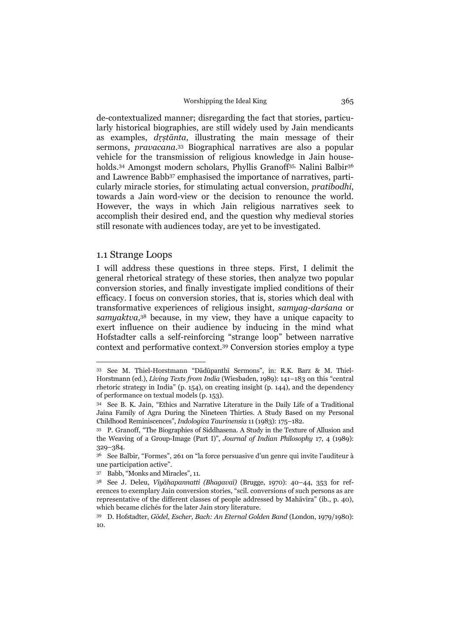de-contextualized manner; disregarding the fact that stories, particularly historical biographies, are still widely used by Jain mendicants as examples, *dṛṣtānta*, illustrating the main message of their sermons, *pravacana*.33 Biographical narratives are also a popular vehicle for the transmission of religious knowledge in Jain households.<sup>34</sup> Amongst modern scholars, Phyllis Granoff<sup>35,</sup> Nalini Balbir<sup>36</sup> and Lawrence Babb37 emphasised the importance of narratives, particularly miracle stories, for stimulating actual conversion, *pratibodhi*, towards a Jain word-view or the decision to renounce the world. However, the ways in which Jain religious narratives seek to accomplish their desired end, and the question why medieval stories still resonate with audiences today, are yet to be investigated.

## 1.1 Strange Loops

 $\overline{a}$ 

I will address these questions in three steps. First, I delimit the general rhetorical strategy of these stories, then analyze two popular conversion stories, and finally investigate implied conditions of their efficacy. I focus on conversion stories, that is, stories which deal with transformative experiences of religious insight, *samyag-darśana* or *samyaktva*,38 because, in my view, they have a unique capacity to exert influence on their audience by inducing in the mind what Hofstadter calls a self-reinforcing "strange loop" between narrative context and performative context.39 Conversion stories employ a type

<sup>33</sup> See M. Thiel-Horstmann "Dādūpanthī Sermons", in: R.K. Barz & M. Thiel-Horstmann (ed.), *Living Texts from India* (Wiesbaden, 1989): 141–183 on this "central rhetoric strategy in India" (p. 154), on creating insight (p. 144), and the dependency of performance on textual models (p. 153).

<sup>34</sup> See B. K. Jain, "Ethics and Narrative Literature in the Daily Life of a Traditional Jaina Family of Agra During the Nineteen Thirties. A Study Based on my Personal Childhood Reminiscences", *Indologica Taurinensia* 11 (1983): 175–182.

<sup>35</sup> P. Granoff, "The Biographies of Siddhasena. A Study in the Texture of Allusion and the Weaving of a Group-Image (Part I)", *Journal of Indian Philosophy* 17, 4 (1989): 329–384.

<sup>36</sup> See Balbir, "Formes", 261 on "la force persuasive d'un genre qui invite l'auditeur à une participation active".

<sup>37</sup> Babb, "Monks and Miracles", 11.

<sup>38</sup> See J. Deleu, *Viyāhapannatti (Bhagavaī)* (Brugge, 1970): 40–44, 353 for references to exemplary Jain conversion stories, "scil. conversions of such persons as are representative of the different classes of people addressed by Mahāvīra" (ib., p. 40), which became clichés for the later Jain story literature.

<sup>39</sup> D. Hofstadter, *Gödel, Escher, Bach: An Eternal Golden Band* (London, 1979/1980): 10.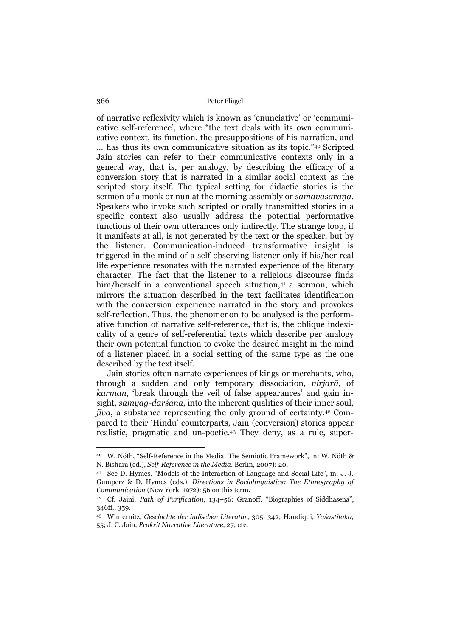of narrative reflexivity which is known as 'enunciative' or 'communicative self-reference', where "the text deals with its own communicative context, its function, the presuppositions of his narration, and … has thus its own communicative situation as its topic."40 Scripted Jain stories can refer to their communicative contexts only in a general way, that is, per analogy, by describing the efficacy of a conversion story that is narrated in a similar social context as the scripted story itself. The typical setting for didactic stories is the sermon of a monk or nun at the morning assembly or *samavasaraṇa*. Speakers who invoke such scripted or orally transmitted stories in a specific context also usually address the potential performative functions of their own utterances only indirectly. The strange loop, if it manifests at all, is not generated by the text or the speaker, but by the listener. Communication-induced transformative insight is triggered in the mind of a self-observing listener only if his/her real life experience resonates with the narrated experience of the literary character. The fact that the listener to a religious discourse finds him/herself in a conventional speech situation,<sup>41</sup> a sermon, which mirrors the situation described in the text facilitates identification with the conversion experience narrated in the story and provokes self-reflection. Thus, the phenomenon to be analysed is the performative function of narrative self-reference, that is, the oblique indexicality of a genre of self-referential texts which describe per analogy their own potential function to evoke the desired insight in the mind of a listener placed in a social setting of the same type as the one described by the text itself.

 Jain stories often narrate experiences of kings or merchants, who, through a sudden and only temporary dissociation, *nirjarā*, of *karman*, 'break through the veil of false appearances' and gain insight, *samyag-darśana*, into the inherent qualities of their inner soul, *jīva*, a substance representing the only ground of certainty.42 Compared to their 'Hindu' counterparts, Jain (conversion) stories appear realistic, pragmatic and un-poetic.43 They deny, as a rule, super-

<sup>40</sup> W. Nöth, "Self-Reference in the Media: The Semiotic Framework", in: W. Nöth & N. Bishara (ed.), *Self-Reference in the Media*. Berlin, 2007): 20.

<sup>41</sup> See D. Hymes, "Models of the Interaction of Language and Social Life", in: J. J. Gumperz & D. Hymes (eds.), *Directions in Sociolinguistics: The Ethnography of Communication* (New York, 1972): 56 on this term.

<sup>42</sup> Cf. Jaini, *Path of Purification*, 134–56; Granoff, "Biographies of Siddhasena", 346ff., 359.

<sup>43</sup> Winternitz, *Geschichte der indischen Literatur*, 305, 342; Handiqui, *Yaśastilaka*, 55; J. C. Jain, *Prakrit Narrative Literature*, 27; etc.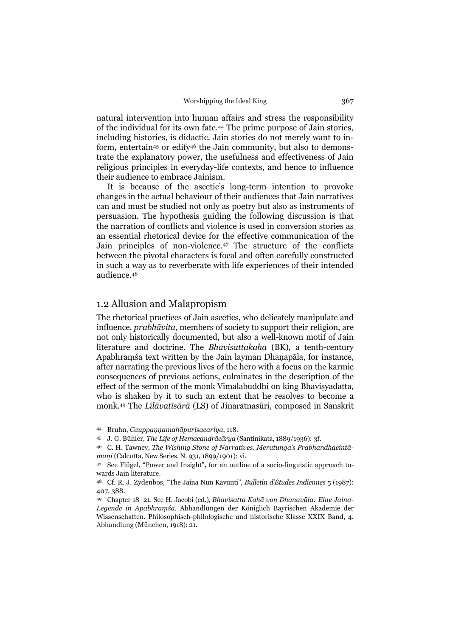natural intervention into human affairs and stress the responsibility of the individual for its own fate.44 The prime purpose of Jain stories, including histories, is didactic. Jain stories do not merely want to inform, entertain45 or edify46 the Jain community, but also to demonstrate the explanatory power, the usefulness and effectiveness of Jain religious principles in everyday-life contexts, and hence to influence their audience to embrace Jainism.

 It is because of the ascetic's long-term intention to provoke changes in the actual behaviour of their audiences that Jain narratives can and must be studied not only as poetry but also as instruments of persuasion. The hypothesis guiding the following discussion is that the narration of conflicts and violence is used in conversion stories as an essential rhetorical device for the effective communication of the Jain principles of non-violence.47 The structure of the conflicts between the pivotal characters is focal and often carefully constructed in such a way as to reverberate with life experiences of their intended audience.48

## 1.2 Allusion and Malapropism

The rhetorical practices of Jain ascetics, who delicately manipulate and influence, *prabhāvita*, members of society to support their religion, are not only historically documented, but also a well-known motif of Jain literature and doctrine. The *Bhavisattakaha* (BK), a tenth-century Apabhraṃśa text written by the Jain layman Dhaṇapāla, for instance, after narrating the previous lives of the hero with a focus on the karmic consequences of previous actions, culminates in the description of the effect of the sermon of the monk Vimalabuddhi on king Bhavisvadatta, who is shaken by it to such an extent that he resolves to become a monk.49 The *Līlāvatīsārā* (LS) of Jinaratnasūri, composed in Sanskrit

<sup>44</sup> Bruhn, *Cauppaṇṇamahāpurisacariya*, 118.

<sup>45</sup> J. G. Bühler, *The Life of Hemacandrācārya* (Santinikata, 1889/1936): 3f.

<sup>46</sup> C. H. Tawney, *The Wishing Stone of Narratives*. *Merutunga's Prabhandhacintāmaṇi* (Calcutta, New Series, N. 931, 1899/1901): vi.

<sup>47</sup> See Flügel, "Power and Insight", for an outline of a socio-linguistic approach towards Jain literature.

<sup>48</sup> Cf. R. J. Zydenbos, "The Jaina Nun Kavunti", *Bulletin d'Études Indiennes* 5 (1987): 407, 388.

<sup>49</sup> Chapter 18–21. See H. Jacobi (ed.), *Bhavisatta Kahā von Dhanavāla: Eine Jaina-Legende in Apabhraṃśa*. Abhandlungen der Königlich Bayrischen Akademie der Wissenschaften. Philosophisch-philologische und historische Klasse XXIX Band, 4. Abhandlung (München, 1918): 21.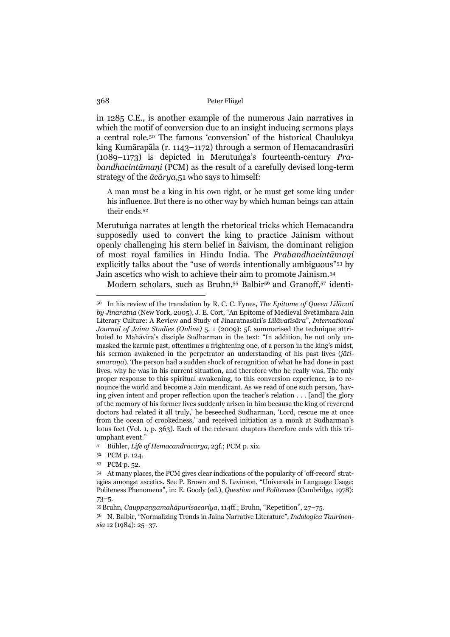in 1285 C.E., is another example of the numerous Jain narratives in which the motif of conversion due to an insight inducing sermons plays a central role.50 The famous 'conversion' of the historical Chaulukya king Kumārapāla (r. 1143–1172) through a sermon of Hemacandrasūri (1089–1173) is depicted in Merutuṅga's fourteenth-century *Prabandhacintāmaṇi* (PCM) as the result of a carefully devised long-term strategy of the *ācārya*,51 who says to himself:

A man must be a king in his own right, or he must get some king under his influence. But there is no other way by which human beings can attain their ends.52

Merutuṅga narrates at length the rhetorical tricks which Hemacandra supposedly used to convert the king to practice Jainism without openly challenging his stern belief in Śaivism, the dominant religion of most royal families in Hindu India. The *Prabandhacintāmaṇi*  explicitly talks about the "use of words intentionally ambiguous"53 by Jain ascetics who wish to achieve their aim to promote Jainism.54

Modern scholars, such as Bruhn,55 Balbir56 and Granoff,57 identi-

<sup>50</sup> In his review of the translation by R. C. C. Fynes, *The Epitome of Queen Līlāvatī by Jinaratna* (New York, 2005), J. E. Cort, "An Epitome of Medieval Śvetāmbara Jain Literary Culture: A Review and Study of Jinaratnasūri's *Līlāvatīsāra*", *International Journal of Jaina Studies (Online)* 5, 1 (2009): 5f. summarised the technique attributed to Mahāvīra's disciple Sudharman in the text: "In addition, he not only unmasked the karmic past, oftentimes a frightening one, of a person in the king's midst, his sermon awakened in the perpetrator an understanding of his past lives (*jātismarana*). The person had a sudden shock of recognition of what he had done in past lives, why he was in his current situation, and therefore who he really was. The only proper response to this spiritual awakening, to this conversion experience, is to renounce the world and become a Jain mendicant. As we read of one such person, 'having given intent and proper reflection upon the teacher's relation . . . [and] the glory of the memory of his former lives suddenly arisen in him because the king of reverend doctors had related it all truly,' he beseeched Sudharman, 'Lord, rescue me at once from the ocean of crookedness,' and received initiation as a monk at Sudharman's lotus feet (Vol. 1, p. 363). Each of the relevant chapters therefore ends with this triumphant event."

<sup>51</sup> Bühler, *Life of Hemacandrācārya*, 23f.; PCM p. xix.

<sup>52</sup> PCM p. 124.

<sup>53</sup> PCM p. 52.

<sup>54</sup> At many places, the PCM gives clear indications of the popularity of 'off-record' strategies amongst ascetics. See P. Brown and S. Levinson, "Universals in Language Usage: Politeness Phenomena", in: E. Goody (ed.), *Question and Politeness* (Cambridge, 1978): 73–5.

<sup>55</sup> Bruhn, *Cauppaṇṇamahāpurisacariya*, 114ff.; Bruhn, "Repetition", 27–75.

<sup>56</sup> N. Balbir, "Normalizing Trends in Jaina Narrative Literature", *Indologica Taurinensia* 12 (1984): 25–37.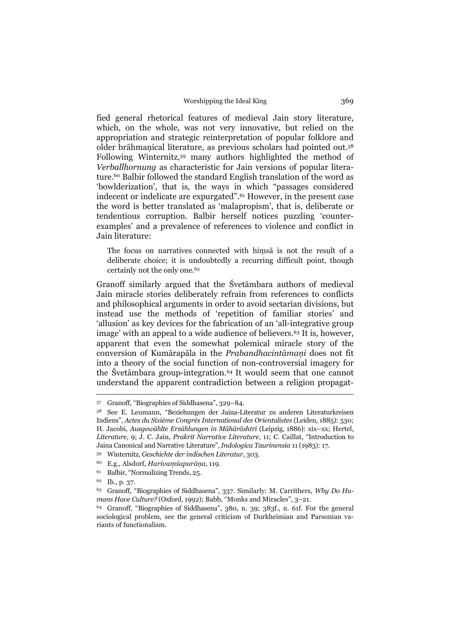fied general rhetorical features of medieval Jain story literature, which, on the whole, was not very innovative, but relied on the appropriation and strategic reinterpretation of popular folklore and older brāhmaṇical literature, as previous scholars had pointed out.58 Following Winternitz,59 many authors highlighted the method of *Verballhornung* as characteristic for Jain versions of popular literature.<sup>60</sup> Balbir followed the standard English translation of the word as 'bowlderization', that is, the ways in which "passages considered indecent or indelicate are expurgated".61 However, in the present case the word is better translated as 'malapropism', that is, deliberate or tendentious corruption. Balbir herself notices puzzling 'counterexamples' and a prevalence of references to violence and conflict in Jain literature:

The focus on narratives connected with hiṃsā is not the result of a deliberate choice; it is undoubtedly a recurring difficult point, though certainly not the only one.62

Granoff similarly argued that the Śvetāmbara authors of medieval Jain miracle stories deliberately refrain from references to conflicts and philosophical arguments in order to avoid sectarian divisions, but instead use the methods of 'repetition of familiar stories' and 'allusion' as key devices for the fabrication of an 'all-integrative group image' with an appeal to a wide audience of believers.<sup>63</sup> It is, however, apparent that even the somewhat polemical miracle story of the conversion of Kumārapāla in the *Prabandhacintāmaṇi* does not fit into a theory of the social function of non-controversial imagery for the Śvetāmbara group-integration.64 It would seem that one cannot understand the apparent contradiction between a religion propagat-

<sup>57</sup> Granoff, "Biographies of Siddhasena", 329–84.

<sup>58</sup> See E. Leumann, "Beziehungen der Jaina-Literatur zu anderen Literaturkreisen Indiens", *Actes du Sixième Congrès International des Orientalistes* (Leiden, 1885): 530; H. Jacobi, *Ausgewählte Erzählungen in Māhārāshtrī* (Leipzig, 1886): xix–xx; Hertel, *Literature*, 9; J. C. Jain, *Prakrit Narrative Literature*, 11; C. Caillat, "Introduction to Jaina Canonical and Narrative Literature", *Indologica Taurinensia* 11 (1983): 17.

<sup>59</sup> Winternitz, *Geschichte der indischen Literatur*, 303.

<sup>60</sup> E.g., Alsdorf, *Harivaṃśapurāṇa*, 119.

<sup>61</sup> Balbir, "Normalizing Trends, 25.

<sup>62</sup> Ib., p. 37.

<sup>63</sup> Granoff, "Biographies of Siddhasena", 337. Similarly: M. Carrithers, *Why Do Humans Have Culture?* (Oxford, 1992); Babb, "Monks and Miracles", 3–21.

<sup>64</sup> Granoff, "Biographies of Siddhasena", 380, n. 39; 383f., n. 61f. For the general sociological problem, see the general criticism of Durkheimian and Parsonian variants of functionalism.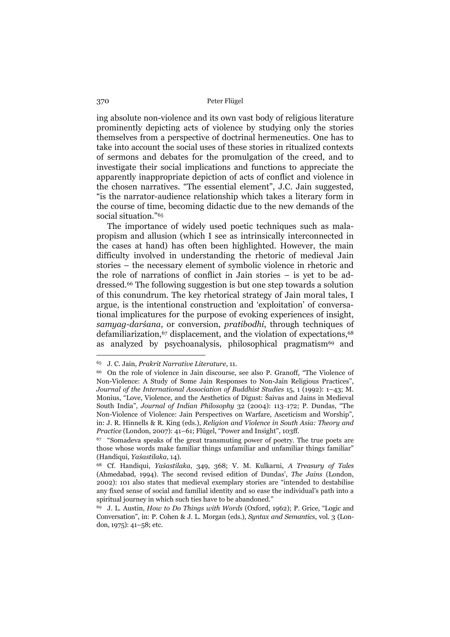ing absolute non-violence and its own vast body of religious literature prominently depicting acts of violence by studying only the stories themselves from a perspective of doctrinal hermeneutics. One has to take into account the social uses of these stories in ritualized contexts of sermons and debates for the promulgation of the creed, and to investigate their social implications and functions to appreciate the apparently inappropriate depiction of acts of conflict and violence in the chosen narratives. "The essential element", J.C. Jain suggested, "is the narrator-audience relationship which takes a literary form in the course of time, becoming didactic due to the new demands of the social situation."65

 The importance of widely used poetic techniques such as malapropism and allusion (which I see as intrinsically interconnected in the cases at hand) has often been highlighted. However, the main difficulty involved in understanding the rhetoric of medieval Jain stories – the necessary element of symbolic violence in rhetoric and the role of narrations of conflict in Jain stories – is yet to be addressed.66 The following suggestion is but one step towards a solution of this conundrum. The key rhetorical strategy of Jain moral tales, I argue, is the intentional construction and 'exploitation' of conversational implicatures for the purpose of evoking experiences of insight, *samyag-darśana*, or conversion, *pratibodhi*, through techniques of defamiliarization, $67$  displacement, and the violation of expectations, $68$ as analyzed by psychoanalysis, philosophical pragmatism<sup>69</sup> and

<sup>65</sup> J. C. Jain, *Prakrit Narrative Literature*, 11.

<sup>66</sup> On the role of violence in Jain discourse, see also P. Granoff, "The Violence of Non-Violence: A Study of Some Jain Responses to Non-Jain Religious Practices", *Journal of the International Association of Buddhist Studies* 15, 1 (1992): 1–43; M. Monius, "Love, Violence, and the Aesthetics of Digust: Śaivas and Jains in Medieval South India", *Journal of Indian Philosophy* 32 (2004): 113–172; P. Dundas, "The Non-Violence of Violence: Jain Perspectives on Warfare, Asceticism and Worship", in: J. R. Hinnells & R. King (eds.), *Religion and Violence in South Asia: Theory and Practice* (London, 2007): 41–61; Flügel, "Power and Insight", 103ff.

<sup>67 &</sup>quot;Somadeva speaks of the great transmuting power of poetry. The true poets are those whose words make familiar things unfamiliar and unfamiliar things familiar" (Handiqui, *Yaśastilaka*, 14).

<sup>68</sup> Cf. Handiqui, *Yaśastilaka*, 349, 368; V. M. Kulkarni, *A Treasury of Tales* (Ahmedabad, 1994). The second revised edition of Dundas', *The Jains* (London, 2002): 101 also states that medieval exemplary stories are "intended to destabilise any fixed sense of social and familial identity and so ease the individual's path into a spiritual journey in which such ties have to be abandoned."

<sup>69</sup> J. L. Austin, *How to Do Things with Words* (Oxford, 1962); P. Grice, "Logic and Conversation", in: P. Cohen & J. L. Morgan (eds.), *Syntax and Semantics*, vol. 3 (London, 1975): 41–58; etc.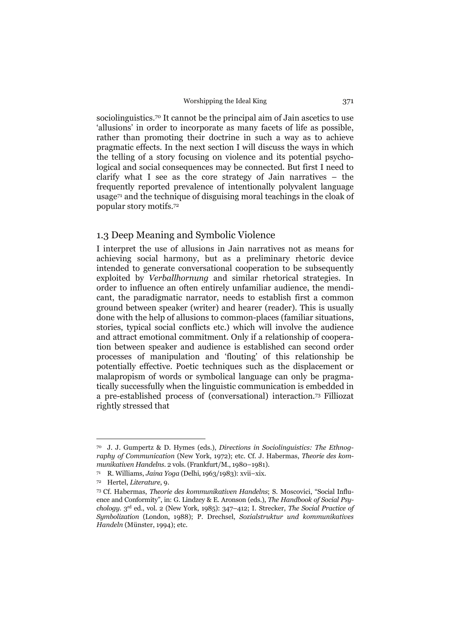sociolinguistics.<sup>70</sup> It cannot be the principal aim of Jain ascetics to use 'allusions' in order to incorporate as many facets of life as possible, rather than promoting their doctrine in such a way as to achieve pragmatic effects. In the next section I will discuss the ways in which the telling of a story focusing on violence and its potential psychological and social consequences may be connected. But first I need to clarify what I see as the core strategy of Jain narratives – the frequently reported prevalence of intentionally polyvalent language usage71 and the technique of disguising moral teachings in the cloak of popular story motifs.72

## 1.3 Deep Meaning and Symbolic Violence

I interpret the use of allusions in Jain narratives not as means for achieving social harmony, but as a preliminary rhetoric device intended to generate conversational cooperation to be subsequently exploited by *Verballhornung* and similar rhetorical strategies. In order to influence an often entirely unfamiliar audience, the mendicant, the paradigmatic narrator, needs to establish first a common ground between speaker (writer) and hearer (reader). This is usually done with the help of allusions to common-places (familiar situations, stories, typical social conflicts etc.) which will involve the audience and attract emotional commitment. Only if a relationship of cooperation between speaker and audience is established can second order processes of manipulation and 'flouting' of this relationship be potentially effective. Poetic techniques such as the displacement or malapropism of words or symbolical language can only be pragmatically successfully when the linguistic communication is embedded in a pre-established process of (conversational) interaction.73 Filliozat rightly stressed that

<sup>70</sup> J. J. Gumpertz & D. Hymes (eds.), *Directions in Sociolinguistics: The Ethnography of Communication* (New York, 1972); etc. Cf. J. Habermas, *Theorie des kommunikativen Handelns*. 2 vols. (Frankfurt/M., 1980–1981).

<sup>71</sup> R. Williams, *Jaina Yoga* (Delhi, 1963/1983): xvii–xix.

<sup>72</sup> Hertel, *Literature*, 9.

<sup>73</sup> Cf. Habermas, *Theorie des kommunikativen Handelns*; S. Moscovici, "Social Influence and Conformity", in: G. Lindzey & E. Aronson (eds.), *The Handbook of Social Psychology*. 3rd ed., vol. 2 (New York, 1985): 347–412; I. Strecker, *The Social Practice of Symbolization* (London, 1988); P. Drechsel, *Sozialstruktur und kommunikatives Handeln* (Münster, 1994); etc.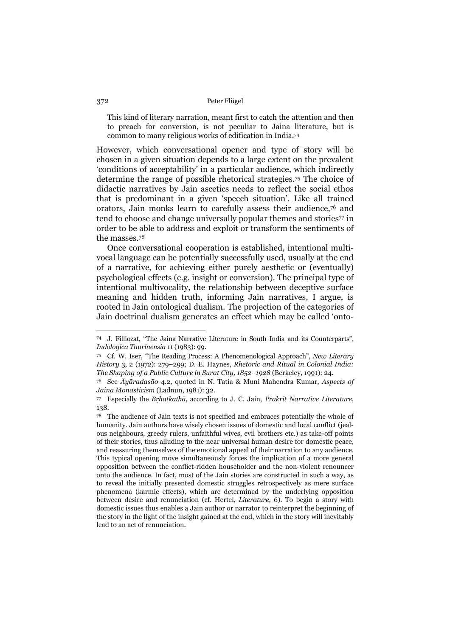This kind of literary narration, meant first to catch the attention and then to preach for conversion, is not peculiar to Jaina literature, but is common to many religious works of edification in India.74

However, which conversational opener and type of story will be chosen in a given situation depends to a large extent on the prevalent 'conditions of acceptability' in a particular audience, which indirectly determine the range of possible rhetorical strategies.75 The choice of didactic narratives by Jain ascetics needs to reflect the social ethos that is predominant in a given 'speech situation'. Like all trained orators, Jain monks learn to carefully assess their audience,76 and tend to choose and change universally popular themes and stories<sup>77</sup> in order to be able to address and exploit or transform the sentiments of the masses.78

 Once conversational cooperation is established, intentional multivocal language can be potentially successfully used, usually at the end of a narrative, for achieving either purely aesthetic or (eventually) psychological effects (e.g. insight or conversion). The principal type of intentional multivocality, the relationship between deceptive surface meaning and hidden truth, informing Jain narratives, I argue, is rooted in Jain ontological dualism. The projection of the categories of Jain doctrinal dualism generates an effect which may be called 'onto-

<sup>74</sup> J. Filliozat, "The Jaina Narrative Literature in South India and its Counterparts", *Indologica Taurinensia* 11 (1983): 99.

<sup>75</sup> Cf. W. Iser, "The Reading Process: A Phenomenological Approach", *New Literary History* 3, 2 (1972): 279–299; D. E. Haynes, *Rhetoric and Ritual in Colonial India: The Shaping of a Public Culture in Surat City, 1852–1928* (Berkeley, 1991): 24.

<sup>76</sup> See *Āyāradasāo* 4.2, quoted in N. Tatia & Muni Mahendra Kumar, *Aspects of Jaina Monasticism* (Ladnun, 1981): 32.

<sup>77</sup> Especially the *Bṛhatkathā*, according to J. C. Jain, *Prakrit Narrative Literature*, 138.

<sup>78</sup> The audience of Jain texts is not specified and embraces potentially the whole of humanity. Jain authors have wisely chosen issues of domestic and local conflict (jealous neighbours, greedy rulers, unfaithful wives, evil brothers etc.) as take-off points of their stories, thus alluding to the near universal human desire for domestic peace, and reassuring themselves of the emotional appeal of their narration to any audience. This typical opening move simultaneously forces the implication of a more general opposition between the conflict-ridden householder and the non-violent renouncer onto the audience. In fact, most of the Jain stories are constructed in such a way, as to reveal the initially presented domestic struggles retrospectively as mere surface phenomena (karmic effects), which are determined by the underlying opposition between desire and renunciation (cf. Hertel, *Literature*, 6). To begin a story with domestic issues thus enables a Jain author or narrator to reinterpret the beginning of the story in the light of the insight gained at the end, which in the story will inevitably lead to an act of renunciation.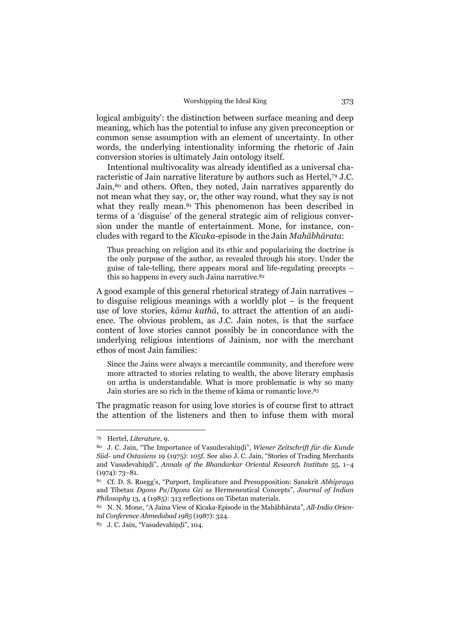logical ambiguity': the distinction between surface meaning and deep meaning, which has the potential to infuse any given preconception or common sense assumption with an element of uncertainty. In other words, the underlying intentionality informing the rhetoric of Jain conversion stories is ultimately Jain ontology itself.

 Intentional multivocality was already identified as a universal characteristic of Jain narrative literature by authors such as Hertel,79 J.C. Jain,80 and others. Often, they noted, Jain narratives apparently do not mean what they say, or, the other way round, what they say is not what they really mean.<sup>81</sup> This phenomenon has been described in terms of a 'disguise' of the general strategic aim of religious conversion under the mantle of entertainment. Mone, for instance, concludes with regard to the *Kīcaka*-episode in the Jain *Mahābhārata*:

Thus preaching on religion and its ethic and popularising the doctrine is the only purpose of the author, as revealed through his story. Under the guise of tale-telling, there appears moral and life-regulating precepts – this so happens in every such Jaina narrative.<sup>82</sup>

A good example of this general rhetorical strategy of Jain narratives – to disguise religious meanings with a worldly plot – is the frequent use of love stories, *kāma kathā*, to attract the attention of an audience. The obvious problem, as J.C. Jain notes, is that the surface content of love stories cannot possibly be in concordance with the underlying religious intentions of Jainism, nor with the merchant ethos of most Jain families:

Since the Jains were always a mercantile community, and therefore were more attracted to stories relating to wealth, the above literary emphasis on artha is understandable. What is more problematic is why so many Jain stories are so rich in the theme of kāma or romantic love.83

The pragmatic reason for using love stories is of course first to attract the attention of the listeners and then to infuse them with moral

<sup>79</sup> Hertel, *Literature*, 9.

<sup>80</sup> J. C. Jain, "The Importance of Vasudevahiṇḍi", *Wiener Zeitschrift für die Kunde Süd- und Ostasiens* 19 (1975): 105f. See also J. C. Jain, "Stories of Trading Merchants and Vasudevahiṇḍi", *Annals of the Bhandarkar Oriental Research Institute* 55, 1–4 (1974): 73–81.

<sup>81</sup> Cf. D. S. Ruegg's, "Purport, Implicature and Presupposition: Sanskrit *Abhipraya*  and Tibetan *Dgons Pa*/*Dgons Gzi* as Hermeneutical Concepts", *Journal of Indian Philosophy* 13, 4 (1985): 313 reflections on Tibetan materials.

<sup>82</sup> N. N. Mone, "A Jaina View of Kīcaka-Episode in the Mahābhārata", *All-India Oriental Conference Ahmedabad 1985* (1987): 324.

<sup>&</sup>lt;sup>83</sup> J. C. Jain, "Vasudevahindi", 104.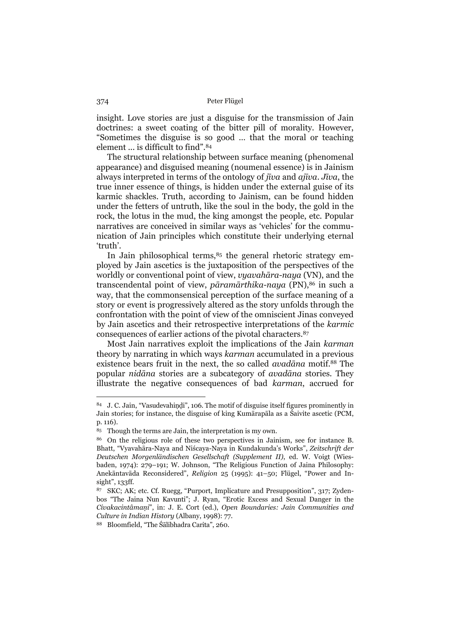insight. Love stories are just a disguise for the transmission of Jain doctrines: a sweet coating of the bitter pill of morality. However, "Sometimes the disguise is so good … that the moral or teaching element ... is difficult to find".84

 The structural relationship between surface meaning (phenomenal appearance) and disguised meaning (noumenal essence) is in Jainism always interpreted in terms of the ontology of *jīva* and *ajīva*. *Jīva*, the true inner essence of things, is hidden under the external guise of its karmic shackles. Truth, according to Jainism, can be found hidden under the fetters of untruth, like the soul in the body, the gold in the rock, the lotus in the mud, the king amongst the people, etc. Popular narratives are conceived in similar ways as 'vehicles' for the communication of Jain principles which constitute their underlying eternal 'truth'.

In Jain philosophical terms, 85 the general rhetoric strategy employed by Jain ascetics is the juxtaposition of the perspectives of the worldly or conventional point of view, *vyavahāra-naya* (VN), and the transcendental point of view, *pāramārthika-naya* (PN),86 in such a way, that the commonsensical perception of the surface meaning of a story or event is progressively altered as the story unfolds through the confrontation with the point of view of the omniscient Jinas conveyed by Jain ascetics and their retrospective interpretations of the *karmic*  consequences of earlier actions of the pivotal characters.87

 Most Jain narratives exploit the implications of the Jain *karman* theory by narrating in which ways *karman* accumulated in a previous existence bears fruit in the next, the so called *avadāna* motif.88 The popular *nidāna* stories are a subcategory of *avadāna* stories. They illustrate the negative consequences of bad *karman*, accrued for

<sup>84</sup> J. C. Jain, "Vasudevahindi", 106. The motif of disguise itself figures prominently in Jain stories; for instance, the disguise of king Kumārapāla as a Śaivite ascetic (PCM, p. 116).

<sup>85</sup> Though the terms are Jain, the interpretation is my own.

<sup>86</sup> On the religious role of these two perspectives in Jainism, see for instance B. Bhatt, "Vyavahāra-Naya and Niścaya-Naya in Kundakunda's Works", *Zeitschrift der Deutschen Morgenländischen Gesellschaft (Supplement II)*, ed. W. Voigt (Wiesbaden, 1974): 279–191; W. Johnson, "The Religious Function of Jaina Philosophy: Anekāntavāda Reconsidered", *Religion* 25 (1995): 41–50; Flügel, "Power and Insight", 133ff.

<sup>87</sup> SKC; AK; etc. Cf. Ruegg, "Purport, Implicature and Presupposition", 317; Zydenbos "The Jaina Nun Kavunti"; J. Ryan, "Erotic Excess and Sexual Danger in the *Civakacintâmaṇi*", in: J. E. Cort (ed.), *Open Boundaries: Jain Communities and Culture in Indian History* (Albany, 1998): 77.

<sup>88</sup> Bloomfield, "The Śālibhadra Carita", 260.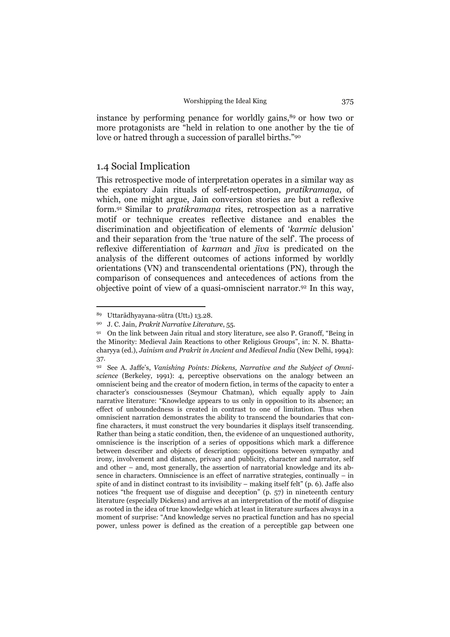instance by performing penance for worldly gains,<sup>89</sup> or how two or more protagonists are "held in relation to one another by the tie of love or hatred through a succession of parallel births."90

## 1.4 Social Implication

This retrospective mode of interpretation operates in a similar way as the expiatory Jain rituals of self-retrospection, *pratikramaṇa*, of which, one might argue, Jain conversion stories are but a reflexive form.91 Similar to *pratikramaṇa* rites, retrospection as a narrative motif or technique creates reflective distance and enables the discrimination and objectification of elements of '*karmic* delusion' and their separation from the 'true nature of the self'. The process of reflexive differentiation of *karman* and *jīva* is predicated on the analysis of the different outcomes of actions informed by worldly orientations (VN) and transcendental orientations (PN), through the comparison of consequences and antecedences of actions from the objective point of view of a quasi-omniscient narrator.92 In this way,

<sup>89</sup> Uttarādhyayana-sūtra (Utt2) 13.28.

<sup>90</sup> J. C. Jain, *Prakrit Narrative Literature*, 55.

<sup>91</sup> On the link between Jain ritual and story literature, see also P. Granoff, "Being in the Minority: Medieval Jain Reactions to other Religious Groups", in: N. N. Bhattacharyya (ed.), *Jainism and Prakrit in Ancient and Medieval India* (New Delhi, 1994): 37.

<sup>92</sup> See A. Jaffe's, *Vanishing Points: Dickens, Narrative and the Subject of Omniscience* (Berkeley, 1991): 4, perceptive observations on the analogy between an omniscient being and the creator of modern fiction, in terms of the capacity to enter a character's consciousnesses (Seymour Chatman), which equally apply to Jain narrative literature: "Knowledge appears to us only in opposition to its absence; an effect of unboundedness is created in contrast to one of limitation. Thus when omniscient narration demonstrates the ability to transcend the boundaries that confine characters, it must construct the very boundaries it displays itself transcending. Rather than being a static condition, then, the evidence of an unquestioned authority, omniscience is the inscription of a series of oppositions which mark a difference between describer and objects of description: oppositions between sympathy and irony, involvement and distance, privacy and publicity, character and narrator, self and other – and, most generally, the assertion of narratorial knowledge and its absence in characters. Omniscience is an effect of narrative strategies, continually – in spite of and in distinct contrast to its invisibility – making itself felt" (p. 6). Jaffe also notices "the frequent use of disguise and deception" (p. 57) in nineteenth century literature (especially Dickens) and arrives at an interpretation of the motif of disguise as rooted in the idea of true knowledge which at least in literature surfaces always in a moment of surprise: "And knowledge serves no practical function and has no special power, unless power is defined as the creation of a perceptible gap between one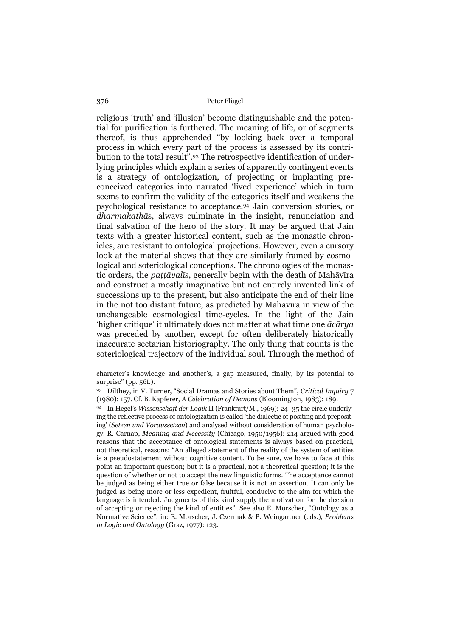religious 'truth' and 'illusion' become distinguishable and the potential for purification is furthered. The meaning of life, or of segments thereof, is thus apprehended "by looking back over a temporal process in which every part of the process is assessed by its contribution to the total result".93 The retrospective identification of underlying principles which explain a series of apparently contingent events is a strategy of ontologization, of projecting or implanting preconceived categories into narrated 'lived experience' which in turn seems to confirm the validity of the categories itself and weakens the psychological resistance to acceptance.94 Jain conversion stories, or *dharmakathā*s, always culminate in the insight, renunciation and final salvation of the hero of the story. It may be argued that Jain texts with a greater historical content, such as the monastic chronicles, are resistant to ontological projections. However, even a cursory look at the material shows that they are similarly framed by cosmological and soteriological conceptions. The chronologies of the monastic orders, the *paṭṭāvalīs*, generally begin with the death of Mahāvīra and construct a mostly imaginative but not entirely invented link of successions up to the present, but also anticipate the end of their line in the not too distant future, as predicted by Mahāvīra in view of the unchangeable cosmological time-cycles. In the light of the Jain 'higher critique' it ultimately does not matter at what time one *ācārya* was preceded by another, except for often deliberately historically inaccurate sectarian historiography. The only thing that counts is the soteriological trajectory of the individual soul. Through the method of

character's knowledge and another's, a gap measured, finally, by its potential to surprise" (pp. 56f.).

<sup>93</sup> Dilthey, in V. Turner, "Social Dramas and Stories about Them", *Critical Inquiry* 7 (1980): 157. Cf. B. Kapferer, *A Celebration of Demons* (Bloomington, 1983): 189.

<sup>94</sup> In Hegel's *Wissenschaft der Logik* II (Frankfurt/M., 1969): 24–35 the circle underlying the reflective process of ontologization is called 'the dialectic of positing and prepositing' (*Setzen und Voraussetzen*) and analysed without consideration of human psychology. R. Carnap, *Meaning and Necessity* (Chicago, 1950/1956): 214 argued with good reasons that the acceptance of ontological statements is always based on practical, not theoretical, reasons: "An alleged statement of the reality of the system of entities is a pseudostatement without cognitive content. To be sure, we have to face at this point an important question; but it is a practical, not a theoretical question; it is the question of whether or not to accept the new linguistic forms. The acceptance cannot be judged as being either true or false because it is not an assertion. It can only be judged as being more or less expedient, fruitful, conducive to the aim for which the language is intended. Judgments of this kind supply the motivation for the decision of accepting or rejecting the kind of entities". See also E. Morscher, "Ontology as a Normative Science", in: E. Morscher, J. Czermak & P. Weingartner (eds.), *Problems in Logic and Ontology* (Graz, 1977): 123.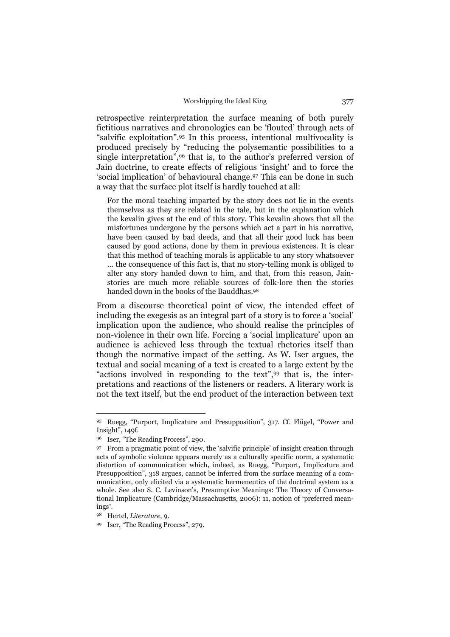retrospective reinterpretation the surface meaning of both purely fictitious narratives and chronologies can be 'flouted' through acts of "salvific exploitation".95 In this process, intentional multivocality is produced precisely by "reducing the polysemantic possibilities to a single interpretation",<sup>96</sup> that is, to the author's preferred version of Jain doctrine, to create effects of religious 'insight' and to force the 'social implication' of behavioural change.97 This can be done in such a way that the surface plot itself is hardly touched at all:

For the moral teaching imparted by the story does not lie in the events themselves as they are related in the tale, but in the explanation which the kevalin gives at the end of this story. This kevalin shows that all the misfortunes undergone by the persons which act a part in his narrative, have been caused by bad deeds, and that all their good luck has been caused by good actions, done by them in previous existences. It is clear that this method of teaching morals is applicable to any story whatsoever ... the consequence of this fact is, that no story-telling monk is obliged to alter any story handed down to him, and that, from this reason, Jainstories are much more reliable sources of folk-lore then the stories handed down in the books of the Bauddhas.<sup>98</sup>

From a discourse theoretical point of view, the intended effect of including the exegesis as an integral part of a story is to force a 'social' implication upon the audience, who should realise the principles of non-violence in their own life. Forcing a 'social implicature' upon an audience is achieved less through the textual rhetorics itself than though the normative impact of the setting. As W. Iser argues, the textual and social meaning of a text is created to a large extent by the "actions involved in responding to the text",99 that is, the interpretations and reactions of the listeners or readers. A literary work is not the text itself, but the end product of the interaction between text

<sup>95</sup> Ruegg, "Purport, Implicature and Presupposition", 317. Cf. Flügel, "Power and Insight", 149f.

<sup>96</sup> Iser, "The Reading Process", 290.

<sup>97</sup> From a pragmatic point of view, the 'salvific principle' of insight creation through acts of symbolic violence appears merely as a culturally specific norm, a systematic distortion of communication which, indeed, as Ruegg, "Purport, Implicature and Presupposition", 318 argues, cannot be inferred from the surface meaning of a communication, only elicited via a systematic hermeneutics of the doctrinal system as a whole. See also S. C. Levinson's, Presumptive Meanings: The Theory of Conversational Implicature (Cambridge/Massachusetts, 2006): 11, notion of 'preferred meanings'.

<sup>98</sup> Hertel, *Literature*, 9.

<sup>99</sup> Iser, "The Reading Process", 279.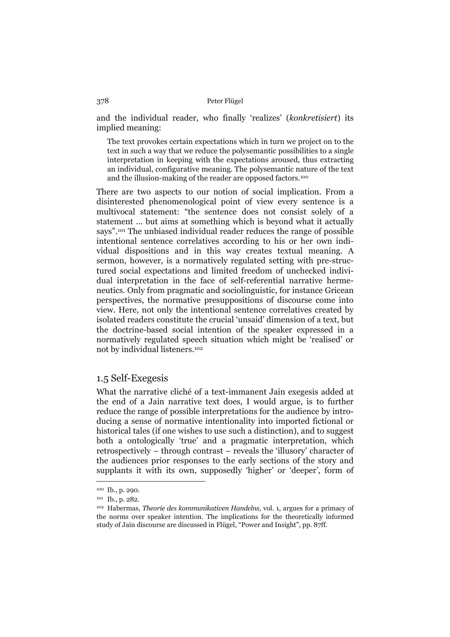and the individual reader, who finally 'realizes' (*konkretisiert*) its implied meaning:

The text provokes certain expectations which in turn we project on to the text in such a way that we reduce the polysemantic possibilities to a single interpretation in keeping with the expectations aroused, thus extracting an individual, configurative meaning. The polysemantic nature of the text and the illusion-making of the reader are opposed factors.100

There are two aspects to our notion of social implication. From a disinterested phenomenological point of view every sentence is a multivocal statement: "the sentence does not consist solely of a statement ... but aims at something which is beyond what it actually says".101 The unbiased individual reader reduces the range of possible intentional sentence correlatives according to his or her own individual dispositions and in this way creates textual meaning. A sermon, however, is a normatively regulated setting with pre-structured social expectations and limited freedom of unchecked individual interpretation in the face of self-referential narrative hermeneutics. Only from pragmatic and sociolinguistic, for instance Gricean perspectives, the normative presuppositions of discourse come into view. Here, not only the intentional sentence correlatives created by isolated readers constitute the crucial 'unsaid' dimension of a text, but the doctrine-based social intention of the speaker expressed in a normatively regulated speech situation which might be 'realised' or not by individual listeners.102

## 1.5 Self-Exegesis

What the narrative cliché of a text-immanent Jain exegesis added at the end of a Jain narrative text does, I would argue, is to further reduce the range of possible interpretations for the audience by introducing a sense of normative intentionality into imported fictional or historical tales (if one wishes to use such a distinction), and to suggest both a ontologically 'true' and a pragmatic interpretation, which retrospectively – through contrast – reveals the 'illusory' character of the audiences prior responses to the early sections of the story and supplants it with its own, supposedly 'higher' or 'deeper', form of

<sup>100</sup> Ib., p. 290.

<sup>101</sup> Ib., p. 282.

<sup>102</sup> Habermas, *Theorie des kommunikativen Handelns*, vol. 1, argues for a primacy of the norms over speaker intention. The implications for the theoretically informed study of Jain discourse are discussed in Flügel, "Power and Insight", pp. 87ff.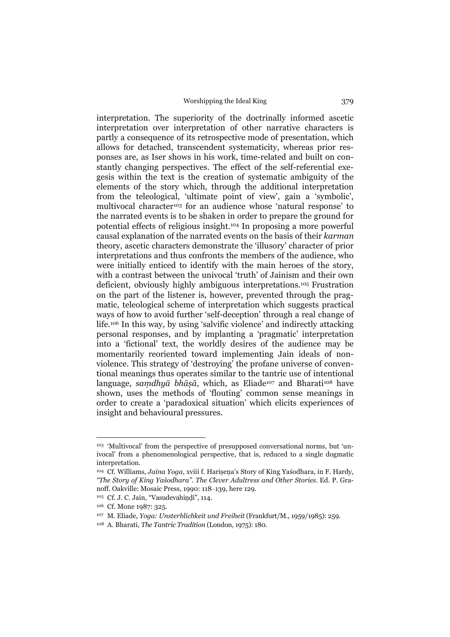interpretation. The superiority of the doctrinally informed ascetic interpretation over interpretation of other narrative characters is partly a consequence of its retrospective mode of presentation, which allows for detached, transcendent systematicity, whereas prior responses are, as Iser shows in his work, time-related and built on constantly changing perspectives. The effect of the self-referential exegesis within the text is the creation of systematic ambiguity of the elements of the story which, through the additional interpretation from the teleological, 'ultimate point of view', gain a 'symbolic', multivocal character<sup>103</sup> for an audience whose 'natural response' to the narrated events is to be shaken in order to prepare the ground for potential effects of religious insight.104 In proposing a more powerful causal explanation of the narrated events on the basis of their *karman* theory, ascetic characters demonstrate the 'illusory' character of prior interpretations and thus confronts the members of the audience, who were initially enticed to identify with the main heroes of the story, with a contrast between the univocal 'truth' of Jainism and their own deficient, obviously highly ambiguous interpretations.105 Frustration on the part of the listener is, however, prevented through the pragmatic, teleological scheme of interpretation which suggests practical ways of how to avoid further 'self-deception' through a real change of life.106 In this way, by using 'salvific violence' and indirectly attacking personal responses, and by implanting a 'pragmatic' interpretation into a 'fictional' text, the worldly desires of the audience may be momentarily reoriented toward implementing Jain ideals of nonviolence. This strategy of 'destroying' the profane universe of conventional meanings thus operates similar to the tantric use of intentional language, *samdhyā bhāṣā*, which, as Eliade<sup>107</sup> and Bharati<sup>108</sup> have shown, uses the methods of 'flouting' common sense meanings in order to create a 'paradoxical situation' which elicits experiences of insight and behavioural pressures.

<sup>&</sup>lt;sup>103</sup> 'Multivocal' from the perspective of presupposed conversational norms, but 'univocal' from a phenomenological perspective, that is, reduced to a single dogmatic interpretation.

<sup>&</sup>lt;sup>104</sup> Cf. Williams, *Jaina Yoga*, xviii f. Harisena's Story of King Yaśodhara, in F. Hardy, *"The Story of King Yaśodhara". The Clever Adultress and Other Stories.* Ed. P. Granoff. Oakville: Mosaic Press, 1990: 118–139, here 129.

<sup>105</sup> Cf. J. C. Jain, "Vasudevahiṇḍi", 114.

<sup>106</sup> Cf. Mone 1987: 325.

<sup>107</sup> M. Eliade, *Yoga: Unsterblichkeit und Freiheit* (Frankfurt/M., 1959/1985): 259.

<sup>108</sup> A. Bharati, *The Tantric Tradition* (London, 1975): 180.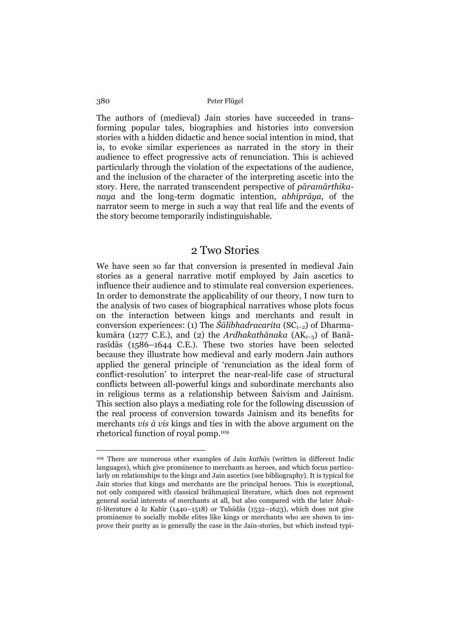The authors of (medieval) Jain stories have succeeded in transforming popular tales, biographies and histories into conversion stories with a hidden didactic and hence social intention in mind, that is, to evoke similar experiences as narrated in the story in their audience to effect progressive acts of renunciation. This is achieved particularly through the violation of the expectations of the audience, and the inclusion of the character of the interpreting ascetic into the story. Here, the narrated transcendent perspective of *pāramārthikanaya* and the long-term dogmatic intention, *abhiprāya*, of the narrator seem to merge in such a way that real life and the events of the story become temporarily indistinguishable.

## 2 Two Stories

We have seen so far that conversion is presented in medieval Jain stories as a general narrative motif employed by Jain ascetics to influence their audience and to stimulate real conversion experiences. In order to demonstrate the applicability of our theory, I now turn to the analysis of two cases of biographical narratives whose plots focus on the interaction between kings and merchants and result in conversion experiences: (1) The *Śālibhadracarita* (SC<sub>1–2</sub>) of Dharmakumāra (1277 C.E.), and (2) the *Ardhakathānaka* (AK<sub>1-3</sub>) of Banārasīdās (1586–1644 C.E.). These two stories have been selected because they illustrate how medieval and early modern Jain authors applied the general principle of 'renunciation as the ideal form of conflict-resolution' to interpret the near-real-life case of structural conflicts between all-powerful kings and subordinate merchants also in religious terms as a relationship between Śaivism and Jainism. This section also plays a mediating role for the following discussion of the real process of conversion towards Jainism and its benefits for merchants *vis à vis* kings and ties in with the above argument on the rhetorical function of royal pomp.109

<sup>109</sup> There are numerous other examples of Jain *kathā*s (written in different Indic languages), which give prominence to merchants as heroes, and which focus particularly on relationships to the kings and Jain ascetics (see bibliography). It is typical for Jain stories that kings and merchants are the principal heroes. This is exceptional, not only compared with classical brāhmaṇical literature, which does not represent general social interests of merchants at all, but also compared with the later *bhakti*-literature *à la* Kabīr (1440–1518) or Tulsīdās (1532–1623), which does not give prominence to socially mobile elites like kings or merchants who are shown to improve their purity as is generally the case in the Jain-stories, but which instead typi-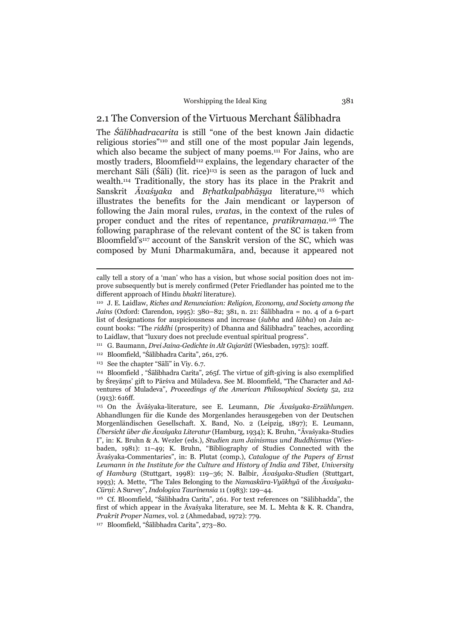## 2.1 The Conversion of the Virtuous Merchant Śālibhadra

The *Śālibhadracarita* is still "one of the best known Jain didactic religious stories"110 and still one of the most popular Jain legends, which also became the subject of many poems.<sup>111</sup> For Jains, who are mostly traders, Bloomfield<sup>112</sup> explains, the legendary character of the merchant Sāli (Śāli) (lit. rice)<sup>113</sup> is seen as the paragon of luck and wealth.114 Traditionally, the story has its place in the Prakrit and Sanskrit *Āvaśyaka* and *Bṛhatkalpabhāṣya* literature,115 which illustrates the benefits for the Jain mendicant or layperson of following the Jain moral rules, *vrata*s, in the context of the rules of proper conduct and the rites of repentance, *pratikramaṇa*. 116 The following paraphrase of the relevant content of the SC is taken from Bloomfield's<sup>117</sup> account of the Sanskrit version of the SC, which was composed by Muni Dharmakumāra, and, because it appeared not

cally tell a story of a 'man' who has a vision, but whose social position does not improve subsequently but is merely confirmed (Peter Friedlander has pointed me to the different approach of Hindu *bhakti* literature).

<sup>110</sup> J. E. Laidlaw, *Riches and Renunciation: Religion, Economy, and Society among the Jains* (Oxford: Clarendon, 1995): 380–82; 381, n. 21: Śālibhadra = no. 4 of a 6-part list of designations for auspiciousness and increase (*śubha* and *lābha*) on Jain account books: "The *riddhi* (prosperity) of Dhanna and Śālibhadra" teaches, according to Laidlaw, that "luxury does not preclude eventual spiritual progress".

<sup>111</sup> G. Baumann, *Drei Jaina-Gedichte in Alt Gujarātī* (Wiesbaden, 1975): 102ff.

<sup>112</sup> Bloomfield, "Śālibhadra Carita", 261, 276.

<sup>113</sup> See the chapter "Sālī" in Viy. 6.7.

<sup>114</sup> Bloomfield , "Śālibhadra Carita", 265f. The virtue of gift-giving is also exemplified by Śreyāṃs' gift to Pārśva and Mūladeva. See M. Bloomfield, "The Character and Adventures of Muladeva", *Proceedings of the American Philosophical Society* 52, 212 (1913): 616ff.

<sup>115</sup> On the Āvāśyaka-literature, see E. Leumann, *Die Āvaśyaka-Erzählungen*. Abhandlungen für die Kunde des Morgenlandes herausgegeben von der Deutschen Morgenländischen Gesellschaft. X. Band, No. 2 (Leipzig, 1897); E. Leumann, *Übersicht über die Āvaśyaka Literatur* (Hamburg, 1934); K. Bruhn, "Āvaśyaka-Studies I", in: K. Bruhn & A. Wezler (eds.), *Studien zum Jainismus und Buddhismus* (Wiesbaden, 1981): 11–49; K. Bruhn, "Bibliography of Studies Connected with the Āvaśyaka-Commentaries", in: B. Plutat (comp.), *Catalogue of the Papers of Ernst Leumann in the Institute for the Culture and History of India and Tibet, University of Hamburg* (Stuttgart, 1998): 119–36; N. Balbir, *Āvaśyaka-Studien* (Stuttgart, 1993); A. Mette, "The Tales Belonging to the *Namaskāra-Vyākhyā* of the *Āvaśyaka-Cūrṇi*: A Survey", *Indologica Taurinensia* 11 (1983): 129–44.

<sup>116</sup> Cf. Bloomfield, "Śālibhadra Carita", 261. For text references on "Sālibhadda", the first of which appear in the Āvaśyaka literature, see M. L. Mehta & K. R. Chandra, *Prakrit Proper Names*, vol. 2 (Ahmedabad, 1972): 779.

<sup>117</sup> Bloomfield, "Śālibhadra Carita", 273–80.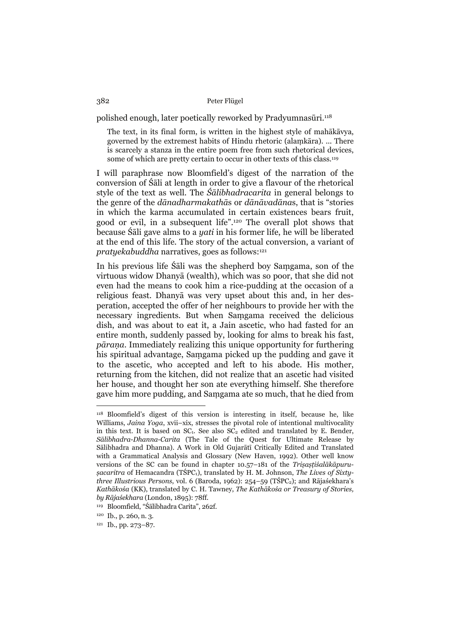polished enough, later poetically reworked by Pradyumnasūri.118

The text, in its final form, is written in the highest style of mahākāvya, governed by the extremest habits of Hindu rhetoric (alaṃkāra). ... There is scarcely a stanza in the entire poem free from such rhetorical devices, some of which are pretty certain to occur in other texts of this class.<sup>119</sup>

I will paraphrase now Bloomfield's digest of the narration of the conversion of Śāli at length in order to give a flavour of the rhetorical style of the text as well. The *Śālibhadracarita* in general belongs to the genre of the *dānadharmakathā*s or *dānāvadāna*s, that is "stories in which the karma accumulated in certain existences bears fruit, good or evil, in a subsequent life".120 The overall plot shows that because Śāli gave alms to a *yati* in his former life, he will be liberated at the end of this life. The story of the actual conversion, a variant of *pratyekabuddha* narratives, goes as follows:<sup>121</sup>

In his previous life Śāli was the shepherd boy Saṃgama, son of the virtuous widow Dhanyā (wealth), which was so poor, that she did not even had the means to cook him a rice-pudding at the occasion of a religious feast. Dhanyā was very upset about this and, in her desperation, accepted the offer of her neighbours to provide her with the necessary ingredients. But when Saṃgama received the delicious dish, and was about to eat it, a Jain ascetic, who had fasted for an entire month, suddenly passed by, looking for alms to break his fast, *pāraṇa*. Immediately realizing this unique opportunity for furthering his spiritual advantage, Saṃgama picked up the pudding and gave it to the ascetic, who accepted and left to his abode. His mother, returning from the kitchen, did not realize that an ascetic had visited her house, and thought her son ate everything himself. She therefore gave him more pudding, and Saṃgama ate so much, that he died from

<sup>118</sup> Bloomfield's digest of this version is interesting in itself, because he, like Williams, *Jaina Yoga*, xvii–xix, stresses the pivotal role of intentional multivocality in this text. It is based on  $SC_1$ . See also  $SC_2$  edited and translated by E. Bender, *Sālibhadra-Dhanna-Carita* (The Tale of the Quest for Ultimate Release by Sālibhadra and Dhanna). A Work in Old Gujarātī Critically Edited and Translated with a Grammatical Analysis and Glossary (New Haven, 1992). Other well know versions of the SC can be found in chapter 10.57–181 of the *Triṣaṣṭiśalākāpuruṣacaritra* of Hemacandra (TŚPC1), translated by H. M. Johnson, *The Lives of Sixtythree Illustrious Persons*, vol. 6 (Baroda, 1962): 254–59 (TŚPC<sub>2</sub>); and Rājaśekhara's *Kathākośa* (KK), translated by C. H. Tawney, *The Kathākośa or Treasury of Stories, by Rājaśekhara* (London, 1895): 78ff.

<sup>119</sup> Bloomfield, "Śālibhadra Carita", 262f.

<sup>120</sup> Ib., p. 260, n. 3.

<sup>121</sup> Ib., pp. 273–87.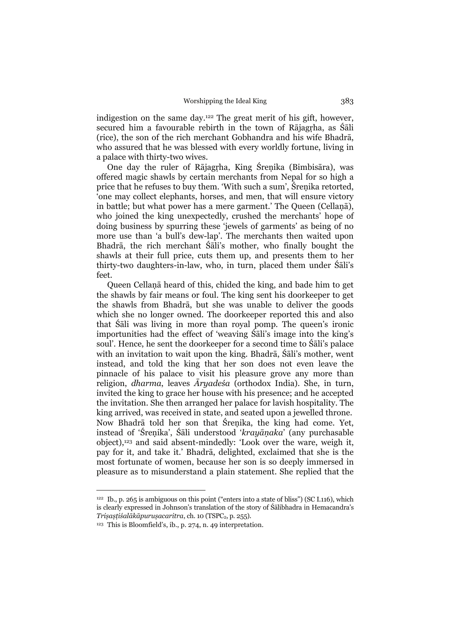indigestion on the same day.122 The great merit of his gift, however, secured him a favourable rebirth in the town of Rājagṛha, as Śāli (rice), the son of the rich merchant Gobhandra and his wife Bhadrā, who assured that he was blessed with every worldly fortune, living in a palace with thirty-two wives.

 One day the ruler of Rājagṛha, King Śreṇika (Bimbisāra), was offered magic shawls by certain merchants from Nepal for so high a price that he refuses to buy them. 'With such a sum', Śreṇika retorted, 'one may collect elephants, horses, and men, that will ensure victory in battle; but what power has a mere garment.' The Queen (Cellaṇā), who joined the king unexpectedly, crushed the merchants' hope of doing business by spurring these 'jewels of garments' as being of no more use than 'a bull's dew-lap'. The merchants then waited upon Bhadrā, the rich merchant Śāli's mother, who finally bought the shawls at their full price, cuts them up, and presents them to her thirty-two daughters-in-law, who, in turn, placed them under Śāli's feet.

 Queen Cellaṇā heard of this, chided the king, and bade him to get the shawls by fair means or foul. The king sent his doorkeeper to get the shawls from Bhadrā, but she was unable to deliver the goods which she no longer owned. The doorkeeper reported this and also that Śāli was living in more than royal pomp. The queen's ironic importunities had the effect of 'weaving Śāli's image into the king's soul'. Hence, he sent the doorkeeper for a second time to Śāli's palace with an invitation to wait upon the king. Bhadrā, Śāli's mother, went instead, and told the king that her son does not even leave the pinnacle of his palace to visit his pleasure grove any more than religion, *dharma*, leaves *Āryadeśa* (orthodox India). She, in turn, invited the king to grace her house with his presence; and he accepted the invitation. She then arranged her palace for lavish hospitality. The king arrived, was received in state, and seated upon a jewelled throne. Now Bhadrā told her son that Śreṇika, the king had come. Yet, instead of 'Śreṇika', Śāli understood '*krayāṇaka*' (any purchasable object),123 and said absent-mindedly: 'Look over the ware, weigh it, pay for it, and take it.' Bhadrā, delighted, exclaimed that she is the most fortunate of women, because her son is so deeply immersed in pleasure as to misunderstand a plain statement. She replied that the

<sup>&</sup>lt;sup>122</sup> Ib., p. 265 is ambiguous on this point ("enters into a state of bliss") (SC I.116), which is clearly expressed in Johnson's translation of the story of Śālibhadra in Hemacandra's *Triṣaṣṭiśalākāpuruṣacaritra*, ch. 10 (TSPC2, p. 255).

<sup>123</sup> This is Bloomfield's, ib., p. 274, n. 49 interpretation.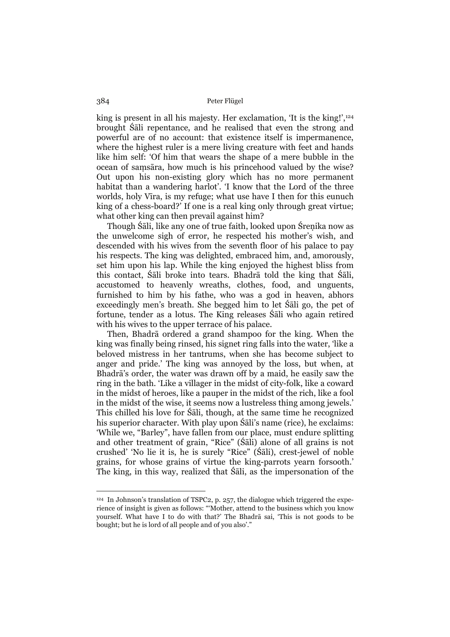king is present in all his majesty. Her exclamation, 'It is the king!',<sup>124</sup> brought Śāli repentance, and he realised that even the strong and powerful are of no account: that existence itself is impermanence, where the highest ruler is a mere living creature with feet and hands like him self: 'Of him that wears the shape of a mere bubble in the ocean of saṃsāra, how much is his princehood valued by the wise? Out upon his non-existing glory which has no more permanent habitat than a wandering harlot'. 'I know that the Lord of the three worlds, holy Vīra, is my refuge; what use have I then for this eunuch king of a chess-board?' If one is a real king only through great virtue; what other king can then prevail against him?

 Though Śāli, like any one of true faith, looked upon Śreṇika now as the unwelcome sigh of error, he respected his mother's wish, and descended with his wives from the seventh floor of his palace to pay his respects. The king was delighted, embraced him, and, amorously, set him upon his lap. While the king enjoyed the highest bliss from this contact, Śāli broke into tears. Bhadrā told the king that Śāli, accustomed to heavenly wreaths, clothes, food, and unguents, furnished to him by his fathe, who was a god in heaven, abhors exceedingly men's breath. She begged him to let Śāli go, the pet of fortune, tender as a lotus. The King releases Śāli who again retired with his wives to the upper terrace of his palace.

 Then, Bhadrā ordered a grand shampoo for the king. When the king was finally being rinsed, his signet ring falls into the water, 'like a beloved mistress in her tantrums, when she has become subject to anger and pride.' The king was annoyed by the loss, but when, at Bhadrā's order, the water was drawn off by a maid, he easily saw the ring in the bath. 'Like a villager in the midst of city-folk, like a coward in the midst of heroes, like a pauper in the midst of the rich, like a fool in the midst of the wise, it seems now a lustreless thing among jewels.' This chilled his love for Śāli, though, at the same time he recognized his superior character. With play upon Śāli's name (rice), he exclaims: 'While we, "Barley", have fallen from our place, must endure splitting and other treatment of grain, "Rice" (Śāli) alone of all grains is not crushed' 'No lie it is, he is surely "Rice" (Śāli), crest-jewel of noble grains, for whose grains of virtue the king-parrots yearn forsooth.' The king, in this way, realized that Śāli, as the impersonation of the

<sup>124</sup> In Johnson's translation of TSPC2, p. 257, the dialogue which triggered the experience of insight is given as follows: "'Mother, attend to the business which you know yourself. What have I to do with that?' The Bhadrā sai, 'This is not goods to be bought; but he is lord of all people and of you also'."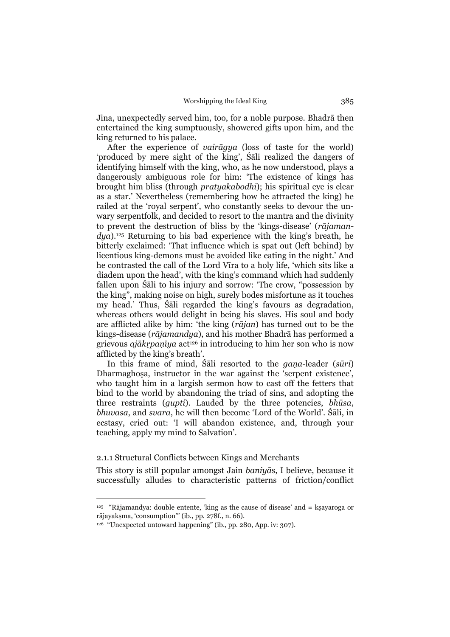Jina, unexpectedly served him, too, for a noble purpose. Bhadrā then entertained the king sumptuously, showered gifts upon him, and the king returned to his palace.

 After the experience of *vairāgya* (loss of taste for the world) 'produced by mere sight of the king', Śāli realized the dangers of identifying himself with the king, who, as he now understood, plays a dangerously ambiguous role for him: 'The existence of kings has brought him bliss (through *pratyakabodhi*); his spiritual eye is clear as a star.' Nevertheless (remembering how he attracted the king) he railed at the 'royal serpent', who constantly seeks to devour the unwary serpentfolk, and decided to resort to the mantra and the divinity to prevent the destruction of bliss by the 'kings-disease' (*rājamandya*).125 Returning to his bad experience with the king's breath, he bitterly exclaimed: 'That influence which is spat out (left behind) by licentious king-demons must be avoided like eating in the night.' And he contrasted the call of the Lord Vīra to a holy life, 'which sits like a diadem upon the head', with the king's command which had suddenly fallen upon Śāli to his injury and sorrow: 'The crow, "possession by the king", making noise on high, surely bodes misfortune as it touches my head.' Thus, Śāli regarded the king's favours as degradation, whereas others would delight in being his slaves. His soul and body are afflicted alike by him: 'the king (*rājan*) has turned out to be the kings-disease (*rājamandya*), and his mother Bhadrā has performed a grievous *ajākṛpaṇīya* act126 in introducing to him her son who is now afflicted by the king's breath'.

 In this frame of mind, Śāli resorted to the *gaṇa*-leader (*sūri*) Dharmaghosa, instructor in the war against the 'serpent existence', who taught him in a largish sermon how to cast off the fetters that bind to the world by abandoning the triad of sins, and adopting the three restraints (*gupti*). Lauded by the three potencies, *bhūsa*, *bhuvasa*, and *svara*, he will then become 'Lord of the World'. Śāli, in ecstasy, cried out: 'I will abandon existence, and, through your teaching, apply my mind to Salvation'.

## 2.1.1 Structural Conflicts between Kings and Merchants

This story is still popular amongst Jain *baniyā*s, I believe, because it successfully alludes to characteristic patterns of friction/conflict

<sup>&</sup>lt;sup>125</sup> "Rājamandya: double entente, 'king as the cause of disease' and  $=$  ksayaroga or rājayakṣma, 'consumption'" (ib., pp. 278f., n. 66).

<sup>126 &</sup>quot;Unexpected untoward happening" (ib., pp. 280, App. iv: 307).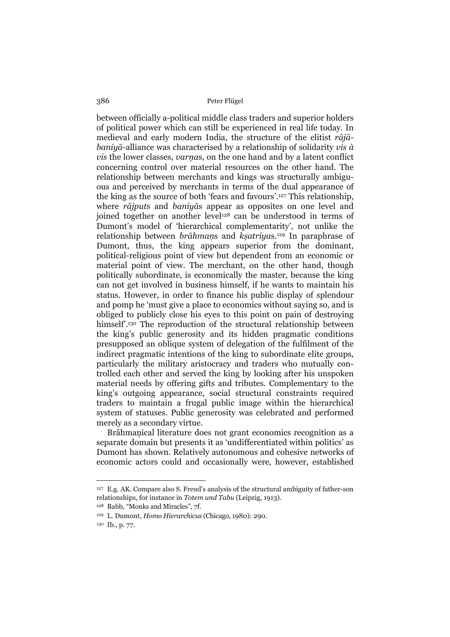between officially a-political middle class traders and superior holders of political power which can still be experienced in real life today. In medieval and early modern India, the structure of the elitist *rājābaniyā*-alliance was characterised by a relationship of solidarity *vis à vis* the lower classes, *varnas*, on the one hand and by a latent conflict concerning control over material resources on the other hand. The relationship between merchants and kings was structurally ambiguous and perceived by merchants in terms of the dual appearance of the king as the source of both 'fears and favours'.127 This relationship, where *rājput*s and *baniyā*s appear as opposites on one level and joined together on another level128 can be understood in terms of Dumont's model of 'hierarchical complementarity', not unlike the relationship between *brāhmaṇ*s and *kṣatriya*s.129 In paraphrase of Dumont, thus, the king appears superior from the dominant, political-religious point of view but dependent from an economic or material point of view. The merchant, on the other hand, though politically subordinate, is economically the master, because the king can not get involved in business himself, if he wants to maintain his status. However, in order to finance his public display of splendour and pomp he 'must give a place to economics without saying so, and is obliged to publicly close his eyes to this point on pain of destroying himself<sup>'.130</sup> The reproduction of the structural relationship between the king's public generosity and its hidden pragmatic conditions presupposed an oblique system of delegation of the fulfilment of the indirect pragmatic intentions of the king to subordinate elite groups, particularly the military aristocracy and traders who mutually controlled each other and served the king by looking after his unspoken material needs by offering gifts and tributes. Complementary to the king's outgoing appearance, social structural constraints required traders to maintain a frugal public image within the hierarchical system of statuses. Public generosity was celebrated and performed merely as a secondary virtue.

 Brāhmaṇical literature does not grant economics recognition as a separate domain but presents it as 'undifferentiated within politics' as Dumont has shown. Relatively autonomous and cohesive networks of economic actors could and occasionally were, however, established

<sup>127</sup> E.g. AK. Compare also S. Freud's analysis of the structural ambiguity of father-son relationships, for instance in *Totem und Tabu* (Leipzig, 1913).

<sup>128</sup> Babb, "Monks and Miracles", 7f.

<sup>129</sup> L. Dumont, *Homo Hierarchicus* (Chicago, 1980): 290.

<sup>130</sup> Ib., p. 77.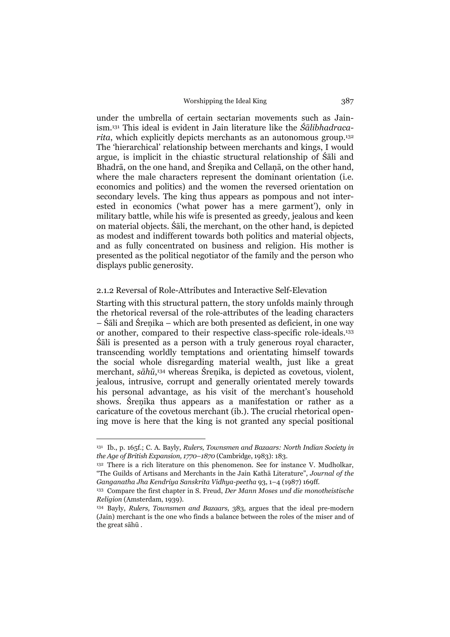under the umbrella of certain sectarian movements such as Jainism.131 This ideal is evident in Jain literature like the *Śālibhadracarita*, which explicitly depicts merchants as an autonomous group.<sup>132</sup> The 'hierarchical' relationship between merchants and kings, I would argue, is implicit in the chiastic structural relationship of Śāli and Bhadrā, on the one hand, and Śrenika and Cellanā, on the other hand, where the male characters represent the dominant orientation (i.e. economics and politics) and the women the reversed orientation on secondary levels. The king thus appears as pompous and not interested in economics ('what power has a mere garment'), only in military battle, while his wife is presented as greedy, jealous and keen on material objects. Śāli, the merchant, on the other hand, is depicted as modest and indifferent towards both politics and material objects, and as fully concentrated on business and religion. His mother is presented as the political negotiator of the family and the person who displays public generosity.

## 2.1.2 Reversal of Role-Attributes and Interactive Self-Elevation

Starting with this structural pattern, the story unfolds mainly through the rhetorical reversal of the role-attributes of the leading characters – Śāli and Śreṇika – which are both presented as deficient, in one way or another, compared to their respective class-specific role-ideals.133 Śāli is presented as a person with a truly generous royal character, transcending worldly temptations and orientating himself towards the social whole disregarding material wealth, just like a great merchant, *sāhū*, 134 whereas Śreṇika, is depicted as covetous, violent, jealous, intrusive, corrupt and generally orientated merely towards his personal advantage, as his visit of the merchant's household shows. Śreṇika thus appears as a manifestation or rather as a caricature of the covetous merchant (ib.). The crucial rhetorical opening move is here that the king is not granted any special positional

<sup>131</sup> Ib., p. 165f.; C. A. Bayly, *Rulers, Townsmen and Bazaars: North Indian Society in the Age of British Expansion, 1770–1870* (Cambridge, 1983): 183.

<sup>132</sup> There is a rich literature on this phenomenon. See for instance V. Mudholkar, "The Guilds of Artisans and Merchants in the Jain Kathā Literature", *Journal of the Ganganatha Jha Kendriya Sanskrita Vidhya-peetha* 93, 1–4 (1987) 169ff.

<sup>133</sup> Compare the first chapter in S. Freud, *Der Mann Moses und die monotheistische Religion* (Amsterdam, 1939).

<sup>134</sup> Bayly, *Rulers, Townsmen and Bazaars*, 383, argues that the ideal pre-modern (Jain) merchant is the one who finds a balance between the roles of the miser and of the great sāhū .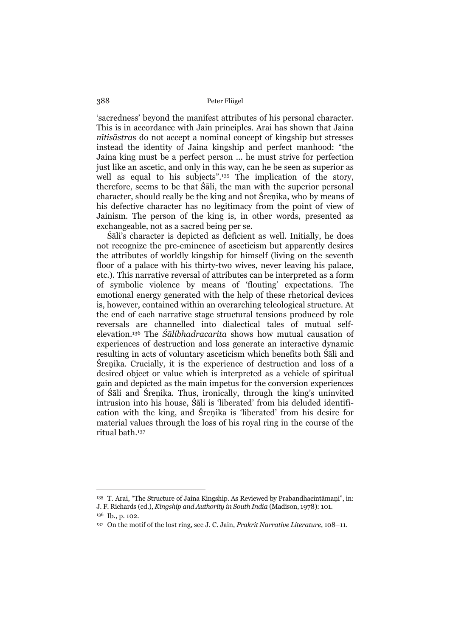'sacredness' beyond the manifest attributes of his personal character. This is in accordance with Jain principles. Arai has shown that Jaina *nītisāstra*s do not accept a nominal concept of kingship but stresses instead the identity of Jaina kingship and perfect manhood: "the Jaina king must be a perfect person ... he must strive for perfection just like an ascetic, and only in this way, can he be seen as superior as well as equal to his subjects".<sup>135</sup> The implication of the story, therefore, seems to be that Śāli, the man with the superior personal character, should really be the king and not Śreṇika, who by means of his defective character has no legitimacy from the point of view of Jainism. The person of the king is, in other words, presented as exchangeable, not as a sacred being per se.

Śāli's character is depicted as deficient as well. Initially, he does not recognize the pre-eminence of asceticism but apparently desires the attributes of worldly kingship for himself (living on the seventh floor of a palace with his thirty-two wives, never leaving his palace, etc.). This narrative reversal of attributes can be interpreted as a form of symbolic violence by means of 'flouting' expectations. The emotional energy generated with the help of these rhetorical devices is, however, contained within an overarching teleological structure. At the end of each narrative stage structural tensions produced by role reversals are channelled into dialectical tales of mutual selfelevation.136 The *Śālibhadracarita* shows how mutual causation of experiences of destruction and loss generate an interactive dynamic resulting in acts of voluntary asceticism which benefits both Śāli and Śreṇika. Crucially, it is the experience of destruction and loss of a desired object or value which is interpreted as a vehicle of spiritual gain and depicted as the main impetus for the conversion experiences of Śāli and Śreṇika. Thus, ironically, through the king's uninvited intrusion into his house, Śāli is 'liberated' from his deluded identification with the king, and Śreṇika is 'liberated' from his desire for material values through the loss of his royal ring in the course of the ritual bath.137

<sup>135</sup> T. Arai, "The Structure of Jaina Kingship. As Reviewed by Prabandhacintāmaṇi", in: J. F. Richards (ed.), *Kingship and Authority in South India* (Madison, 1978): 101.

<sup>136</sup> Ib., p. 102.

<sup>137</sup> On the motif of the lost ring, see J. C. Jain, *Prakrit Narrative Literature*, 108–11.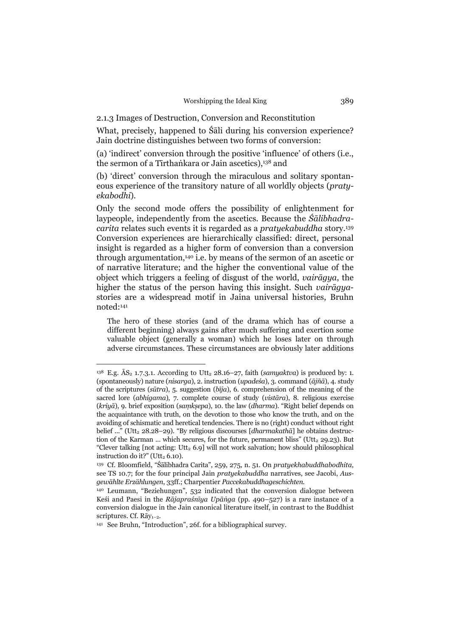2.1.3 Images of Destruction, Conversion and Reconstitution

What, precisely, happened to Śāli during his conversion experience? Jain doctrine distinguishes between two forms of conversion:

(a) 'indirect' conversion through the positive 'influence' of others (i.e., the sermon of a Tīrthaṅkara or Jain ascetics),138 and

(b) 'direct' conversion through the miraculous and solitary spontaneous experience of the transitory nature of all worldly objects (*pratyekabodhi*).

Only the second mode offers the possibility of enlightenment for laypeople, independently from the ascetics. Because the *Śālibhadracarita* relates such events it is regarded as a *pratyekabuddha* story.139 Conversion experiences are hierarchically classified: direct, personal insight is regarded as a higher form of conversion than a conversion through argumentation,140 i.e. by means of the sermon of an ascetic or of narrative literature; and the higher the conventional value of the object which triggers a feeling of disgust of the world, *vairāgya*, the higher the status of the person having this insight. Such *vairāgya*stories are a widespread motif in Jaina universal histories, Bruhn noted:141

The hero of these stories (and of the drama which has of course a different beginning) always gains after much suffering and exertion some valuable object (generally a woman) which he loses later on through adverse circumstances. These circumstances are obviously later additions

<sup>&</sup>lt;sup>138</sup> E.g.  $\bar{A}S_2$  1.7.3.1. According to Utt<sub>2</sub> 28.16–27, faith (*samyaktva*) is produced by: 1. (spontaneously) nature (*nisarga*), 2. instruction (*upadeśa*), 3. command (*ājñā*), 4. study of the scriptures (*sūtra*), 5. suggestion (*bīja*), 6. comprehension of the meaning of the sacred lore (*abhigama*), 7. complete course of study (*vistāra*), 8. religious exercise (*kriyā*), 9. brief exposition (*saṃkṣepa*), 10. the law (*dharma*). "Right belief depends on the acquaintance with truth, on the devotion to those who know the truth, and on the avoiding of schismatic and heretical tendencies. There is no (right) conduct without right belief ..." (Utt<sub>2</sub> 28.28–29). "By religious discourses [*dharmakatha*] he obtains destruction of the Karman ... which secures, for the future, permanent bliss" (Utt2 29.23). But "Clever talking  $[$ not acting: Utt<sub>2</sub> 6.9 $]$  will not work salvation; how should philosophical instruction do it?" (Utt $_2$  6.10).

<sup>139</sup> Cf. Bloomfield, "Śālibhadra Carita", 259, 275, n. 51. On *pratyekhabuddhabodhita*, see TS 10.7; for the four principal Jain *pratyekabuddha* narratives, see Jacobi, *Ausgewählte Erzählungen*, 33ff.; Charpentier *Paccekabuddhageschichten*.

<sup>140</sup> Leumann, "Beziehungen", 532 indicated that the conversion dialogue between Keśi and Paesi in the *Rājapraśnīya Upāṅga* (pp. 490–527) is a rare instance of a conversion dialogue in the Jain canonical literature itself, in contrast to the Buddhist scriptures. Cf. Rāy<sub>1-2</sub>.

<sup>141</sup> See Bruhn, "Introduction", 26f. for a bibliographical survey.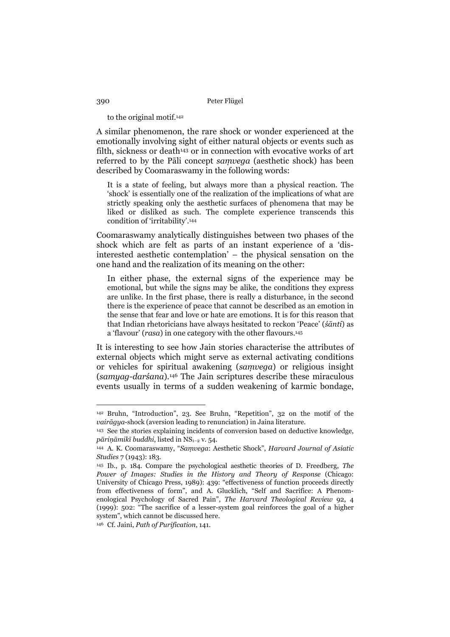## to the original motif.142

A similar phenomenon, the rare shock or wonder experienced at the emotionally involving sight of either natural objects or events such as filth, sickness or death<sup>143</sup> or in connection with evocative works of art referred to by the Pāli concept *saṃvega* (aesthetic shock) has been described by Coomaraswamy in the following words:

It is a state of feeling, but always more than a physical reaction. The 'shock' is essentially one of the realization of the implications of what are strictly speaking only the aesthetic surfaces of phenomena that may be liked or disliked as such. The complete experience transcends this condition of 'irritability'.144

Coomaraswamy analytically distinguishes between two phases of the shock which are felt as parts of an instant experience of a 'disinterested aesthetic contemplation' – the physical sensation on the one hand and the realization of its meaning on the other:

In either phase, the external signs of the experience may be emotional, but while the signs may be alike, the conditions they express are unlike. In the first phase, there is really a disturbance, in the second there is the experience of peace that cannot be described as an emotion in the sense that fear and love or hate are emotions. It is for this reason that that Indian rhetoricians have always hesitated to reckon 'Peace' (*śānti*) as a 'flavour' (*rasa*) in one category with the other flavours.145

It is interesting to see how Jain stories characterise the attributes of external objects which might serve as external activating conditions or vehicles for spiritual awakening (*saṃvega*) or religious insight (*samyag-darśana*).146 The Jain scriptures describe these miraculous events usually in terms of a sudden weakening of karmic bondage,

146 Cf. Jaini, *Path of Purification*, 141.

<sup>142</sup> Bruhn, "Introduction", 23. See Bruhn, "Repetition", 32 on the motif of the *vairāgya*-shock (aversion leading to renunciation) in Jaina literature.

<sup>143</sup> See the stories explaining incidents of conversion based on deductive knowledge, *pāriṇāmikī buddhi*, listed in NS1–2 v. 54.

<sup>144</sup> A. K. Coomaraswamy, "*Saṃvega*: Aesthetic Shock", *Harvard Journal of Asiatic Studies* 7 (1943): 183.

<sup>145</sup> Ib., p. 184. Compare the psychological aesthetic theories of D. Freedberg, *The Power of Images: Studies in the History and Theory of Response* (Chicago: University of Chicago Press, 1989): 439: "effectiveness of function proceeds directly from effectiveness of form", and A. Glucklich, "Self and Sacrifice: A Phenomenological Psychology of Sacred Pain", *The Harvard Theological Review* 92, 4 (1999): 502: "The sacrifice of a lesser-system goal reinforces the goal of a higher system", which cannot be discussed here.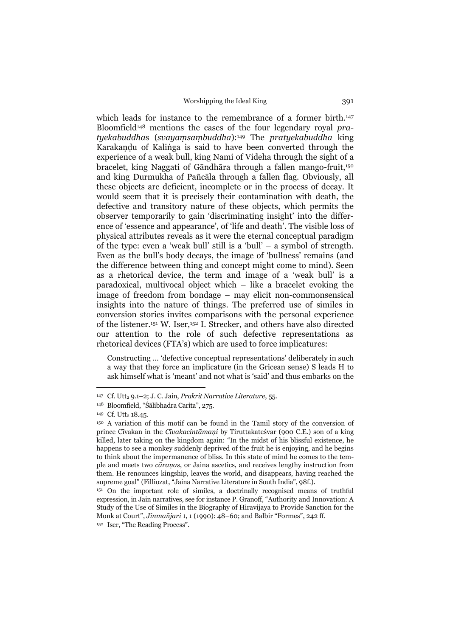which leads for instance to the remembrance of a former birth.<sup>147</sup> Bloomfield148 mentions the cases of the four legendary royal *pratyekabuddha*s (*svayaṃsaṃbuddha*):149 The *pratyekabuddha* king Karakaṇḍu of Kaliṅga is said to have been converted through the experience of a weak bull, king Nami of Videha through the sight of a bracelet, king Naggati of Gāndhāra through a fallen mango-fruit,150 and king Durmukha of Pañcāla through a fallen flag. Obviously, all these objects are deficient, incomplete or in the process of decay. It would seem that it is precisely their contamination with death, the defective and transitory nature of these objects, which permits the observer temporarily to gain 'discriminating insight' into the difference of 'essence and appearance', of 'life and death'. The visible loss of physical attributes reveals as it were the eternal conceptual paradigm of the type: even a 'weak bull' still is a 'bull' – a symbol of strength. Even as the bull's body decays, the image of 'bullness' remains (and the difference between thing and concept might come to mind). Seen as a rhetorical device, the term and image of a 'weak bull' is a paradoxical, multivocal object which – like a bracelet evoking the image of freedom from bondage – may elicit non-commonsensical insights into the nature of things. The preferred use of similes in conversion stories invites comparisons with the personal experience of the listener.151 W. Iser,152 I. Strecker, and others have also directed our attention to the role of such defective representations as rhetorical devices (FTA's) which are used to force implicatures:

Constructing ... 'defective conceptual representations' deliberately in such a way that they force an implicature (in the Gricean sense) S leads H to ask himself what is 'meant' and not what is 'said' and thus embarks on the

<sup>&</sup>lt;sup>147</sup> Cf. Utt<sub>2</sub> 9.1-2; J. C. Jain, *Prakrit Narrative Literature*, 55.

<sup>148</sup> Bloomfield, "Śālibhadra Carita", 275.

<sup>&</sup>lt;sup>149</sup> Cf. Utt<sub>2</sub> 18.45.

<sup>150</sup> A variation of this motif can be found in the Tamil story of the conversion of prince Cīvakan in the *Cīvakacintāmaṇi* by Tiruttakateśvar (900 C.E.) son of a king killed, later taking on the kingdom again: "In the midst of his blissful existence, he happens to see a monkey suddenly deprived of the fruit he is enjoying, and he begins to think about the impermanence of bliss. In this state of mind he comes to the temple and meets two *cāraṇas*, or Jaina ascetics, and receives lengthy instruction from them. He renounces kingship, leaves the world, and disappears, having reached the supreme goal" (Filliozat, "Jaina Narrative Literature in South India", 98f.).

<sup>151</sup> On the important role of similes, a doctrinally recognised means of truthful expression, in Jain narratives, see for instance P. Granoff, "Authority and Innovation: A Study of the Use of Similes in the Biography of Hiravijaya to Provide Sanction for the Monk at Court", *Jinmañjari* 1, 1 (1990): 48–60; and Balbir "Formes", 242 ff. 152 Iser, "The Reading Process".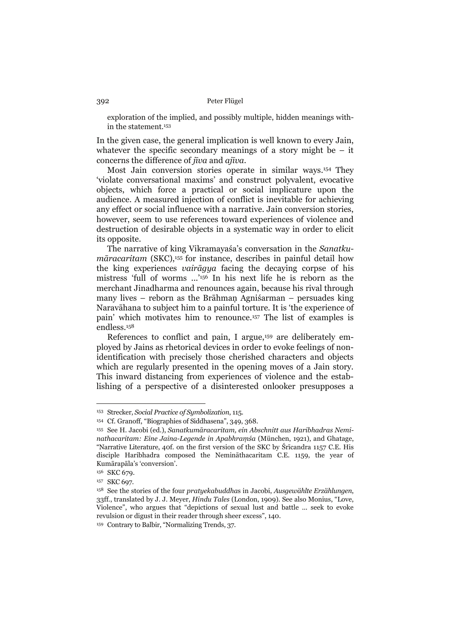exploration of the implied, and possibly multiple, hidden meanings within the statement.153

In the given case, the general implication is well known to every Jain, whatever the specific secondary meanings of a story might be  $-$  it concerns the difference of *jīva* and *ajīva*.

 Most Jain conversion stories operate in similar ways.154 They 'violate conversational maxims' and construct polyvalent, evocative objects, which force a practical or social implicature upon the audience. A measured injection of conflict is inevitable for achieving any effect or social influence with a narrative. Jain conversion stories, however, seem to use references toward experiences of violence and destruction of desirable objects in a systematic way in order to elicit its opposite.

 The narrative of king Vikramayaśa's conversation in the *Sanatkumāracaritam* (SKC),155 for instance, describes in painful detail how the king experiences *vairāgya* facing the decaying corpse of his mistress 'full of worms ...'156 In his next life he is reborn as the merchant Jinadharma and renounces again, because his rival through many lives – reborn as the Brāhmaṇ Agniśarman – persuades king Naravāhana to subject him to a painful torture. It is 'the experience of pain' which motivates him to renounce.157 The list of examples is endless.158

References to conflict and pain, I argue,<sup>159</sup> are deliberately employed by Jains as rhetorical devices in order to evoke feelings of nonidentification with precisely those cherished characters and objects which are regularly presented in the opening moves of a Jain story. This inward distancing from experiences of violence and the establishing of a perspective of a disinterested onlooker presupposes a

<sup>153</sup> Strecker, *Social Practice of Symbolization*, 115.

<sup>154</sup> Cf. Granoff, "Biographies of Siddhasena", 349, 368.

<sup>155</sup> See H. Jacobi (ed.), *Sanatkumāracaritam, ein Abschnitt aus Haribhadras Neminathacaritam: Eine Jaina-Legende in Apabhraṃśa* (München, 1921), and Ghatage, "Narrative Literature, 40f. on the first version of the SKC by Śrīcandra 1157 C.E. His disciple Haribhadra composed the Nemināthacaritam C.E. 1159, the year of Kumārapāla's 'conversion'.

<sup>&</sup>lt;sup>156</sup> SKC 679.

<sup>&</sup>lt;sup>157</sup> SKC 697.

<sup>158</sup> See the stories of the four *pratyekabuddha*s in Jacobi, *Ausgewählte Erzählungen*, 33ff., translated by J. J. Meyer, *Hindu Tales* (London, 1909). See also Monius, "Love, Violence", who argues that "depictions of sexual lust and battle ... seek to evoke revulsion or digust in their reader through sheer excess", 140.

<sup>159</sup> Contrary to Balbir, "Normalizing Trends, 37.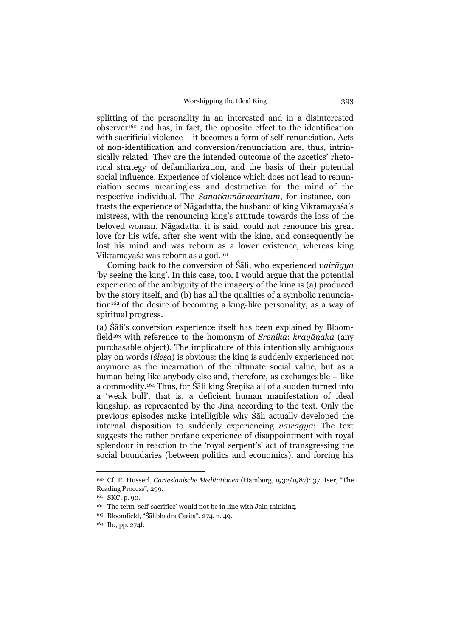splitting of the personality in an interested and in a disinterested observer160 and has, in fact, the opposite effect to the identification with sacrificial violence – it becomes a form of self-renunciation. Acts of non-identification and conversion/renunciation are, thus, intrinsically related. They are the intended outcome of the ascetics' rhetorical strategy of defamiliarization, and the basis of their potential social influence. Experience of violence which does not lead to renunciation seems meaningless and destructive for the mind of the respective individual. The *Sanatkumāracaritam*, for instance, contrasts the experience of Nāgadatta, the husband of king Vikramayaśa's mistress, with the renouncing king's attitude towards the loss of the beloved woman. Nāgadatta, it is said, could not renounce his great love for his wife, after she went with the king, and consequently he lost his mind and was reborn as a lower existence, whereas king Vikramayaśa was reborn as a god.161

 Coming back to the conversion of Śāli, who experienced *vairāgya*  'by seeing the king'. In this case, too, I would argue that the potential experience of the ambiguity of the imagery of the king is (a) produced by the story itself, and (b) has all the qualities of a symbolic renunciation162 of the desire of becoming a king-like personality, as a way of spiritual progress.

(a) Śāli's conversion experience itself has been explained by Bloomfield163 with reference to the homonym of *Śreṇika*: *krayāṇaka* (any purchasable object). The implicature of this intentionally ambiguous play on words (*śleṣa*) is obvious: the king is suddenly experienced not anymore as the incarnation of the ultimate social value, but as a human being like anybody else and, therefore, as exchangeable – like a commodity.164 Thus, for Śāli king Śreṇika all of a sudden turned into a 'weak bull', that is, a deficient human manifestation of ideal kingship, as represented by the Jina according to the text. Only the previous episodes make intelligible why Śāli actually developed the internal disposition to suddenly experiencing *vairāgya*: The text suggests the rather profane experience of disappointment with royal splendour in reaction to the 'royal serpent's' act of transgressing the social boundaries (between politics and economics), and forcing his

<sup>160</sup> Cf. E. Husserl, *Cartesianische Meditationen* (Hamburg, 1932/1987): 37; Iser, "The Reading Process", 299.

<sup>161</sup> SKC, p. 90.

<sup>162</sup> The term 'self-sacrifice' would not be in line with Jain thinking.

<sup>163</sup> Bloomfield, "Śālibhadra Carita", 274, n. 49.

<sup>164</sup> Ib., pp. 274f.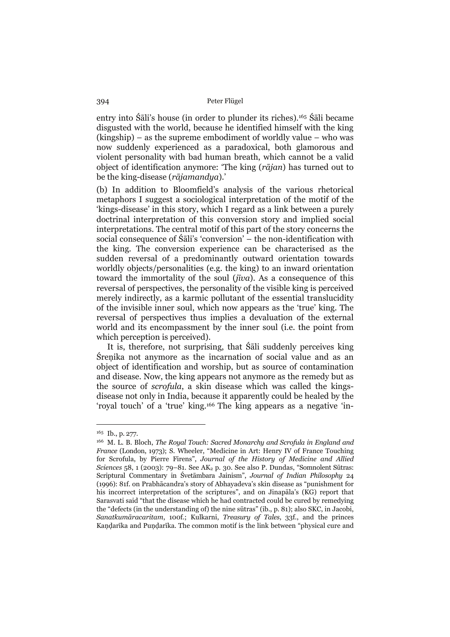entry into Śāli's house (in order to plunder its riches).165 Śāli became disgusted with the world, because he identified himself with the king (kingship) – as the supreme embodiment of worldly value – who was now suddenly experienced as a paradoxical, both glamorous and violent personality with bad human breath, which cannot be a valid object of identification anymore: 'The king (*rājan*) has turned out to be the king-disease (*rājamandya*).'

(b) In addition to Bloomfield's analysis of the various rhetorical metaphors I suggest a sociological interpretation of the motif of the 'kings-disease' in this story, which I regard as a link between a purely doctrinal interpretation of this conversion story and implied social interpretations. The central motif of this part of the story concerns the social consequence of Śāli's 'conversion' – the non-identification with the king. The conversion experience can be characterised as the sudden reversal of a predominantly outward orientation towards worldly objects/personalities (e.g. the king) to an inward orientation toward the immortality of the soul (*jīva*). As a consequence of this reversal of perspectives, the personality of the visible king is perceived merely indirectly, as a karmic pollutant of the essential translucidity of the invisible inner soul, which now appears as the 'true' king. The reversal of perspectives thus implies a devaluation of the external world and its encompassment by the inner soul (i.e. the point from which perception is perceived).

 It is, therefore, not surprising, that Śāli suddenly perceives king Śreṇika not anymore as the incarnation of social value and as an object of identification and worship, but as source of contamination and disease. Now, the king appears not anymore as the remedy but as the source of *scrofula*, a skin disease which was called the kingsdisease not only in India, because it apparently could be healed by the 'royal touch' of a 'true' king.166 The king appears as a negative 'in-

<sup>165</sup> Ib., p. 277.

<sup>166</sup> M. L. B. Bloch, *The Royal Touch: Sacred Monarchy and Scrofula in England and France* (London, 1973); S. Wheeler, "Medicine in Art: Henry IV of France Touching for Scrofula, by Pierre Firens", *Journal of the History of Medicine and Allied Sciences* 58, 1 (2003): 79–81. See AK<sub>2</sub> p. 30. See also P. Dundas, "Somnolent Sūtras: Scriptural Commentary in Śvetāmbara Jainism", *Journal of Indian Philosophy* 24 (1996): 81f. on Prabhācandra's story of Abhayadeva's skin disease as "punishment for his incorrect interpretation of the scriptures", and on Jinapāla's (KG) report that Sarasvati said "that the disease which he had contracted could be cured by remedying the "defects (in the understanding of) the nine sūtras" (ib., p. 81); also SKC, in Jacobi, *Sanatkumāracaritam*, 100f.; Kulkarni, *Treasury of Tales*, 33f., and the princes Kaṇḍarīka and Puṇḍarīka. The common motif is the link between "physical cure and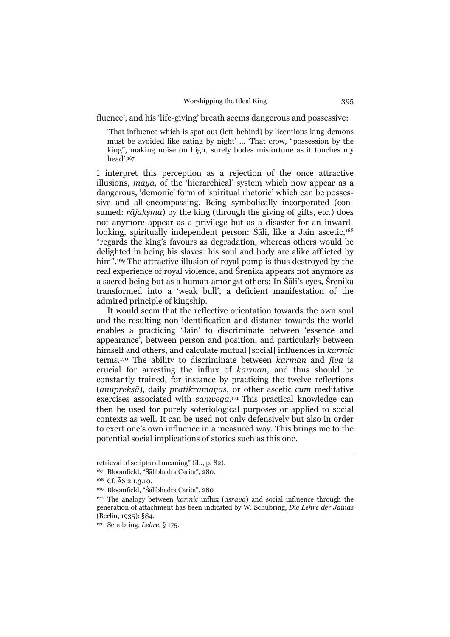fluence', and his 'life-giving' breath seems dangerous and possessive:

'That influence which is spat out (left-behind) by licentious king-demons must be avoided like eating by night' ... 'That crow, "possession by the king", making noise on high, surely bodes misfortune as it touches my head'.167

I interpret this perception as a rejection of the once attractive illusions, *māyā*, of the 'hierarchical' system which now appear as a dangerous, 'demonic' form of 'spiritual rhetoric' which can be possessive and all-encompassing. Being symbolically incorporated (consumed: *rājakṣma*) by the king (through the giving of gifts, etc.) does not anymore appear as a privilege but as a disaster for an inwardlooking, spiritually independent person: Śāli, like a Jain ascetic,<sup>168</sup> "regards the king's favours as degradation, whereas others would be delighted in being his slaves: his soul and body are alike afflicted by him".<sup>169</sup> The attractive illusion of royal pomp is thus destroyed by the real experience of royal violence, and Śreṇika appears not anymore as a sacred being but as a human amongst others: In Śāli's eyes, Śreṇika transformed into a 'weak bull', a deficient manifestation of the admired principle of kingship.

 It would seem that the reflective orientation towards the own soul and the resulting non-identification and distance towards the world enables a practicing 'Jain' to discriminate between 'essence and appearance', between person and position, and particularly between himself and others, and calculate mutual [social] influences in *karmic* terms.170 The ability to discriminate between *karman* and *jīva* is crucial for arresting the influx of *karman*, and thus should be constantly trained, for instance by practicing the twelve reflections (*anuprekṣā*), daily *pratikramaṇa*s, or other ascetic *cum* meditative exercises associated with *saṃvega*. 171 This practical knowledge can then be used for purely soteriological purposes or applied to social contexts as well. It can be used not only defensively but also in order to exert one's own influence in a measured way. This brings me to the potential social implications of stories such as this one.

retrieval of scriptural meaning" (ib., p. 82).

<sup>167</sup> Bloomfield, "Śālibhadra Carita", 280.

<sup>168</sup> Cf. ĀS 2.1.3.10.

<sup>169</sup> Bloomfield, "Śālibhadra Carita", 280

<sup>170</sup> The analogy between *karmic* influx (*āsrava*) and social influence through the generation of attachment has been indicated by W. Schubring, *Die Lehre der Jainas*  (Berlin, 1935): §84.

<sup>171</sup> Schubring, *Lehre*, § 175.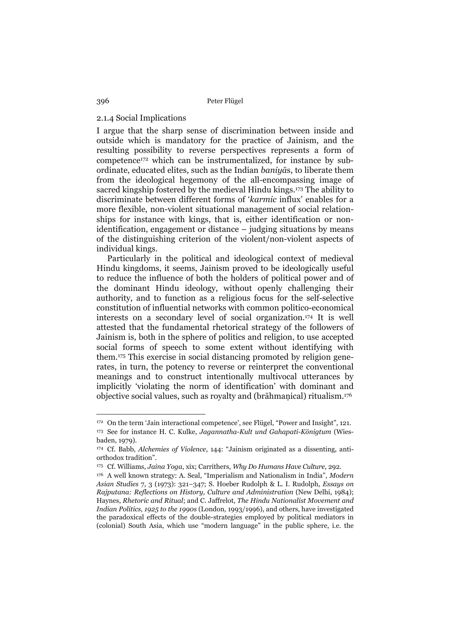# 2.1.4 Social Implications

I argue that the sharp sense of discrimination between inside and outside which is mandatory for the practice of Jainism, and the resulting possibility to reverse perspectives represents a form of competence172 which can be instrumentalized, for instance by subordinate, educated elites, such as the Indian *baniyā*s, to liberate them from the ideological hegemony of the all-encompassing image of sacred kingship fostered by the medieval Hindu kings.173 The ability to discriminate between different forms of '*karmic* influx' enables for a more flexible, non-violent situational management of social relationships for instance with kings, that is, either identification or nonidentification, engagement or distance – judging situations by means of the distinguishing criterion of the violent/non-violent aspects of individual kings.

 Particularly in the political and ideological context of medieval Hindu kingdoms, it seems, Jainism proved to be ideologically useful to reduce the influence of both the holders of political power and of the dominant Hindu ideology, without openly challenging their authority, and to function as a religious focus for the self-selective constitution of influential networks with common politico-economical interests on a secondary level of social organization.174 It is well attested that the fundamental rhetorical strategy of the followers of Jainism is, both in the sphere of politics and religion, to use accepted social forms of speech to some extent without identifying with them.175 This exercise in social distancing promoted by religion generates, in turn, the potency to reverse or reinterpret the conventional meanings and to construct intentionally multivocal utterances by implicitly 'violating the norm of identification' with dominant and objective social values, such as royalty and (brāhmaṇical) ritualism.176

<sup>172</sup> On the term 'Jain interactional competence', see Flügel, "Power and Insight", 121. 173 See for instance H. C. Kulke, *Jagannatha-Kult und Gahapati-Königtum* (Wiesbaden, 1979).

<sup>174</sup> Cf. Babb, *Alchemies of Violence*, 144: "Jainism originated as a dissenting, antiorthodox tradition".

<sup>175</sup> Cf. Williams, *Jaina Yoga*, xix; Carrithers, *Why Do Humans Have Culture*, 292.

<sup>176</sup> A well known strategy: A. Seal, "Imperialism and Nationalism in India", *Modern Asian Studies* 7, 3 (1973): 321–347; S. Hoeber Rudolph & L. I. Rudolph, *Essays on Rajputana: Reflections on History, Culture and Administration* (New Delhi, 1984); Haynes, *Rhetoric and Ritual*; and C. Jaffrelot, *The Hindu Nationalist Movement and Indian Politics, 1925 to the 1990s* (London, 1993/1996), and others, have investigated the paradoxical effects of the double-strategies employed by political mediators in (colonial) South Asia, which use "modern language" in the public sphere, i.e. the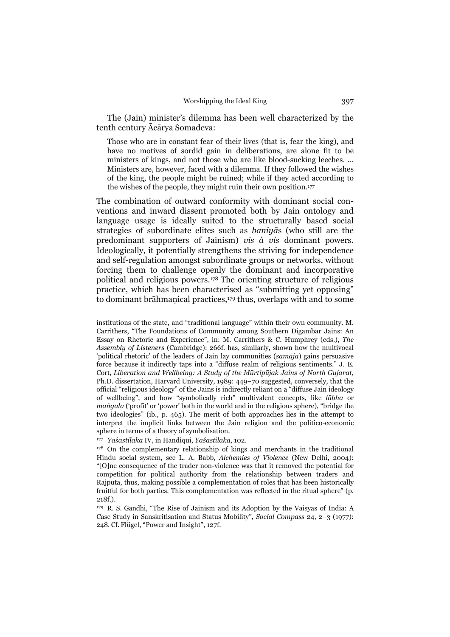The (Jain) minister's dilemma has been well characterized by the tenth century Ācārya Somadeva:

Those who are in constant fear of their lives (that is, fear the king), and have no motives of sordid gain in deliberations, are alone fit to be ministers of kings, and not those who are like blood-sucking leeches. ... Ministers are, however, faced with a dilemma. If they followed the wishes of the king, the people might be ruined; while if they acted according to the wishes of the people, they might ruin their own position.177

The combination of outward conformity with dominant social conventions and inward dissent promoted both by Jain ontology and language usage is ideally suited to the structurally based social strategies of subordinate elites such as *baniyā*s (who still are the predominant supporters of Jainism) *vis à vis* dominant powers. Ideologically, it potentially strengthens the striving for independence and self-regulation amongst subordinate groups or networks, without forcing them to challenge openly the dominant and incorporative political and religious powers.178 The orienting structure of religious practice, which has been characterised as "submitting yet opposing" to dominant brāhmaṇical practices,<sup>179</sup> thus, overlaps with and to some

177 *Yaśastilaka* IV, in Handiqui, *Yaśastilaka*, 102.

institutions of the state, and "traditional language" within their own community. M. Carrithers, "The Foundations of Community among Southern Digambar Jains: An Essay on Rhetoric and Experience", in: M. Carrithers & C. Humphrey (eds.), *The Assembly of Listeners* (Cambridge): 266f. has, similarly, shown how the multivocal 'political rhetoric' of the leaders of Jain lay communities (*samāja*) gains persuasive force because it indirectly taps into a "diffuse realm of religious sentiments." J. E. Cort, *Liberation and Wellbeing: A Study of the Mūrtipūjak Jains of North Gujarat*, Ph.D. dissertation, Harvard University, 1989: 449–70 suggested, conversely, that the official "religious ideology" of the Jains is indirectly reliant on a "diffuse Jain ideology of wellbeing", and how "symbolically rich" multivalent concepts, like *lābha* or *maṅgala* ('profit' or 'power' both in the world and in the religious sphere), "bridge the two ideologies" (ib., p. 465). The merit of both approaches lies in the attempt to interpret the implicit links between the Jain religion and the politico-economic sphere in terms of a theory of symbolisation.

<sup>178</sup> On the complementary relationship of kings and merchants in the traditional Hindu social system, see L. A. Babb, *Alchemies of Violence* (New Delhi, 2004): "[O]ne consequence of the trader non-violence was that it removed the potential for competition for political authority from the relationship between traders and Rājpūta, thus, making possible a complementation of roles that has been historically fruitful for both parties. This complementation was reflected in the ritual sphere" (p. 218f.).

<sup>179</sup> R. S. Gandhi, "The Rise of Jainism and its Adoption by the Vaisyas of India: A Case Study in Sanskritisation and Status Mobility", *Social Compass* 24, 2–3 (1977): 248. Cf. Flügel, "Power and Insight", 127f.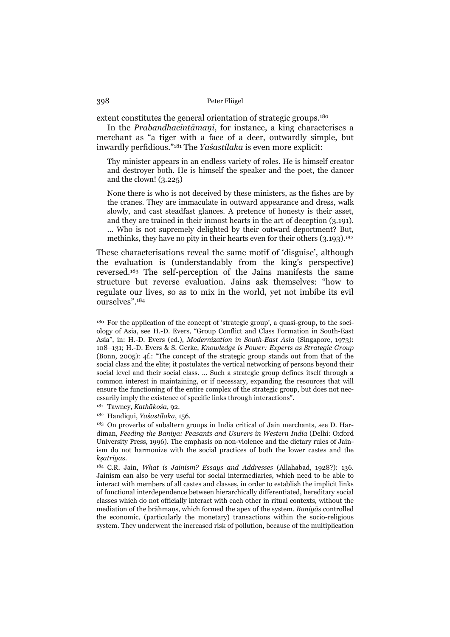extent constitutes the general orientation of strategic groups.180

 In the *Prabandhacintāmaṇi*, for instance, a king characterises a merchant as "a tiger with a face of a deer, outwardly simple, but inwardly perfidious."181 The *Yaśastilaka* is even more explicit:

Thy minister appears in an endless variety of roles. He is himself creator and destroyer both. He is himself the speaker and the poet, the dancer and the clown! (3.225)

None there is who is not deceived by these ministers, as the fishes are by the cranes. They are immaculate in outward appearance and dress, walk slowly, and cast steadfast glances. A pretence of honesty is their asset, and they are trained in their inmost hearts in the art of deception (3.191). ... Who is not supremely delighted by their outward deportment? But, methinks, they have no pity in their hearts even for their others (3.193).<sup>182</sup>

These characterisations reveal the same motif of 'disguise', although the evaluation is (understandably from the king's perspective) reversed.183 The self-perception of the Jains manifests the same structure but reverse evaluation. Jains ask themselves: "how to regulate our lives, so as to mix in the world, yet not imbibe its evil ourselves".184

<sup>180</sup> For the application of the concept of 'strategic group', a quasi-group, to the sociology of Asia, see H.-D. Evers, "Group Conflict and Class Formation in South-East Asia", in: H.-D. Evers (ed.), *Modernization in South-East Asia* (Singapore, 1973): 108–131; H.-D. Evers & S. Gerke, *Knowledge is Power: Experts as Strategic Group* (Bonn, 2005): 4f.: "The concept of the strategic group stands out from that of the social class and the elite; it postulates the vertical networking of persons beyond their social level and their social class. … Such a strategic group defines itself through a common interest in maintaining, or if necessary, expanding the resources that will ensure the functioning of the entire complex of the strategic group, but does not necessarily imply the existence of specific links through interactions".

<sup>181</sup> Tawney, *Kathākośa*, 92.

<sup>182</sup> Handiqui, *Yaśastilaka*, 156.

<sup>183</sup> On proverbs of subaltern groups in India critical of Jain merchants, see D. Hardiman, *Feeding the Baniya: Peasants and Usurers in Western India* (Delhi: Oxford University Press, 1996). The emphasis on non-violence and the dietary rules of Jainism do not harmonize with the social practices of both the lower castes and the *kṣatriya*s.

<sup>184</sup> C.R. Jain, *What is Jainism? Essays and Addresses* (Allahabad, 1928?): 136. Jainism can also be very useful for social intermediaries, which need to be able to interact with members of all castes and classes, in order to establish the implicit links of functional interdependence between hierarchically differentiated, hereditary social classes which do not officially interact with each other in ritual contexts, without the mediation of the brāhmaṇs, which formed the apex of the system. *Baniyā*s controlled the economic, (particularly the monetary) transactions within the socio-religious system. They underwent the increased risk of pollution, because of the multiplication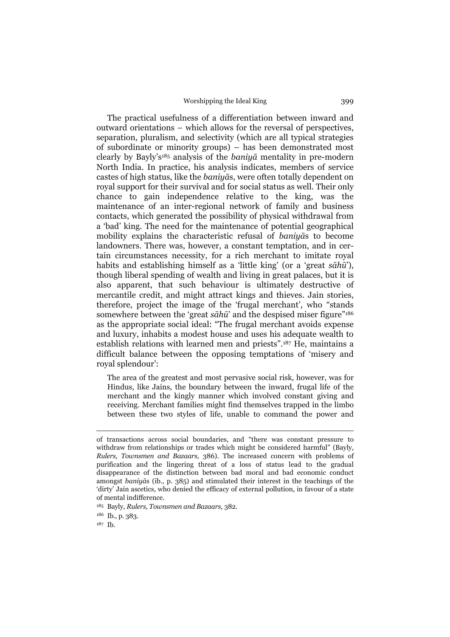The practical usefulness of a differentiation between inward and outward orientations – which allows for the reversal of perspectives, separation, pluralism, and selectivity (which are all typical strategies of subordinate or minority groups) – has been demonstrated most clearly by Bayly's185 analysis of the *baniyā* mentality in pre-modern North India. In practice, his analysis indicates, members of service castes of high status, like the *baniyā*s, were often totally dependent on royal support for their survival and for social status as well. Their only chance to gain independence relative to the king, was the maintenance of an inter-regional network of family and business contacts, which generated the possibility of physical withdrawal from a 'bad' king. The need for the maintenance of potential geographical mobility explains the characteristic refusal of *baniyā*s to become landowners. There was, however, a constant temptation, and in certain circumstances necessity, for a rich merchant to imitate royal habits and establishing himself as a 'little king' (or a 'great *sāhū*'), though liberal spending of wealth and living in great palaces, but it is also apparent, that such behaviour is ultimately destructive of mercantile credit, and might attract kings and thieves. Jain stories, therefore, project the image of the 'frugal merchant', who "stands somewhere between the 'great *sāhū*' and the despised miser figure"186 as the appropriate social ideal: "The frugal merchant avoids expense and luxury, inhabits a modest house and uses his adequate wealth to establish relations with learned men and priests".187 He, maintains a difficult balance between the opposing temptations of 'misery and royal splendour':

The area of the greatest and most pervasive social risk, however, was for Hindus, like Jains, the boundary between the inward, frugal life of the merchant and the kingly manner which involved constant giving and receiving. Merchant families might find themselves trapped in the limbo between these two styles of life, unable to command the power and

of transactions across social boundaries, and "there was constant pressure to withdraw from relationships or trades which might be considered harmful" (Bayly, *Rulers, Townsmen and Bazaars*, 386). The increased concern with problems of purification and the lingering threat of a loss of status lead to the gradual disappearance of the distinction between bad moral and bad economic conduct amongst *baniyā*s (ib., p. 385) and stimulated their interest in the teachings of the 'dirty' Jain ascetics, who denied the efficacy of external pollution, in favour of a state of mental indifference.

<sup>185</sup> Bayly, *Rulers, Townsmen and Bazaars*, 382.

<sup>186</sup> Ib., p. 383.

<sup>187</sup> Ib.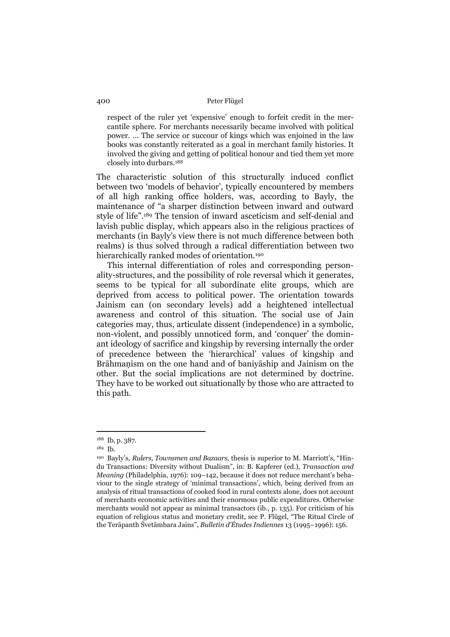respect of the ruler yet 'expensive' enough to forfeit credit in the mercantile sphere. For merchants necessarily became involved with political power. ... The service or succour of kings which was enjoined in the law books was constantly reiterated as a goal in merchant family histories. It involved the giving and getting of political honour and tied them yet more closely into durbars.188

The characteristic solution of this structurally induced conflict between two 'models of behavior', typically encountered by members of all high ranking office holders, was, according to Bayly, the maintenance of "a sharper distinction between inward and outward style of life".189 The tension of inward asceticism and self-denial and lavish public display, which appears also in the religious practices of merchants (in Bayly's view there is not much difference between both realms) is thus solved through a radical differentiation between two hierarchically ranked modes of orientation.<sup>190</sup>

 This internal differentiation of roles and corresponding personality-structures, and the possibility of role reversal which it generates, seems to be typical for all subordinate elite groups, which are deprived from access to political power. The orientation towards Jainism can (on secondary levels) add a heightened intellectual awareness and control of this situation. The social use of Jain categories may, thus, articulate dissent (independence) in a symbolic, non-violent, and possibly unnoticed form, and 'conquer' the dominant ideology of sacrifice and kingship by reversing internally the order of precedence between the 'hierarchical' values of kingship and Brāhmaṇism on the one hand and of baniyāship and Jainism on the other. But the social implications are not determined by doctrine. They have to be worked out situationally by those who are attracted to this path.

<sup>188</sup> Ib, p. 387.

<sup>189</sup> Ib.

<sup>190</sup> Bayly's, *Rulers, Townsmen and Bazaars*, thesis is superior to M. Marriott's, "Hindu Transactions: Diversity without Dualism", in: B. Kapferer (ed.), *Transaction and Meaning* (Philadelphia, 1976): 109–142, because it does not reduce merchant's behaviour to the single strategy of 'minimal transactions', which, being derived from an analysis of ritual transactions of cooked food in rural contexts alone, does not account of merchants economic activities and their enormous public expenditures. Otherwise merchants would not appear as minimal transactors (ib., p. 135). For criticism of his equation of religious status and monetary credit, see P. Flügel, "The Ritual Circle of the Terāpanth Śvetāmbara Jains", *Bulletin d'Études Indiennes* 13 (1995–1996): 156.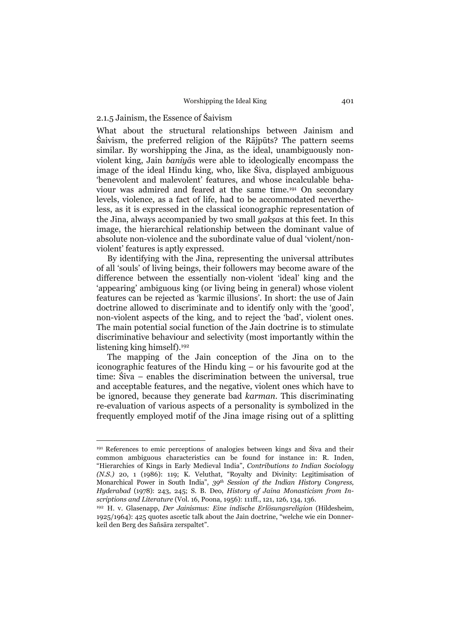# 2.1.5 Jainism, the Essence of Śaivism

 $\overline{a}$ 

What about the structural relationships between Jainism and Śaivism, the preferred religion of the Rājpūts? The pattern seems similar. By worshipping the Jina, as the ideal, unambiguously nonviolent king, Jain *baniyā*s were able to ideologically encompass the image of the ideal Hindu king, who, like Śiva, displayed ambiguous 'benevolent and malevolent' features, and whose incalculable behaviour was admired and feared at the same time.191 On secondary levels, violence, as a fact of life, had to be accommodated nevertheless, as it is expressed in the classical iconographic representation of the Jina, always accompanied by two small *yakṣa*s at this feet. In this image, the hierarchical relationship between the dominant value of absolute non-violence and the subordinate value of dual 'violent/nonviolent' features is aptly expressed.

 By identifying with the Jina, representing the universal attributes of all 'souls' of living beings, their followers may become aware of the difference between the essentially non-violent 'ideal' king and the 'appearing' ambiguous king (or living being in general) whose violent features can be rejected as 'karmic illusions'. In short: the use of Jain doctrine allowed to discriminate and to identify only with the 'good', non-violent aspects of the king, and to reject the 'bad', violent ones. The main potential social function of the Jain doctrine is to stimulate discriminative behaviour and selectivity (most importantly within the listening king himself).192

 The mapping of the Jain conception of the Jina on to the iconographic features of the Hindu king – or his favourite god at the time: Śiva – enables the discrimination between the universal, true and acceptable features, and the negative, violent ones which have to be ignored, because they generate bad *karman*. This discriminating re-evaluation of various aspects of a personality is symbolized in the frequently employed motif of the Jina image rising out of a splitting

<sup>191</sup> References to emic perceptions of analogies between kings and Śiva and their common ambiguous characteristics can be found for instance in: R. Inden, "Hierarchies of Kings in Early Medieval India", *Contributions to Indian Sociology (N.S.)* 20, 1 (1986): 119; K. Veluthat, "Royalty and Divinity: Legitimisation of Monarchical Power in South India", *39th Session of the Indian History Congress, Hyderabad* (1978): 243, 245; S. B. Deo, *History of Jaina Monasticism from Inscriptions and Literature* (Vol. 16, Poona, 1956): 111ff., 121, 126, 134, 136.

<sup>192</sup> H. v. Glasenapp, *Der Jainismus: Eine indische Erlösungsreligion* (Hildesheim, 1925/1964): 425 quotes ascetic talk about the Jain doctrine, "welche wie ein Donnerkeil den Berg des Sañsāra zerspaltet".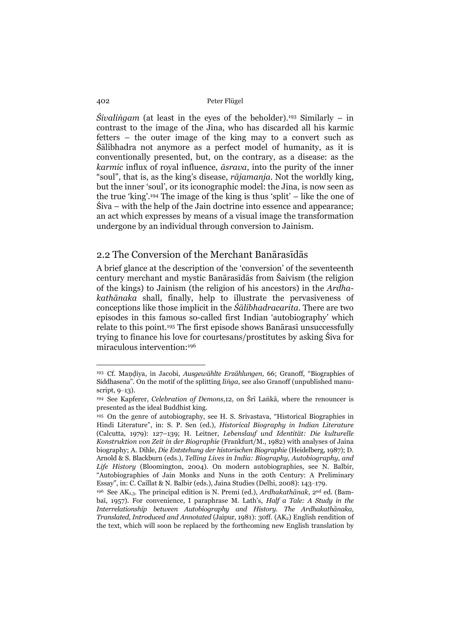*Śivaliṅgam* (at least in the eyes of the beholder).193 Similarly – in contrast to the image of the Jina, who has discarded all his karmic fetters – the outer image of the king may to a convert such as Śālibhadra not anymore as a perfect model of humanity, as it is conventionally presented, but, on the contrary, as a disease: as the *karmic* influx of royal influence, *āsrava*, into the purity of the inner "soul", that is, as the king's disease, *rājamanja*. Not the worldly king, but the inner 'soul', or its iconographic model: the Jina, is now seen as the true 'king'.194 The image of the king is thus 'split' – like the one of Śiva – with the help of the Jain doctrine into essence and appearance; an act which expresses by means of a visual image the transformation undergone by an individual through conversion to Jainism.

# 2.2 The Conversion of the Merchant Banārasīdās

A brief glance at the description of the 'conversion' of the seventeenth century merchant and mystic Banārasīdās from Śaivism (the religion of the kings) to Jainism (the religion of his ancestors) in the *Ardhakathānaka* shall, finally, help to illustrate the pervasiveness of conceptions like those implicit in the *Śālibhadracarita*. There are two episodes in this famous so-called first Indian 'autobiography' which relate to this point.195 The first episode shows Banārasī unsuccessfully trying to finance his love for courtesans/prostitutes by asking Śiva for miraculous intervention:196

<sup>193</sup> Cf. Maṇḍiya, in Jacobi, *Ausgewählte Erzählungen*, 66; Granoff, "Biographies of Siddhasena". On the motif of the splitting *liṅga*, see also Granoff (unpublished manuscript, 9–13).

<sup>194</sup> See Kapferer, *Celebration of Demons*,12, on Śrī Laṅkā, where the renouncer is presented as the ideal Buddhist king.

<sup>195</sup> On the genre of autobiography, see H. S. Srivastava, "Historical Biographies in Hindi Literature", in: S. P. Sen (ed.), *Historical Biography in Indian Literature* (Calcutta, 1979): 127–139; H. Leitner, *Lebenslauf und Identität: Die kulturelle Konstruktion von Zeit in der Biographie* (Frankfurt/M., 1982) with analyses of Jaina biography; A. Dihle, *Die Entstehung der historischen Biographie* (Heidelberg, 1987); D. Arnold & S. Blackburn (eds.), *Telling Lives in India: Biography, Autobiography, and Life History* (Bloomington, 2004). On modern autobiographies, see N. Balbir, "Autobiographies of Jain Monks and Nuns in the 20th Century: A Preliminary Essay", in: C. Caillat & N. Balbir (eds.), Jaina Studies (Delhi, 2008): 143–179.

<sup>196</sup> See AK1,3. The principal edition is N. Premi (ed.), *Ardhakathānak*, 2nd ed. (Bambaī, 1957). For convenience, I paraphrase M. Lath's, *Half a Tale: A Study in the Interrelationship between Autobiography and History*. *The Ardhakathānaka, Translated, Introduced and Annotated* (Jaipur, 1981): 30ff. (AK<sub>2</sub>) English rendition of the text, which will soon be replaced by the forthcoming new English translation by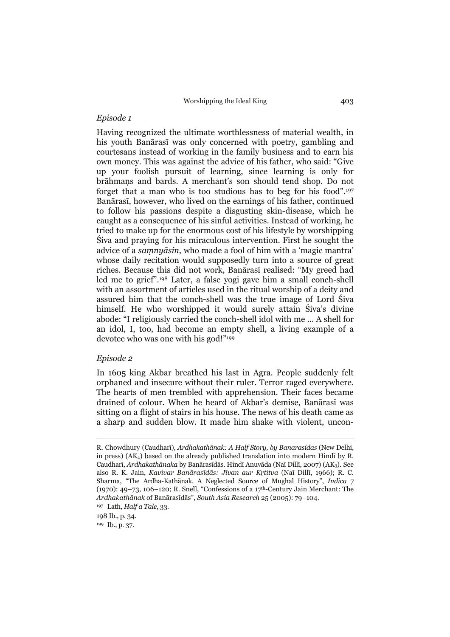# *Episode 1*

Having recognized the ultimate worthlessness of material wealth, in his youth Banārasī was only concerned with poetry, gambling and courtesans instead of working in the family business and to earn his own money. This was against the advice of his father, who said: "Give up your foolish pursuit of learning, since learning is only for brāhmaṇs and bards. A merchant's son should tend shop. Do not forget that a man who is too studious has to beg for his food".197 Banārasī, however, who lived on the earnings of his father, continued to follow his passions despite a disgusting skin-disease, which he caught as a consequence of his sinful activities. Instead of working, he tried to make up for the enormous cost of his lifestyle by worshipping Śiva and praying for his miraculous intervention. First he sought the advice of a *saṃnyāsin*, who made a fool of him with a 'magic mantra' whose daily recitation would supposedly turn into a source of great riches. Because this did not work, Banārasī realised: "My greed had led me to grief".198 Later, a false yogi gave him a small conch-shell with an assortment of articles used in the ritual worship of a deity and assured him that the conch-shell was the true image of Lord Śiva himself. He who worshipped it would surely attain Śiva's divine abode: "I religiously carried the conch-shell idol with me ... A shell for an idol, I, too, had become an empty shell, a living example of a devotee who was one with his god!"199

# *Episode 2*

 $\overline{a}$ 

In 1605 king Akbar breathed his last in Agra. People suddenly felt orphaned and insecure without their ruler. Terror raged everywhere. The hearts of men trembled with apprehension. Their faces became drained of colour. When he heard of Akbar's demise, Banārasī was sitting on a flight of stairs in his house. The news of his death came as a sharp and sudden blow. It made him shake with violent, uncon-

198 Ib., p. 34.

R. Chowdhury (Caudharī), *Ardhakathānak: A Half Story, by Banarasidas* (New Delhi, in press) (AK4) based on the already published translation into modern Hindī by R. Caudharī, *Ardhakathānaka* by Banārasīdās. Hindī Anuvāda (Naī Dillī, 2007) (AK3). See also R. K. Jain, *Kavivar Banārasīdās: Jīvan aur Kṛtitva* (Naī Dillī, 1966); R. C. Sharma, "The Ardha-Kathānak. A Neglected Source of Mughal History", *Indica* 7 (1970): 49–73, 106–120; R. Snell, "Confessions of a 17th-Century Jain Merchant: The *Ardhakathānak* of Banārasīdās", *South Asia Research* 25 (2005): 79–104.

<sup>197</sup> Lath, *Half a Tale*, 33.

<sup>199</sup> Ib., p. 37.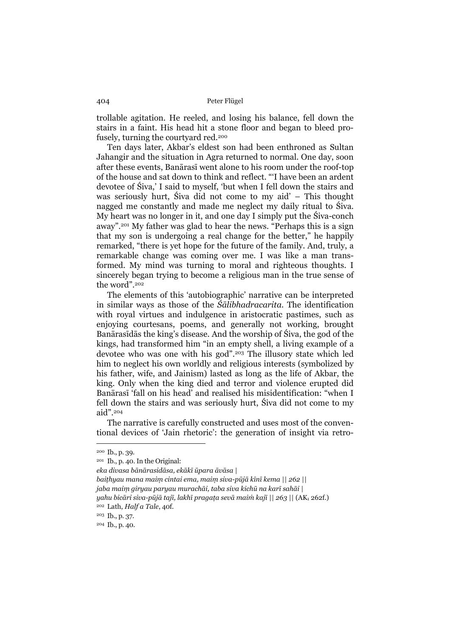trollable agitation. He reeled, and losing his balance, fell down the stairs in a faint. His head hit a stone floor and began to bleed profusely, turning the courtyard red.200

 Ten days later, Akbar's eldest son had been enthroned as Sultan Jahangir and the situation in Agra returned to normal. One day, soon after these events, Banārasī went alone to his room under the roof-top of the house and sat down to think and reflect. "'I have been an ardent devotee of Śiva,' I said to myself, 'but when I fell down the stairs and was seriously hurt, Śiva did not come to my aid' – This thought nagged me constantly and made me neglect my daily ritual to Śiva. My heart was no longer in it, and one day I simply put the Śiva-conch away".201 My father was glad to hear the news. "Perhaps this is a sign that my son is undergoing a real change for the better," he happily remarked, "there is yet hope for the future of the family. And, truly, a remarkable change was coming over me. I was like a man transformed. My mind was turning to moral and righteous thoughts. I sincerely began trying to become a religious man in the true sense of the word".202

 The elements of this 'autobiographic' narrative can be interpreted in similar ways as those of the *Śālibhadracarita*. The identification with royal virtues and indulgence in aristocratic pastimes, such as enjoying courtesans, poems, and generally not working, brought Banārasīdās the king's disease. And the worship of Śiva, the god of the kings, had transformed him "in an empty shell, a living example of a devotee who was one with his god".203 The illusory state which led him to neglect his own worldly and religious interests (symbolized by his father, wife, and Jainism) lasted as long as the life of Akbar, the king. Only when the king died and terror and violence erupted did Banārasī 'fall on his head' and realised his misidentification: "when I fell down the stairs and was seriously hurt, Śiva did not come to my aid".204

 The narrative is carefully constructed and uses most of the conventional devices of 'Jain rhetoric': the generation of insight via retro-

<sup>200</sup> Ib., p. 39.

<sup>201</sup> Ib., p. 40. In the Original:

*eka divasa bānārasidāsa, ekākī ūpara āvāsa |* 

*baiṭhyau mana maiṃ cintai ema, maiṃ siva-pūjā kīnī kema || 262 || jaba maiṃ giryau paryau murachāi, taba siva kichū na karī sahāi |* 

*yahu bicāri siva-pūjā tajī, lakhī pragaṭa sevā maiṁ kajī || 263 ||* (AK1 262f.)

<sup>202</sup> Lath, *Half a Tale*, 40f.

<sup>203</sup> Ib., p. 37.

<sup>204</sup> Ib., p. 40.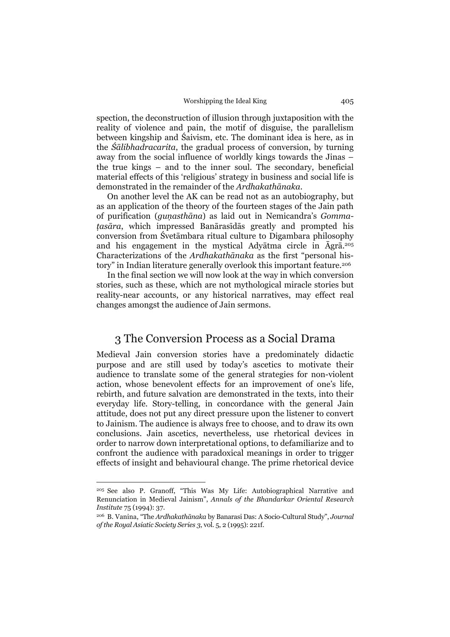spection, the deconstruction of illusion through juxtaposition with the reality of violence and pain, the motif of disguise, the parallelism between kingship and Śaivism, etc. The dominant idea is here, as in the *Śālibhadracarita*, the gradual process of conversion, by turning away from the social influence of worldly kings towards the Jinas – the true kings – and to the inner soul. The secondary, beneficial material effects of this 'religious' strategy in business and social life is demonstrated in the remainder of the *Ardhakathānaka*.

 On another level the AK can be read not as an autobiography, but as an application of the theory of the fourteen stages of the Jain path of purification (*guṇasthāna*) as laid out in Nemicandra's *Gommaṭasāra*, which impressed Banārasīdās greatly and prompted his conversion from Śvetāmbara ritual culture to Digambara philosophy and his engagement in the mystical Adyātma circle in Āgrā.205 Characterizations of the *Ardhakathānaka* as the first "personal history" in Indian literature generally overlook this important feature.206

 In the final section we will now look at the way in which conversion stories, such as these, which are not mythological miracle stories but reality-near accounts, or any historical narratives, may effect real changes amongst the audience of Jain sermons.

# 3 The Conversion Process as a Social Drama

Medieval Jain conversion stories have a predominately didactic purpose and are still used by today's ascetics to motivate their audience to translate some of the general strategies for non-violent action, whose benevolent effects for an improvement of one's life, rebirth, and future salvation are demonstrated in the texts, into their everyday life. Story-telling, in concordance with the general Jain attitude, does not put any direct pressure upon the listener to convert to Jainism. The audience is always free to choose, and to draw its own conclusions. Jain ascetics, nevertheless, use rhetorical devices in order to narrow down interpretational options, to defamiliarize and to confront the audience with paradoxical meanings in order to trigger effects of insight and behavioural change. The prime rhetorical device

<sup>205</sup> See also P. Granoff, "This Was My Life: Autobiographical Narrative and Renunciation in Medieval Jainism", *Annals of the Bhandarkar Oriental Research Institute* 75 (1994): 37.

<sup>206</sup> B. Vanina, "The *Ardhakathānaka* by Banarasi Das: A Socio-Cultural Study", *Journal of the Royal Asiatic Society Series 3*, vol. 5, 2 (1995): 221f.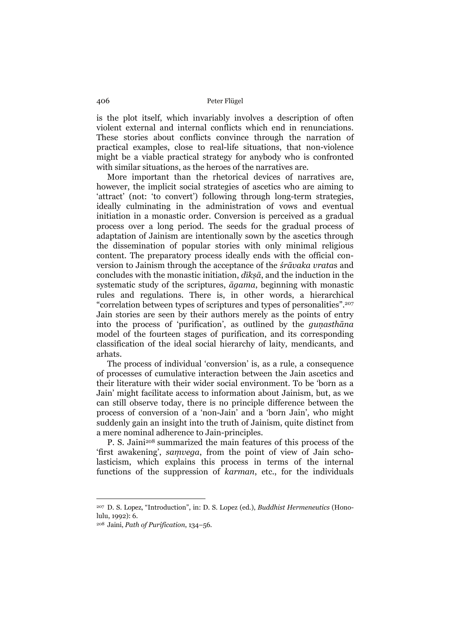is the plot itself, which invariably involves a description of often violent external and internal conflicts which end in renunciations. These stories about conflicts convince through the narration of practical examples, close to real-life situations, that non-violence might be a viable practical strategy for anybody who is confronted with similar situations, as the heroes of the narratives are.

 More important than the rhetorical devices of narratives are, however, the implicit social strategies of ascetics who are aiming to 'attract' (not: 'to convert') following through long-term strategies, ideally culminating in the administration of vows and eventual initiation in a monastic order. Conversion is perceived as a gradual process over a long period. The seeds for the gradual process of adaptation of Jainism are intentionally sown by the ascetics through the dissemination of popular stories with only minimal religious content. The preparatory process ideally ends with the official conversion to Jainism through the acceptance of the *śrāvaka vrata*s and concludes with the monastic initiation, *dīkṣā*, and the induction in the systematic study of the scriptures, *āgama*, beginning with monastic rules and regulations. There is, in other words, a hierarchical "correlation between types of scriptures and types of personalities".207 Jain stories are seen by their authors merely as the points of entry into the process of 'purification', as outlined by the *guṇasthāna*  model of the fourteen stages of purification, and its corresponding classification of the ideal social hierarchy of laity, mendicants, and arhats.

 The process of individual 'conversion' is, as a rule, a consequence of processes of cumulative interaction between the Jain ascetics and their literature with their wider social environment. To be 'born as a Jain' might facilitate access to information about Jainism, but, as we can still observe today, there is no principle difference between the process of conversion of a 'non-Jain' and a 'born Jain', who might suddenly gain an insight into the truth of Jainism, quite distinct from a mere nominal adherence to Jain-principles.

 P. S. Jaini208 summarized the main features of this process of the 'first awakening', *saṃvega*, from the point of view of Jain scholasticism, which explains this process in terms of the internal functions of the suppression of *karman*, etc., for the individuals

<sup>207</sup> D. S. Lopez, "Introduction", in: D. S. Lopez (ed.), *Buddhist Hermeneutics* (Honolulu, 1992): 6.

<sup>208</sup> Jaini, *Path of Purification*, 134–56.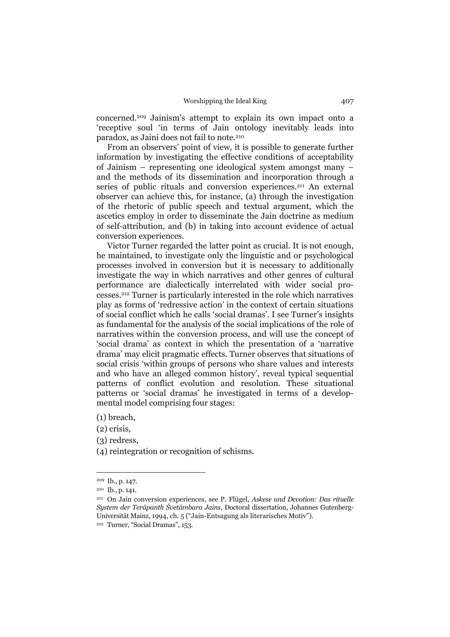concerned.209 Jainism's attempt to explain its own impact onto a 'receptive soul 'in terms of Jain ontology inevitably leads into paradox, as Jaini does not fail to note.210

 From an observers' point of view, it is possible to generate further information by investigating the effective conditions of acceptability of Jainism – representing one ideological system amongst many – and the methods of its dissemination and incorporation through a series of public rituals and conversion experiences.<sup>211</sup> An external observer can achieve this, for instance, (a) through the investigation of the rhetoric of public speech and textual argument, which the ascetics employ in order to disseminate the Jain doctrine as medium of self-attribution, and (b) in taking into account evidence of actual conversion experiences.

 Victor Turner regarded the latter point as crucial. It is not enough, he maintained, to investigate only the linguistic and or psychological processes involved in conversion but it is necessary to additionally investigate the way in which narratives and other genres of cultural performance are dialectically interrelated with wider social processes.212 Turner is particularly interested in the role which narratives play as forms of 'redressive action' in the context of certain situations of social conflict which he calls 'social dramas'. I see Turner's insights as fundamental for the analysis of the social implications of the role of narratives within the conversion process, and will use the concept of 'social drama' as context in which the presentation of a 'narrative drama' may elicit pragmatic effects. Turner observes that situations of social crisis 'within groups of persons who share values and interests and who have an alleged common history', reveal typical sequential patterns of conflict evolution and resolution. These situational patterns or 'social dramas' he investigated in terms of a developmental model comprising four stages:

(1) breach,

(2) crisis,

(3) redress,

(4) reintegration or recognition of schisms.

<sup>209</sup> Ib., p. 147.

<sup>210</sup> Ib., p. 141.

<sup>211</sup> On Jain conversion experiences, see P. Flügel, *Askese und Devotion: Das rituelle System der Terāpanth Śvetāmbara Jains*, Doctoral dissertation, Johannes Gutenberg-Universität Mainz, 1994, ch. 5 ("Jain-Entsagung als literarisches Motiv").

<sup>212</sup> Turner, "Social Dramas", 153.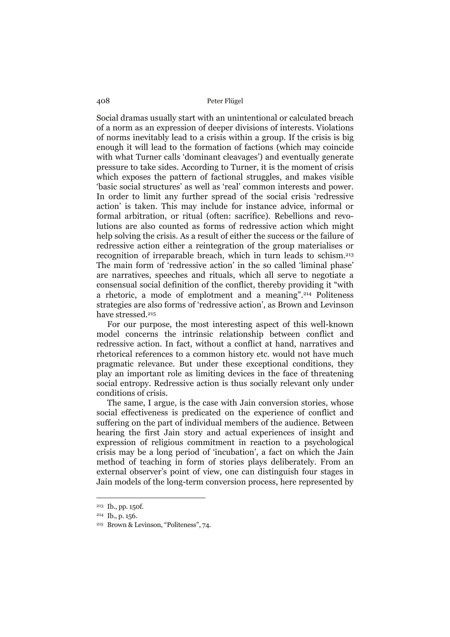Social dramas usually start with an unintentional or calculated breach of a norm as an expression of deeper divisions of interests. Violations of norms inevitably lead to a crisis within a group. If the crisis is big enough it will lead to the formation of factions (which may coincide with what Turner calls 'dominant cleavages') and eventually generate pressure to take sides. According to Turner, it is the moment of crisis which exposes the pattern of factional struggles, and makes visible 'basic social structures' as well as 'real' common interests and power. In order to limit any further spread of the social crisis 'redressive action' is taken. This may include for instance advice, informal or formal arbitration, or ritual (often: sacrifice). Rebellions and revolutions are also counted as forms of redressive action which might help solving the crisis. As a result of either the success or the failure of redressive action either a reintegration of the group materialises or recognition of irreparable breach, which in turn leads to schism.213 The main form of 'redressive action' in the so called 'liminal phase' are narratives, speeches and rituals, which all serve to negotiate a consensual social definition of the conflict, thereby providing it "with a rhetoric, a mode of emplotment and a meaning".214 Politeness strategies are also forms of 'redressive action', as Brown and Levinson have stressed.<sup>215</sup>

 For our purpose, the most interesting aspect of this well-known model concerns the intrinsic relationship between conflict and redressive action. In fact, without a conflict at hand, narratives and rhetorical references to a common history etc. would not have much pragmatic relevance. But under these exceptional conditions, they play an important role as limiting devices in the face of threatening social entropy. Redressive action is thus socially relevant only under conditions of crisis.

 The same, I argue, is the case with Jain conversion stories, whose social effectiveness is predicated on the experience of conflict and suffering on the part of individual members of the audience. Between hearing the first Jain story and actual experiences of insight and expression of religious commitment in reaction to a psychological crisis may be a long period of 'incubation', a fact on which the Jain method of teaching in form of stories plays deliberately. From an external observer's point of view, one can distinguish four stages in Jain models of the long-term conversion process, here represented by

<sup>213</sup> Ib., pp. 150f.

<sup>214</sup> Ib., p. 156.

<sup>215</sup> Brown & Levinson, "Politeness", 74.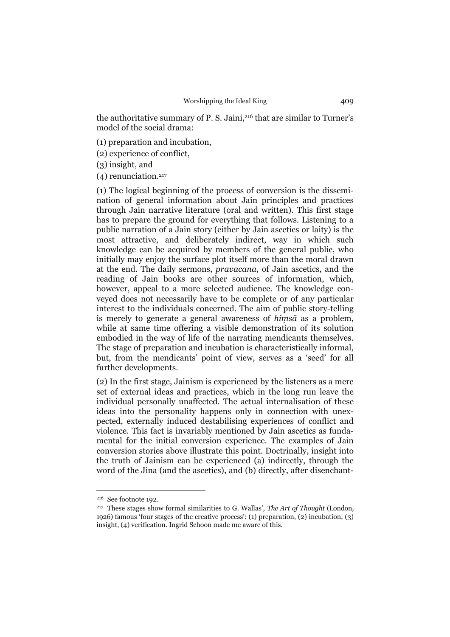the authoritative summary of P. S. Jaini,<sup>216</sup> that are similar to Turner's model of the social drama:

(1) preparation and incubation,

(2) experience of conflict,

(3) insight, and

 $(4)$  renunciation.<sup>217</sup>

(1) The logical beginning of the process of conversion is the dissemination of general information about Jain principles and practices through Jain narrative literature (oral and written). This first stage has to prepare the ground for everything that follows. Listening to a public narration of a Jain story (either by Jain ascetics or laity) is the most attractive, and deliberately indirect, way in which such knowledge can be acquired by members of the general public, who initially may enjoy the surface plot itself more than the moral drawn at the end. The daily sermons, *pravacana*, of Jain ascetics, and the reading of Jain books are other sources of information, which, however, appeal to a more selected audience. The knowledge conveyed does not necessarily have to be complete or of any particular interest to the individuals concerned. The aim of public story-telling is merely to generate a general awareness of *hiṃsā* as a problem, while at same time offering a visible demonstration of its solution embodied in the way of life of the narrating mendicants themselves. The stage of preparation and incubation is characteristically informal, but, from the mendicants' point of view, serves as a 'seed' for all further developments.

(2) In the first stage, Jainism is experienced by the listeners as a mere set of external ideas and practices, which in the long run leave the individual personally unaffected. The actual internalisation of these ideas into the personality happens only in connection with unexpected, externally induced destabilising experiences of conflict and violence. This fact is invariably mentioned by Jain ascetics as fundamental for the initial conversion experience. The examples of Jain conversion stories above illustrate this point. Doctrinally, insight into the truth of Jainism can be experienced (a) indirectly, through the word of the Jina (and the ascetics), and (b) directly, after disenchant-

<sup>216</sup> See footnote 192.

<sup>217</sup> These stages show formal similarities to G. Wallas', *The Art of Thought* (London, 1926) famous 'four stages of the creative process': (1) preparation, (2) incubation, (3) insight, (4) verification. Ingrid Schoon made me aware of this.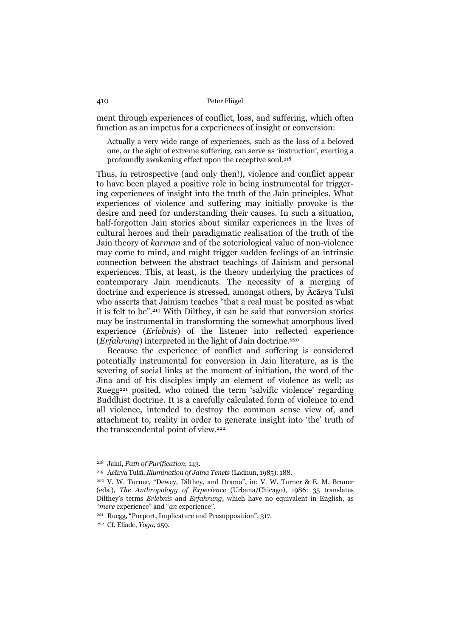ment through experiences of conflict, loss, and suffering, which often function as an impetus for a experiences of insight or conversion:

Actually a very wide range of experiences, such as the loss of a beloved one, or the sight of extreme suffering, can serve as 'instruction', exerting a profoundly awakening effect upon the receptive soul.218

Thus, in retrospective (and only then!), violence and conflict appear to have been played a positive role in being instrumental for triggering experiences of insight into the truth of the Jain principles. What experiences of violence and suffering may initially provoke is the desire and need for understanding their causes. In such a situation, half-forgotten Jain stories about similar experiences in the lives of cultural heroes and their paradigmatic realisation of the truth of the Jain theory of *karman* and of the soteriological value of non-violence may come to mind, and might trigger sudden feelings of an intrinsic connection between the abstract teachings of Jainism and personal experiences. This, at least, is the theory underlying the practices of contemporary Jain mendicants. The necessity of a merging of doctrine and experience is stressed, amongst others, by Ācārya Tulsī who asserts that Jainism teaches "that a real must be posited as what it is felt to be".219 With Dilthey, it can be said that conversion stories may be instrumental in transforming the somewhat amorphous lived experience (*Erlebnis*) of the listener into reflected experience (*Erfahrung*) interpreted in the light of Jain doctrine.<sup>220</sup>

 Because the experience of conflict and suffering is considered potentially instrumental for conversion in Jain literature, as is the severing of social links at the moment of initiation, the word of the Jina and of his disciples imply an element of violence as well; as Ruegg221 posited, who coined the term 'salvific violence' regarding Buddhist doctrine. It is a carefully calculated form of violence to end all violence, intended to destroy the common sense view of, and attachment to, reality in order to generate insight into 'the' truth of the transcendental point of view.<sup>222</sup>

<sup>218</sup> Jaini, *Path of Purification*, 143.

<sup>219</sup>Ācārya Tulsī, *Illumination of Jaina Tenets* (Ladnun, 1985): 188.

<sup>220</sup> V. W. Turner, "Dewey, Dilthey, and Drama", in: V. W. Turner & E. M. Bruner (eds.), *The Anthropology of Experience* (Urbana/Chicago), 1986: 35 translates Dilthey's terms *Erlebnis* and *Erfahrung*, which have no equivalent in English, as "*mere* experience" and "*an* experience".

<sup>221</sup> Ruegg, "Purport, Implicature and Presupposition", 317.

<sup>222</sup> Cf. Eliade, *Yoga*, 259.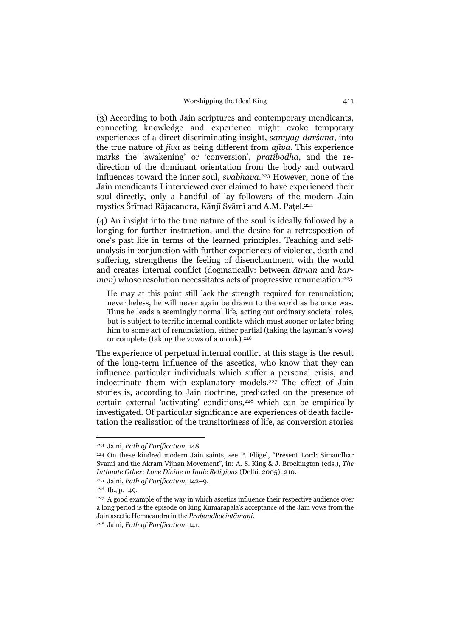(3) According to both Jain scriptures and contemporary mendicants, connecting knowledge and experience might evoke temporary experiences of a direct discriminating insight, *samyag-darśana*, into the true nature of *jīva* as being different from *ajīva*. This experience marks the 'awakening' or 'conversion', *pratibodha*, and the redirection of the dominant orientation from the body and outward influences toward the inner soul, *svabhava*.223 However, none of the Jain mendicants I interviewed ever claimed to have experienced their soul directly, only a handful of lay followers of the modern Jain mystics Śrīmad Rājacandra, Kānjī Svāmī and A.M. Paṭel.224

(4) An insight into the true nature of the soul is ideally followed by a longing for further instruction, and the desire for a retrospection of one's past life in terms of the learned principles. Teaching and selfanalysis in conjunction with further experiences of violence, death and suffering, strengthens the feeling of disenchantment with the world and creates internal conflict (dogmatically: between *ātman* and *karman*) whose resolution necessitates acts of progressive renunciation:<sup>225</sup>

He may at this point still lack the strength required for renunciation; nevertheless, he will never again be drawn to the world as he once was. Thus he leads a seemingly normal life, acting out ordinary societal roles, but is subject to terrific internal conflicts which must sooner or later bring him to some act of renunciation, either partial (taking the layman's vows) or complete (taking the vows of a monk).226

The experience of perpetual internal conflict at this stage is the result of the long-term influence of the ascetics, who know that they can influence particular individuals which suffer a personal crisis, and indoctrinate them with explanatory models.227 The effect of Jain stories is, according to Jain doctrine, predicated on the presence of certain external 'activating' conditions,228 which can be empirically investigated. Of particular significance are experiences of death faciletation the realisation of the transitoriness of life, as conversion stories

<sup>223</sup> Jaini, *Path of Purification*, 148.

<sup>224</sup> On these kindred modern Jain saints, see P. Flügel, "Present Lord: Simandhar Svami and the Akram Vijnan Movement", in: A. S. King & J. Brockington (eds.), *The Intimate Other: Love Divine in Indic Religions* (Delhi, 2005): 210.

<sup>225</sup> Jaini, *Path of Purification*, 142–9.

<sup>226</sup> Ib., p. 149.

<sup>227</sup> A good example of the way in which ascetics influence their respective audience over a long period is the episode on king Kumārapāla's acceptance of the Jain vows from the Jain ascetic Hemacandra in the *Prabandhacintāmaṇi*.

<sup>228</sup> Jaini, *Path of Purification*, 141.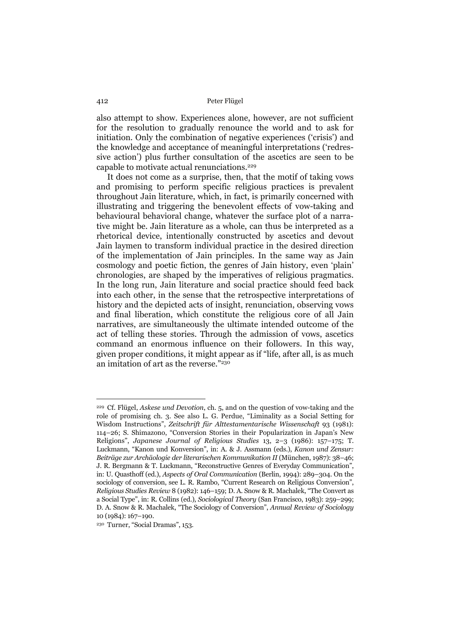also attempt to show. Experiences alone, however, are not sufficient for the resolution to gradually renounce the world and to ask for initiation. Only the combination of negative experiences ('crisis') and the knowledge and acceptance of meaningful interpretations ('redressive action') plus further consultation of the ascetics are seen to be capable to motivate actual renunciations.229

 It does not come as a surprise, then, that the motif of taking vows and promising to perform specific religious practices is prevalent throughout Jain literature, which, in fact, is primarily concerned with illustrating and triggering the benevolent effects of vow-taking and behavioural behavioral change, whatever the surface plot of a narrative might be. Jain literature as a whole, can thus be interpreted as a rhetorical device, intentionally constructed by ascetics and devout Jain laymen to transform individual practice in the desired direction of the implementation of Jain principles. In the same way as Jain cosmology and poetic fiction, the genres of Jain history, even 'plain' chronologies, are shaped by the imperatives of religious pragmatics. In the long run, Jain literature and social practice should feed back into each other, in the sense that the retrospective interpretations of history and the depicted acts of insight, renunciation, observing vows and final liberation, which constitute the religious core of all Jain narratives, are simultaneously the ultimate intended outcome of the act of telling these stories. Through the admission of vows, ascetics command an enormous influence on their followers. In this way, given proper conditions, it might appear as if "life, after all, is as much an imitation of art as the reverse."230

<sup>229</sup> Cf. Flügel, *Askese und Devotion*, ch. 5, and on the question of vow-taking and the role of promising ch. 3. See also L. G. Perdue, "Liminality as a Social Setting for Wisdom Instructions", *Zeitschrift für Alttestamentarische Wissenschaft* 93 (1981): 114–26; S. Shimazono, "Conversion Stories in their Popularization in Japan's New Religions", *Japanese Journal of Religious Studies* 13, 2–3 (1986): 157–175; T. Luckmann, "Kanon und Konversion", in: A. & J. Assmann (eds.), *Kanon und Zensur: Beiträge zur Archäologie der literarischen Kommunikation II* (München, 1987): 38–46; J. R. Bergmann & T. Luckmann, "Reconstructive Genres of Everyday Communication", in: U. Quasthoff (ed.), *Aspects of Oral Communication* (Berlin, 1994): 289–304. On the sociology of conversion, see L. R. Rambo, "Current Research on Religious Conversion", *Religious Studies Review* 8 (1982): 146–159; D. A. Snow & R. Machalek, "The Convert as a Social Type", in: R. Collins (ed.), *Sociological Theory* (San Francisco, 1983): 259–299; D. A. Snow & R. Machalek, "The Sociology of Conversion", *Annual Review of Sociology* 10 (1984): 167–190.

<sup>230</sup> Turner, "Social Dramas", 153.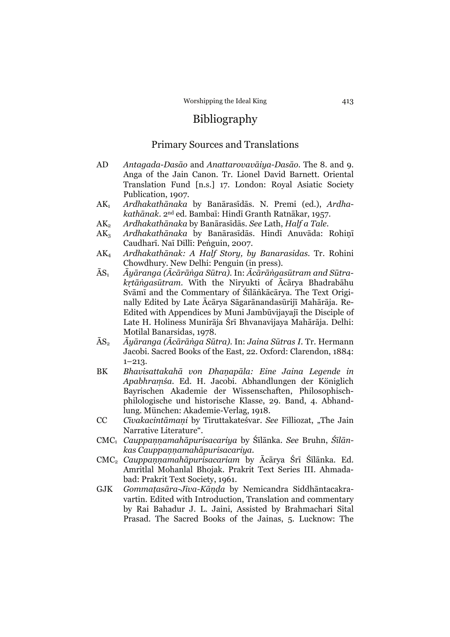# Bibliography

# Primary Sources and Translations

- AD *Antagada-Dasāo* and *Anattarovavāiya-Dasāo*. The 8. and 9. Anga of the Jain Canon. Tr. Lionel David Barnett. Oriental Translation Fund [n.s.] 17. London: Royal Asiatic Society Publication, 1907.
- AK1 *Ardhakathānaka* by Banārasīdās. N. Premi (ed.), *Ardhakathānak*. 2nd ed. Bambaī: Hindī Granth Ratnākar, 1957.
- AK2 *Ardhakathānaka* by Banārasīdās. *See* Lath, *Half a Tale*.
- AK3 *Ardhakathānaka* by Banārasīdās. Hindī Anuvāda: Rohiṇī Caudharī. Naī Dillī: Peṅguin, 2007.
- AK4 *Ardhakathānak: A Half Story, by Banarasidas*. Tr. Rohini Chowdhury. New Delhi: Penguin (in press).
- ĀS1 *Āyāranga (Ācārāṅga Sūtra)*. In: *Ācārāṅgasūtram and Sūtrakṛtāṅgasūtram*. With the Niryukti of Ācārya Bhadrabāhu Svāmī and the Commentary of Śīlāṅkācārya. The Text Originally Edited by Late Ācārya Sāgarānandasūrijī Mahārāja. Re-Edited with Appendices by Muni Jambūvijayajī the Disciple of Late H. Holiness Munirāja Śrī Bhvanavijaya Mahārāja. Delhi: Motilal Banarsidas, 1978.
- ĀS2 *Āyāranga (Ācārāṅga Sūtra)*. In: *Jaina Sūtras I.* Tr. Hermann Jacobi. Sacred Books of the East, 22. Oxford: Clarendon, 1884:  $1 - 213$ .
- BK *Bhavisattakahā von Dhaṇapāla: Eine Jaina Legende in Apabhraṃśa.* Ed. H. Jacobi. Abhandlungen der Königlich Bayrischen Akademie der Wissenschaften, Philosophischphilologische und historische Klasse, 29. Band, 4. Abhandlung. München: Akademie-Verlag, 1918.
- CC *Cīvakacintāmaṇi* by Tiruttakateśvar. *See* Filliozat, "The Jain Narrative Literature".
- CMC1 *Cauppaṇṇamahāpurisacariya* by Śīlānka. *See* Bruhn, *Śīlānkas Cauppaṇṇamahāpurisacariya*.
- CMC2 *Cauppaṇṇamahāpurisacariam* by Ācārya Śrī Śīlānka. Ed. Amritlal Mohanlal Bhojak. Prakrit Text Series III. Ahmadabad: Prakrit Text Society, 1961.
- GJK *Gommaṭasāra-Jīva-Kāṇḍa* by Nemicandra Siddhāntacakravartin. Edited with Introduction, Translation and commentary by Rai Bahadur J. L. Jaini, Assisted by Brahmachari Sital Prasad. The Sacred Books of the Jainas, 5. Lucknow: The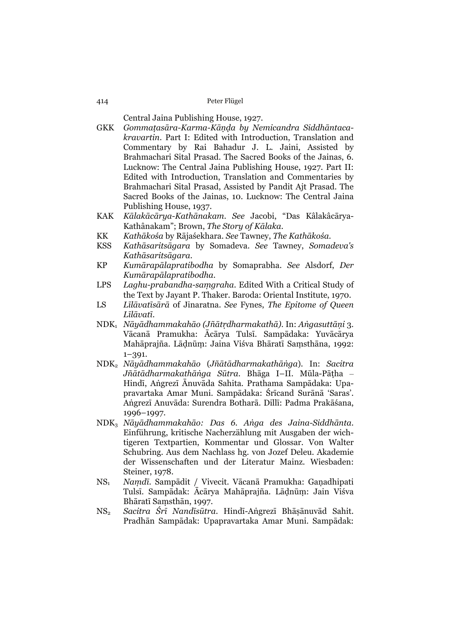Central Jaina Publishing House, 1927.

- GKK *Gommaṭasāra-Karma-Kāṇḍa by Nemicandra Siddhāntacakravartin*. Part I: Edited with Introduction, Translation and Commentary by Rai Bahadur J. L. Jaini, Assisted by Brahmachari Sital Prasad. The Sacred Books of the Jainas, 6. Lucknow: The Central Jaina Publishing House, 1927. Part II: Edited with Introduction, Translation and Commentaries by Brahmachari Sital Prasad, Assisted by Pandit Ajt Prasad. The Sacred Books of the Jainas, 10. Lucknow: The Central Jaina Publishing House, 1937.
- KAK *Kālakācārya-Kathānakam*. *See* Jacobi, "Das Kâlakâcārya-Kathânakam"; Brown, *The Story of Kālaka*.
- KK *Kathākośa* by Rājaśekhara. *See* Tawney, *The Kathākośa*.
- KSS *Kathāsaritsāgara* by Somadeva. *See* Tawney, *Somadeva's Kathāsaritsāgara*.
- KP *Kumārapālapratibodha* by Somaprabha. *See* Alsdorf, *Der Kumārapālapratibodha*.
- LPS *Laghu-prabandha-saṃgraha*. Edited With a Critical Study of the Text by Jayant P. Thaker. Baroda: Oriental Institute, 1970.
- LS *Līlāvatīsārā* of Jinaratna. *See* Fynes, *The Epitome of Queen Līlāvatī*.
- NDK1 *Nāyādhammakahāo (Jñātṛdharmakathā)*. In: *Aṅgasuttāṇi* 3. Vācanā Pramukha: Ācārya Tulsī. Sampādaka: Yuvācārya Mahāprajña. Lāḍnūṃ: Jaina Viśva Bhāratī Saṃsthāna, 1992:  $1 - 391.$
- NDK2 *Nāyādhammakahāo* (*Jñātādharmakathāṅga*). In: *Sacitra Jñātādharmakathāṅga Sūtra*. Bhāga I–II. Mūla-Pāṭha – Hindī, Aṅgrezī Ānuvāda Sahita. Prathama Sampādaka: Upapravartaka Amar Muni. Sampādaka: Śrīcand Surānā 'Saras'. Aṅgrezī Anuvāda: Surendra Botharā. Dillī: Padma Prakāśana, 1996–1997.
- NDK3 *Nāyādhammakahāo: Das 6. Aṅga des Jaina-Siddhānta*. Einführung, kritische Nacherzählung mit Ausgaben der wichtigeren Textpartien, Kommentar und Glossar. Von Walter Schubring. Aus dem Nachlass hg. von Jozef Deleu. Akademie der Wissenschaften und der Literatur Mainz. Wiesbaden: Steiner, 1978.
- NS1 *Naṃdī*. Sampādit / Vivecit. Vācanā Pramukha: Gaṇadhipati Tulsī. Sampādak: Ācārya Mahāprajña. Lāḍnūṃ: Jain Viśva Bhāratī Saṃsthān, 1997.
- NS2 *Sacitra Śrī Nandīsūtra*. Hindī-Aṅgrezī Bhāṣānuvād Sahit. Pradhān Sampādak: Upapravartaka Amar Muni. Sampādak: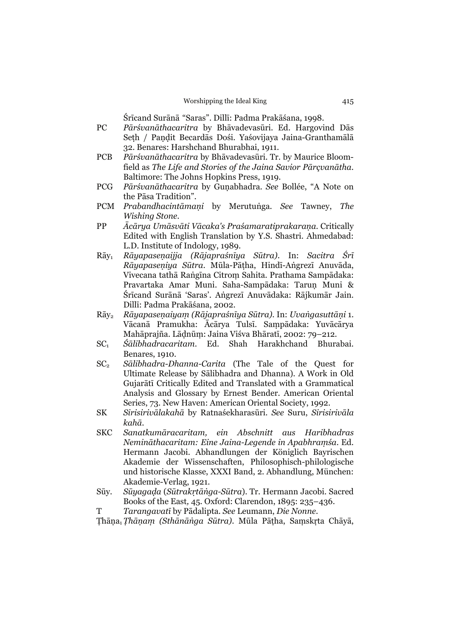Śrīcand Surānā "Saras". Dillī: Padma Prakāśana, 1998.

- PC *Pārśvanāthacaritra* by Bhāvadevasūri. Ed. Hargovind Dās Seth / Pandit Becardās Dośi. Yaśovijaya Jaina-Granthamālā 32. Benares: Harshchand Bhurabhai, 1911.
- PCB *Pārśvanāthacaritra* by Bhāvadevasūri. Tr. by Maurice Bloomfield as *The Life and Stories of the Jaina Savior Pārçvanātha*. Baltimore: The Johns Hopkins Press, 1919.
- PCG *Pārśvanāthacaritra* by Guṇabhadra. *See* Bollée, "A Note on the Pāsa Tradition".
- PCM *Prabandhacintāmaṇi* by Merutuṅga. *See* Tawney, *The Wishing Stone*.
- PP *Ācārya Umāsvāti Vācaka's Praśamaratiprakaraṇa*. Critically Edited with English Translation by Y.S. Shastri. Ahmedabad: L.D. Institute of Indology, 1989.
- Rāy1 *Rāyapaseṇaijja (Rājapraśnīya Sūtra)*. In: *Sacitra Śrī Rāyapaseṇiya Sūtra*. Mūla-Pāṭha, Hindī-Aṅgrezī Anuvāda, Vivecana tathā Raṅgīna Citroṃ Sahita. Prathama Sampādaka: Pravartaka Amar Muni. Saha-Sampādaka: Taruṇ Muni & Śrīcand Surānā 'Saras'. Aṅgrezī Anuvādaka: Rājkumār Jain. Dillī: Padma Prakāśana, 2002.
- Rāy2 *Rāyapaseṇaiyaṃ (Rājapraśnīya Sūtra)*. In: *Uvaṅgasuttāṇi* 1. Vācanā Pramukha: Ācārya Tulsī. Saṃpādaka: Yuvācārya Mahāprajña. Lāḍnūṃ: Jaina Viśva Bhāratī, 2002: 79–212.
- SC1 *Śālibhadracaritam*. Ed. Shah Harakhchand Bhurabai. Benares, 1910.
- SC2 *Sālibhadra-Dhanna-Carita* (The Tale of the Quest for Ultimate Release by Sālibhadra and Dhanna). A Work in Old Gujarātī Critically Edited and Translated with a Grammatical Analysis and Glossary by Ernest Bender. American Oriental Series, 73. New Haven: American Oriental Society, 1992.
- SK *Sirisirivālakahā* by Ratnaśekharasūri. *See* Suru, *Sirisirivāla kahā*.
- SKC *Sanatkumāracaritam, ein Abschnitt aus Haribhadras Nemināthacaritam: Eine Jaina-Legende in Apabhraṃśa.* Ed. Hermann Jacobi. Abhandlungen der Königlich Bayrischen Akademie der Wissenschaften, Philosophisch-philologische und historische Klasse, XXXI Band, 2. Abhandlung, München: Akademie-Verlag, 1921.
- Sūy. *Sūyagaḍa* (*Sūtrakṛtāṅga-Sūtra*). Tr. Hermann Jacobi. Sacred Books of the East*,* 45. Oxford: Clarendon, 1895: 235–436.
- T *Tarangavatī* by Pādalipta. *See* Leumann, *Die Nonne*.

Ṭhāṇa1 *Ṭhāṇaṃ (Sthānāṅga Sūtra)*. Mūla Pāṭha, Saṃskṛta Chāyā,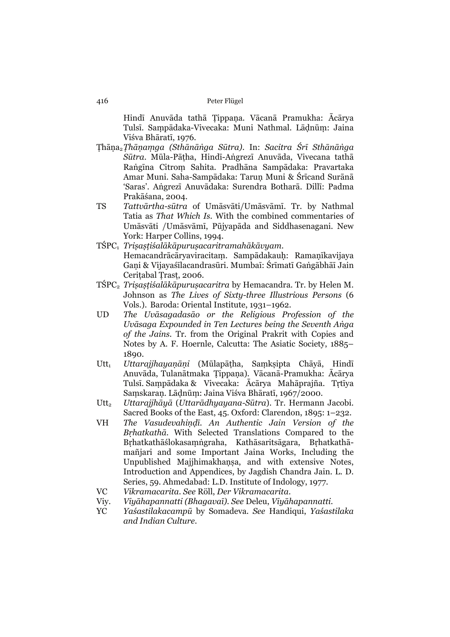Hindī Anuvāda tathā Ṭippaṇa. Vācanā Pramukha: Ācārya Tulsī. Saṃpādaka-Vivecaka: Muni Nathmal. Lāḍnūṃ: Jaina Viśva Bhāratī, 1976.

- Ṭhāṇa2*Ṭhāṇaṃga (Sthānāṅga Sūtra)*. In: *Sacitra Śrī Sthānāṅga Sūtra*. Mūla-Pāṭha, Hindī-Aṅgrezī Anuvāda, Vivecana tathā Raṅgīna Citroṃ Sahita. Pradhāna Sampādaka: Pravartaka Amar Muni. Saha-Sampādaka: Taruṇ Muni & Śrīcand Surānā 'Saras'. Aṅgrezī Anuvādaka: Surendra Botharā. Dillī: Padma Prakāśana, 2004.
- TS *Tattvārtha-sūtra* of Umāsvāti/Umāsvāmī. Tr. by Nathmal Tatia as *That Which Is.* With the combined commentaries of Umāsvāti /Umāsvāmī, Pūjyapāda and Siddhasenagani. New York: Harper Collins, 1994.
- TŚPC1 *Triṣaṣṭiśalākāpuruṣacaritramahākāvyam*. Hemacandrācāryaviracitaṃ. Sampādakauḥ: Ramaṇīkavijaya Gaṇi & Vijayaśīlacandrasūri. Mumbaī: Śrīmatī Gaṅgābhāī Jain Ceriṭabal Ṭrasṭ, 2006.
- TŚPC2 *Triṣaṣṭiśalākāpuruṣacaritra* by Hemacandra. Tr. by Helen M. Johnson as *The Lives of Sixty-three Illustrious Persons* (6 Vols.). Baroda: Oriental Institute, 1931–1962.
- UD *The Uvāsagadasāo or the Religious Profession of the Uvāsaga Expounded in Ten Lectures being the Seventh Aṅga of the Jains.* Tr. from the Original Prakrit with Copies and Notes by A. F. Hoernle, Calcutta: The Asiatic Society, 1885– 1890.
- Utt1 *Uttarajjhayaṇāṇi* (Mūlapāṭha, Saṃkṣipta Chāyā, Hindī Anuvāda, Tulanātmaka Ṭippaṇa). Vācanā-Pramukha: Ācārya Tulsī. Saṃpādaka & Vivecaka: Ācārya Mahāprajña. Tṛtīya Saṃskaraṇ. Lāḍnūṃ: Jaina Viśva Bhāratī, 1967/2000.
- Utt2 *Uttarajjhāyā* (*Uttarādhyayana-Sūtra*). Tr. Hermann Jacobi. Sacred Books of the East, 45. Oxford: Clarendon, 1895: 1–232.
- VH *The Vasudevahiṇḍī. An Authentic Jain Version of the Bṛhatkathā.* With Selected Translations Compared to the Bṛhatkathāślokasaṃṅgraha, Kathāsaritsāgara, Bṛhatkathāmañjari and some Important Jaina Works, Including the Unpublished Majjhimakhaṇṣa, and with extensive Notes, Introduction and Appendices, by Jagdish Chandra Jain. L. D. Series, 59. Ahmedabad: L.D. Institute of Indology, 1977.
- VC *Vikramacarita*. *See* Röll, *Der Vikramacarita*.
- Viy. *Viyāhapannatti (Bhagavaī)*. *See* Deleu, *Viyāhapannatti*.
- YC *Yaśastilakacampū* by Somadeva. *See* Handiqui, *Yaśastilaka and Indian Culture*.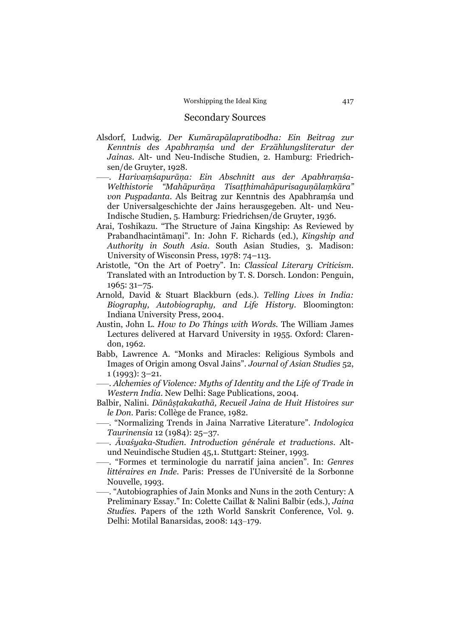# Secondary Sources

- Alsdorf, Ludwig. *Der Kumārapālapratibodha: Ein Beitrag zur Kenntnis des Apabhraṃśa und der Erzählungsliteratur der Jainas*. Alt- und Neu-Indische Studien, 2. Hamburg: Friedrichsen/de Gruyter, 1928.
- –––. *Harivaṃśapurāṇa: Ein Abschnitt aus der Apabhraṃśa-Welthistorie "Mahāpurāṇa Tisaṭṭhimahāpurisaguṇālaṃkāra" von Puṣpadanta*. Als Beitrag zur Kenntnis des Apabhraṃśa und der Universalgeschichte der Jains herausgegeben. Alt- und Neu-Indische Studien, 5. Hamburg: Friedrichsen/de Gruyter, 1936.
- Arai, Toshikazu. "The Structure of Jaina Kingship: As Reviewed by Prabandhacintāmaṇi". In: John F. Richards (ed.), *Kingship and Authority in South Asia*. South Asian Studies, 3. Madison: University of Wisconsin Press, 1978: 74–113.
- Aristotle, "On the Art of Poetry". In: *Classical Literary Criticism*. Translated with an Introduction by T. S. Dorsch. London: Penguin, 1965: 31–75.
- Arnold, David & Stuart Blackburn (eds.). *Telling Lives in India: Biography, Autobiography, and Life History*. Bloomington: Indiana University Press, 2004.
- Austin, John L. *How to Do Things with Words.* The William James Lectures delivered at Harvard University in 1955. Oxford: Clarendon, 1962.
- Babb, Lawrence A. "Monks and Miracles: Religious Symbols and Images of Origin among Osval Jains". *Journal of Asian Studies* 52, 1 (1993): 3–21.

–––. *Alchemies of Violence: Myths of Identity and the Life of Trade in Western India*. New Delhi: Sage Publications, 2004.

- Balbir, Nalini. *Dānâṣṭakakathā, Recueil Jaina de Huit Histoires sur le Don*. Paris: Collège de France, 1982.
- –––. "Normalizing Trends in Jaina Narrative Literature". *Indologica Taurinensia* 12 (1984): 25–37.
- –––. *Āvaśyaka-Studien. Introduction générale et traductions*. Altund Neuindische Studien 45,1. Stuttgart: Steiner, 1993.
- –––. "Formes et terminologie du narratif jaina ancien". In: *Genres littéraires en Inde*. Paris: Presses de l'Université de la Sorbonne Nouvelle, 1993.
- –––. "Autobiographies of Jain Monks and Nuns in the 20th Century: A Preliminary Essay." In: Colette Caillat & Nalini Balbir (eds.), *Jaina Studies.* Papers of the 12th World Sanskrit Conference, Vol. 9. Delhi: Motilal Banarsidas, 2008: 143–179.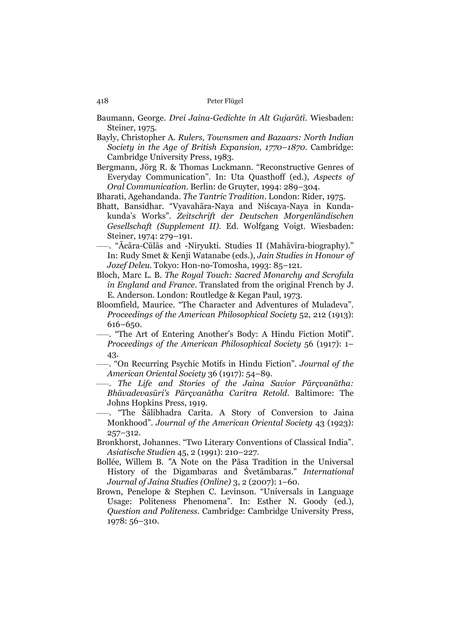Baumann, George. *Drei Jaina-Gedichte in Alt Gujarātī*. Wiesbaden: Steiner, 1975.

- Bayly, Christopher A. *Rulers, Townsmen and Bazaars: North Indian Society in the Age of British Expansion, 1770–1870*. Cambridge: Cambridge University Press, 1983.
- Bergmann, Jörg R. & Thomas Luckmann. "Reconstructive Genres of Everyday Communication". In: Uta Quasthoff (ed.), *Aspects of Oral Communication*. Berlin: de Gruyter, 1994: 289–304.

Bharati, Agehandanda. *The Tantric Tradition*. London: Rider, 1975.

- Bhatt, Bansidhar. "Vyavahāra-Naya and Niścaya-Naya in Kundakunda's Works". *Zeitschrift der Deutschen Morgenländischen Gesellschaft (Supplement II)*. Ed. Wolfgang Voigt. Wiesbaden: Steiner, 1974: 279–191.
- –––. "Ācāra-Cūlās and -Niryukti. Studies II (Mahāvīra-biography)." In: Rudy Smet & Kenji Watanabe (eds.), *Jain Studies in Honour of Jozef Deleu*. Tokyo: Hon-no-Tomosha, 1993: 85–121.
- Bloch, Marc L. B. *The Royal Touch: Sacred Monarchy and Scrofula in England and France*. Translated from the original French by J. E. Anderson. London: Routledge & Kegan Paul, 1973.
- Bloomfield, Maurice. "The Character and Adventures of Muladeva". *Proceedings of the American Philosophical Society* 52, 212 (1913): 616–650.
- –––. "The Art of Entering Another's Body: A Hindu Fiction Motif". *Proceedings of the American Philosophical Society* 56 (1917): 1– 43.
- –––. "On Recurring Psychic Motifs in Hindu Fiction". *Journal of the American Oriental Society* 36 (1917): 54–89.
- –––. *The Life and Stories of the Jaina Savior Pārçvanātha: Bhāvadevasūri's Pārçvanātha Caritra Retold*. Baltimore: The Johns Hopkins Press, 1919.
- –––. "The Śālibhadra Carita. A Story of Conversion to Jaina Monkhood". *Journal of the American Oriental Society* 43 (1923): 257–312.
- Bronkhorst, Johannes. "Two Literary Conventions of Classical India". *Asiatische Studien* 45, 2 (1991): 210–227.
- Bollée, Willem B. *"*A Note on the Pāsa Tradition in the Universal History of the Digambaras and Śvetāmbaras." *International Journal of Jaina Studies (Online)* 3, 2 (2007): 1–60.
- Brown, Penelope & Stephen C. Levinson. "Universals in Language Usage: Politeness Phenomena". In: Esther N. Goody (ed.), *Question and Politeness*. Cambridge: Cambridge University Press, 1978: 56–310.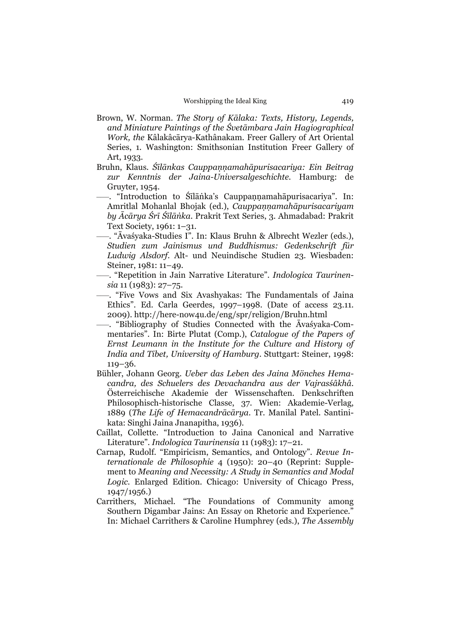- Brown, W. Norman. *The Story of Kālaka: Texts, History, Legends, and Miniature Paintings of the Śvetāmbara Jain Hagiographical Work, the* Kâlakâcārya-Kathânakam*.* Freer Gallery of Art Oriental Series, 1. Washington: Smithsonian Institution Freer Gallery of Art, 1933.
- Bruhn, Klaus. *Śīlānkas Cauppaṇṇamahāpurisacariya: Ein Beitrag zur Kenntnis der Jaina-Universalgeschichte*. Hamburg: de Gruyter, 1954.
- –––. "Introduction to Śīlāṅka's Cauppaṇṇamahāpurisacariya". In: Amritlal Mohanlal Bhojak (ed.), *Cauppaṇṇamahāpurisacariyam by Ācārya Śrī Śīlāṅka*. Prakrit Text Series, 3. Ahmadabad: Prakrit Text Society, 1961: 1–31.
- –––. "Āvaśyaka-Studies I". In: Klaus Bruhn & Albrecht Wezler (eds.), *Studien zum Jainismus und Buddhismus: Gedenkschrift für Ludwig Alsdorf*. Alt- und Neuindische Studien 23. Wiesbaden: Steiner, 1981: 11–49.
- –––. "Repetition in Jain Narrative Literature". *Indologica Taurinensia* 11 (1983): 27–75.
- –––. "Five Vows and Six Avashyakas: The Fundamentals of Jaina Ethics". Ed. Carla Geerdes, 1997–1998. (Date of access 23.11. 2009). http://here-now4u.de/eng/spr/religion/Bruhn.html
- –––. "Bibliography of Studies Connected with the Āvaśyaka-Commentaries". In: Birte Plutat (Comp.), *Catalogue of the Papers of Ernst Leumann in the Institute for the Culture and History of India and Tibet, University of Hamburg*. Stuttgart: Steiner, 1998: 119–36.
- Bühler, Johann Georg. *Ueber das Leben des Jaina Mönches Hemacandra, des Schuelers des Devachandra aus der Vajrasśâkhâ*. Österreichische Akademie der Wissenschaften. Denkschriften Philosophisch-historische Classe, 37. Wien: Akademie-Verlag, 1889 (*The Life of Hemacandrācārya*. Tr. Manilal Patel. Santinikata: Singhi Jaina Jnanapitha, 1936).
- Caillat, Collette. "Introduction to Jaina Canonical and Narrative Literature". *Indologica Taurinensia* 11 (1983): 17–21.
- Carnap, Rudolf. "Empiricism, Semantics, and Ontology". *Revue Internationale de Philosophie* 4 (1950): 20–40 (Reprint: Supplement to *Meaning and Necessity: A Study in Semantics and Modal Logic*. Enlarged Edition. Chicago: University of Chicago Press, 1947/1956.)
- Carrithers, Michael. "The Foundations of Community among Southern Digambar Jains: An Essay on Rhetoric and Experience." In: Michael Carrithers & Caroline Humphrey (eds.), *The Assembly*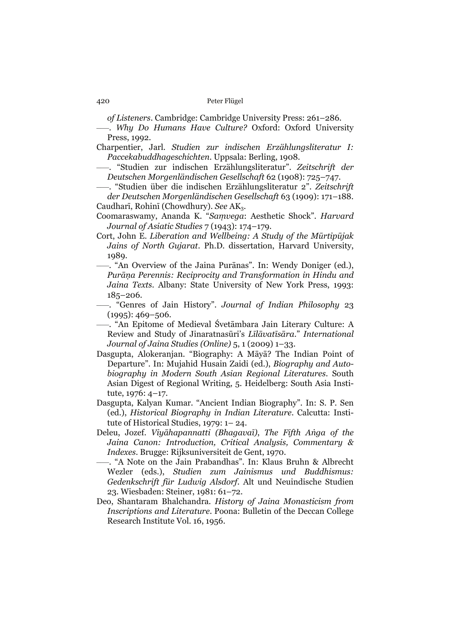*of Listeners*. Cambridge: Cambridge University Press: 261–286.

- –––. *Why Do Humans Have Culture?* Oxford: Oxford University Press, 1992.
- Charpentier, Jarl. *Studien zur indischen Erzählungsliteratur I: Paccekabuddhageschichten*. Uppsala: Berling, 1908.
- –––. "Studien zur indischen Erzählungsliteratur". *Zeitschrift der Deutschen Morgenländischen Gesellschaft* 62 (1908): 725–747.
- –––. "Studien über die indischen Erzählungsliteratur 2". *Zeitschrift der Deutschen Morgenländischen Gesellschaft* 63 (1909): 171–188.
- Caudharī, Rohinī (Chowdhury). *See* AK3.
- Coomaraswamy, Ananda K. "*Saṃvega*: Aesthetic Shock". *Harvard Journal of Asiatic Studies* 7 (1943): 174–179.
- Cort, John E. *Liberation and Wellbeing: A Study of the Mūrtipūjak Jains of North Gujarat*. Ph.D. dissertation, Harvard University, 1989.
- –––. "An Overview of the Jaina Purānas". In: Wendy Doniger (ed.), *Purāṇa Perennis: Reciprocity and Transformation in Hindu and Jaina Texts*. Albany: State University of New York Press, 1993: 185–206.
- –––. "Genres of Jain History". *Journal of Indian Philosophy* 23  $(1995): 469 - 506.$
- –––. "An Epitome of Medieval Śvetāmbara Jain Literary Culture: A Review and Study of Jinaratnasūri's *Līlāvatīsāra*." *International Journal of Jaina Studies (Online)* 5, 1 (2009) 1–33.
- Dasgupta, Alokeranjan. "Biography: A Māyā? The Indian Point of Departure". In: Mujahid Husain Zaidi (ed.), *Biography and Autobiography in Modern South Asian Regional Literatures*. South Asian Digest of Regional Writing, 5. Heidelberg: South Asia Institute, 1976: 4–17.
- Dasgupta, Kalyan Kumar. "Ancient Indian Biography". In: S. P. Sen (ed.), *Historical Biography in Indian Literature*. Calcutta: Institute of Historical Studies, 1979: 1– 24.
- Deleu, Jozef. *Viyāhapannatti (Bhagavaī)*, *The Fifth Aṅga of the Jaina Canon: Introduction, Critical Analysis, Commentary & Indexes*. Brugge: Rijksuniversiteit de Gent, 1970.
- –––. "A Note on the Jain Prabandhas". In: Klaus Bruhn & Albrecht Wezler (eds.), *Studien zum Jainismus und Buddhismus: Gedenkschrift für Ludwig Alsdorf*. Alt und Neuindische Studien 23. Wiesbaden: Steiner, 1981: 61–72.
- Deo, Shantaram Bhalchandra. *History of Jaina Monasticism from Inscriptions and Literature*. Poona: Bulletin of the Deccan College Research Institute Vol. 16, 1956.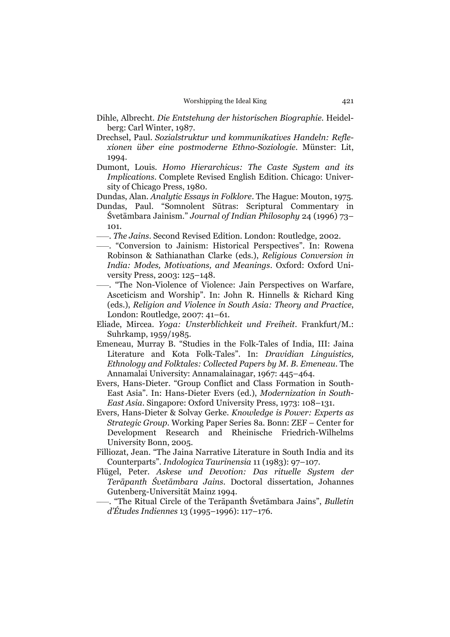- Dihle, Albrecht. *Die Entstehung der historischen Biographie*. Heidelberg: Carl Winter, 1987.
- Drechsel, Paul. *Sozialstruktur und kommunikatives Handeln: Reflexionen über eine postmoderne Ethno-Soziologie*. Münster: Lit, 1994.
- Dumont, Louis. *Homo Hierarchicus: The Caste System and its Implications*. Complete Revised English Edition. Chicago: University of Chicago Press, 1980.
- Dundas, Alan. *Analytic Essays in Folklore*. The Hague: Mouton, 1975.
- Dundas, Paul. "Somnolent Sūtras: Scriptural Commentary in Śvetāmbara Jainism." *Journal of Indian Philosophy* 24 (1996) 73– 101.
- –––. *The Jains*. Second Revised Edition. London: Routledge, 2002.
- –––. "Conversion to Jainism: Historical Perspectives". In: Rowena Robinson & Sathianathan Clarke (eds.), *Religious Conversion in India: Modes, Motivations, and Meanings*. Oxford: Oxford University Press, 2003: 125–148.
- –––. "The Non-Violence of Violence: Jain Perspectives on Warfare, Asceticism and Worship". In: John R. Hinnells & Richard King (eds.), *Religion and Violence in South Asia: Theory and Practice*, London: Routledge, 2007: 41–61.
- Eliade, Mircea. *Yoga: Unsterblichkeit und Freiheit*. Frankfurt/M.: Suhrkamp, 1959/1985.
- Emeneau, Murray B. "Studies in the Folk-Tales of India, III: Jaina Literature and Kota Folk-Tales". In: *Dravidian Linguistics, Ethnology and Folktales: Collected Papers by M. B. Emeneau*. The Annamalai University: Annamalainagar, 1967: 445–464.
- Evers, Hans-Dieter. "Group Conflict and Class Formation in South-East Asia". In: Hans-Dieter Evers (ed.), *Modernization in South-East Asia*. Singapore: Oxford University Press, 1973: 108–131.
- Evers, Hans-Dieter & Solvay Gerke. *Knowledge is Power: Experts as Strategic Group*. Working Paper Series 8a. Bonn: ZEF – Center for Development Research and Rheinische Friedrich-Wilhelms University Bonn, 2005.
- Filliozat, Jean. "The Jaina Narrative Literature in South India and its Counterparts". *Indologica Taurinensia* 11 (1983): 97–107.
- Flügel, Peter. *Askese und Devotion: Das rituelle System der Terāpanth Śvetāmbara Jains*. Doctoral dissertation, Johannes Gutenberg-Universität Mainz 1994.

–––. "The Ritual Circle of the Terāpanth Śvetāmbara Jains", *Bulletin d'Études Indiennes* 13 (1995–1996): 117–176.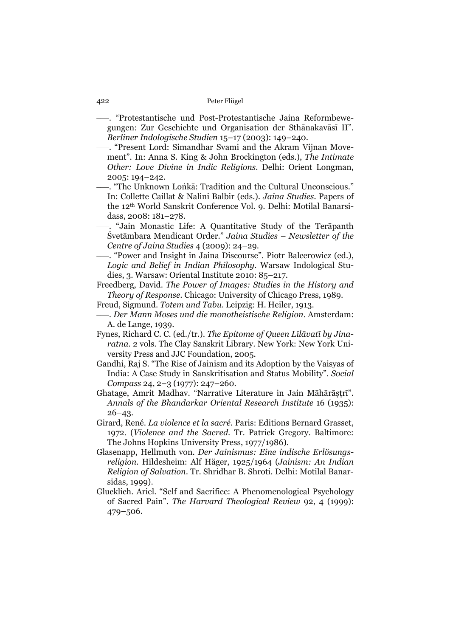- –––. "Protestantische und Post-Protestantische Jaina Reformbewegungen: Zur Geschichte und Organisation der Sthānakavāsī II". *Berliner Indologische Studien* 15–17 (2003): 149–240.
- –––. "Present Lord: Simandhar Svami and the Akram Vijnan Movement". In: Anna S. King & John Brockington (eds.), *The Intimate Other: Love Divine in Indic Religions*. Delhi: Orient Longman, 2005: 194–242.
- –––. "The Unknown Loṅkā: Tradition and the Cultural Unconscious." In: Collette Caillat & Nalini Balbir (eds.). *Jaina Studies.* Papers of the 12th World Sanskrit Conference Vol. 9. Delhi: Motilal Banarsidass, 2008: 181–278.
- –––. "Jain Monastic Life: A Quantitative Study of the Terāpanth Śvetāmbara Mendicant Order." *Jaina Studies – Newsletter of the Centre of Jaina Studies* 4 (2009): 24–29.
- –––. "Power and Insight in Jaina Discourse". Piotr Balcerowicz (ed.), *Logic and Belief in Indian Philosophy*. Warsaw Indological Studies, 3. Warsaw: Oriental Institute 2010: 85–217.
- Freedberg, David. *The Power of Images: Studies in the History and Theory of Response*. Chicago: University of Chicago Press, 1989.
- Freud, Sigmund. *Totem und Tabu*. Leipzig: H. Heiler, 1913.
- –––. *Der Mann Moses und die monotheistische Religion*. Amsterdam: A. de Lange, 1939.
- Fynes, Richard C. C. (ed./tr.). *The Epitome of Queen Līlāvatī by Jinaratna*. 2 vols. The Clay Sanskrit Library. New York: New York University Press and JJC Foundation, 2005.
- Gandhi, Raj S. "The Rise of Jainism and its Adoption by the Vaisyas of India: A Case Study in Sanskritisation and Status Mobility". *Social Compass* 24, 2–3 (1977): 247–260.
- Ghatage, Amrit Madhav. "Narrative Literature in Jain Māhārāstrī". *Annals of the Bhandarkar Oriental Research Institute* 16 (1935): 26–43.
- Girard, René. *La violence et la sacré*. Paris: Editions Bernard Grasset, 1972. (*Violence and the Sacred*. Tr. Patrick Gregory. Baltimore: The Johns Hopkins University Press, 1977/1986).
- Glasenapp, Hellmuth von. *Der Jainismus: Eine indische Erlösungsreligion*. Hildesheim: Alf Häger, 1925/1964 (*Jainism: An Indian Religion of Salvation*. Tr. Shridhar B. Shroti. Delhi: Motilal Banarsidas, 1999).
- Glucklich. Ariel. "Self and Sacrifice: A Phenomenological Psychology of Sacred Pain". *The Harvard Theological Review* 92, 4 (1999): 479–506.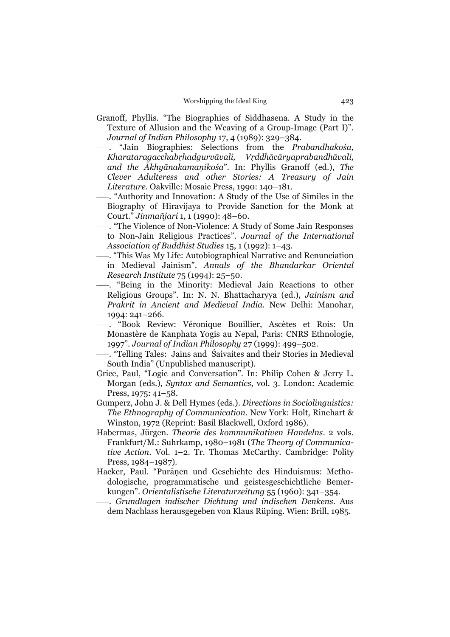- Granoff, Phyllis. "The Biographies of Siddhasena. A Study in the Texture of Allusion and the Weaving of a Group-Image (Part I)". *Journal of Indian Philosophy* 17, 4 (1989): 329–384.
- –––. "Jain Biographies: Selections from the *Prabandhakośa, Kharataragacchabṛhadgurvāvali, Vṛddhācāryaprabandhāvali, and the Ākhyānakamaṇikośa*". In: Phyllis Granoff (ed.), *The Clever Adulteress and other Stories: A Treasury of Jain Literature*. Oakville: Mosaic Press, 1990: 140–181.
- –––. "Authority and Innovation: A Study of the Use of Similes in the Biography of Hiravijaya to Provide Sanction for the Monk at Court." *Jinmañjari* 1, 1 (1990): 48–60.
- –––. "The Violence of Non-Violence: A Study of Some Jain Responses to Non-Jain Religious Practices". *Journal of the International Association of Buddhist Studies* 15, 1 (1992): 1–43.
- –––. "This Was My Life: Autobiographical Narrative and Renunciation in Medieval Jainism". *Annals of the Bhandarkar Oriental Research Institute* 75 (1994): 25–50.
- –––. "Being in the Minority: Medieval Jain Reactions to other Religious Groups". In: N. N. Bhattacharyya (ed.), *Jainism and Prakrit in Ancient and Medieval India.* New Delhi: Manohar, 1994: 241–266.
- –––. "Book Review: Véronique Bouillier, Ascètes et Rois: Un Monastère de Kanphata Yogis au Nepal, Paris: CNRS Ethnologie, 1997". *Journal of Indian Philosophy* 27 (1999): 499–502.
- –––. "Telling Tales: Jains and Śaivaites and their Stories in Medieval South India" (Unpublished manuscript).
- Grice, Paul, "Logic and Conversation". In: Philip Cohen & Jerry L. Morgan (eds.), *Syntax and Semantics*, vol. 3. London: Academic Press, 1975: 41–58.
- Gumperz, John J. & Dell Hymes (eds.). *Directions in Sociolinguistics: The Ethnography of Communication*. New York: Holt, Rinehart & Winston, 1972 (Reprint: Basil Blackwell, Oxford 1986).
- Habermas, Jürgen. *Theorie des kommunikativen Handelns*. 2 vols. Frankfurt/M.: Suhrkamp, 1980–1981 (*The Theory of Communicative Action*. Vol. 1–2. Tr. Thomas McCarthy. Cambridge: Polity Press, 1984–1987).
- Hacker, Paul. "Purāṇen und Geschichte des Hinduismus: Methodologische, programmatische und geistesgeschichtliche Bemerkungen". *Orientalistische Literaturzeitung* 55 (1960): 341–354.
	- –––. *Grundlagen indischer Dichtung und indischen Denkens*. Aus dem Nachlass herausgegeben von Klaus Rüping. Wien: Brill, 1985.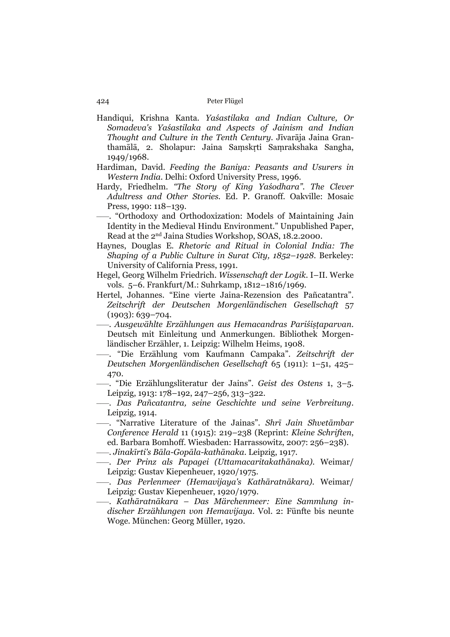- Handiqui, Krishna Kanta. *Yaśastilaka and Indian Culture, Or Somadeva's Yaśastilaka and Aspects of Jainism and Indian Thought and Culture in the Tenth Century*. Jīvarāja Jaina Granthamālā, 2. Sholapur: Jaina Saṃskṛti Saṃrakshaka Sangha, 1949/1968.
- Hardiman, David. *Feeding the Baniya: Peasants and Usurers in Western India*. Delhi: Oxford University Press, 1996.
- Hardy, Friedhelm. *"The Story of King Yaśodhara". The Clever Adultress and Other Stories.* Ed. P. Granoff. Oakville: Mosaic Press, 1990: 118–139.
- –––. "Orthodoxy and Orthodoxization: Models of Maintaining Jain Identity in the Medieval Hindu Environment." Unpublished Paper, Read at the 2nd Jaina Studies Workshop, SOAS, 18.2.2000.
- Haynes, Douglas E. *Rhetoric and Ritual in Colonial India: The Shaping of a Public Culture in Surat City, 1852–1928*. Berkeley: University of California Press, 1991.
- Hegel, Georg Wilhelm Friedrich. *Wissenschaft der Logik*. I–II. Werke vols. 5–6. Frankfurt/M.: Suhrkamp, 1812–1816/1969.
- Hertel, Johannes. "Eine vierte Jaina-Rezension des Pañcatantra". *Zeitschrift der Deutschen Morgenländischen Gesellschaft* 57 (1903): 639–704.
- –––. *Ausgewählte Erzählungen aus Hemacandras Pariśiṣṭaparvan*. Deutsch mit Einleitung und Anmerkungen. Bibliothek Morgenländischer Erzähler, 1. Leipzig: Wilhelm Heims, 1908.
- –––. "Die Erzählung vom Kaufmann Campaka". *Zeitschrift der Deutschen Morgenländischen Gesellschaft* 65 (1911): 1–51, 425– 470.
- –––. "Die Erzählungsliteratur der Jains". *Geist des Ostens* 1, 3–5. Leipzig, 1913: 178–192, 247–256, 313–322.
- –––. *Das Pañcatantra, seine Geschichte und seine Verbreitung*. Leipzig, 1914.
- –––. "Narrative Literature of the Jainas". *Shrī Jain Shvetāmbar Conference Herald* 11 (1915): 219–238 (Reprint: *Kleine Schriften*, ed. Barbara Bomhoff. Wiesbaden: Harrassowitz, 2007: 256–238).
- –––. *Jinakīrti's Bāla-Gopāla-kathānaka*. Leipzig, 1917.
- –––. *Der Prinz als Papagei (Uttamacaritakathānaka)*. Weimar/ Leipzig: Gustav Kiepenheuer, 1920/1975.
- –––. *Das Perlenmeer (Hemavijaya's Kathāratnākara)*. Weimar/ Leipzig: Gustav Kiepenheuer, 1920/1979.
- –––. *Kathāratnākara Das Märchenmeer: Eine Sammlung indischer Erzählungen von Hemavijaya*. Vol. 2: Fünfte bis neunte Woge. München: Georg Müller, 1920.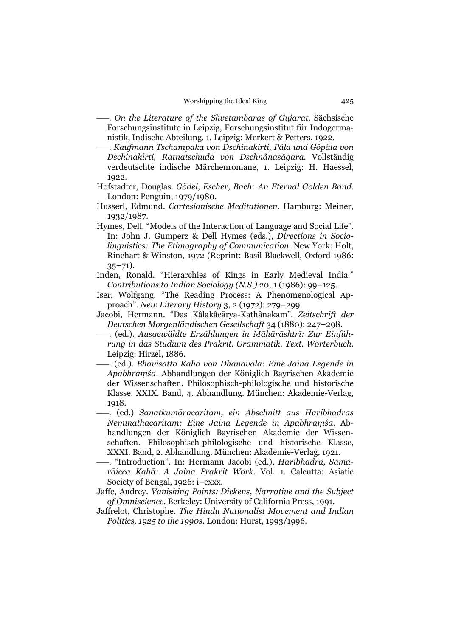- –––. *On the Literature of the Shvetambaras of Gujarat*. Sächsische Forschungsinstitute in Leipzig, Forschungsinstitut für Indogermanistik, Indische Abteilung, 1. Leipzig: Merkert & Petters, 1922.
- –––. *Kaufmann Tschampaka von Dschinakirti, Pâla und Gôpâla von Dschinakîrti, Ratnatschuda von Dschnânasâgara*. Vollständig verdeutschte indische Märchenromane, 1. Leipzig: H. Haessel, 1922.
- Hofstadter, Douglas. *Gödel, Escher, Bach: An Eternal Golden Band*. London: Penguin, 1979/1980.
- Husserl, Edmund. *Cartesianische Meditationen*. Hamburg: Meiner, 1932/1987.
- Hymes, Dell. "Models of the Interaction of Language and Social Life". In: John J. Gumperz & Dell Hymes (eds.), *Directions in Sociolinguistics: The Ethnography of Communication*. New York: Holt, Rinehart & Winston, 1972 (Reprint: Basil Blackwell, Oxford 1986:  $35 - 71$ ).
- Inden, Ronald. "Hierarchies of Kings in Early Medieval India." *Contributions to Indian Sociology (N.S.)* 20, 1 (1986): 99–125.
- Iser, Wolfgang. "The Reading Process: A Phenomenological Approach". *New Literary History* 3, 2 (1972): 279–299.
- Jacobi, Hermann. "Das Kâlakâcārya-Kathânakam". *Zeitschrift der Deutschen Morgenländischen Gesellschaft* 34 (1880): 247–298.
- –––. (ed.). *Ausgewählte Erzählungen in Māhārāshtrī: Zur Einführung in das Studium des Prākrit. Grammatik. Text. Wörterbuch*. Leipzig: Hirzel, 1886.
- –––. (ed.). *Bhavisatta Kahā von Dhanavāla: Eine Jaina Legende in Apabhraṃśa*. Abhandlungen der Königlich Bayrischen Akademie der Wissenschaften. Philosophisch-philologische und historische Klasse, XXIX. Band, 4. Abhandlung. München: Akademie-Verlag, 1918.
- –––. (ed.) *Sanatkumāracaritam, ein Abschnitt aus Haribhadras Nemināthacaritam: Eine Jaina Legende in Apabhraṃśa*. Abhandlungen der Königlich Bayrischen Akademie der Wissenschaften. Philosophisch-philologische und historische Klasse, XXXI. Band, 2. Abhandlung. München: Akademie-Verlag, 1921.
- –––. "Introduction". In: Hermann Jacobi (ed.), *Haribhadra, Samarāicca Kahā: A Jaina Prakrit Work*. Vol. 1. Calcutta: Asiatic Society of Bengal, 1926: i–cxxx.
- Jaffe, Audrey. *Vanishing Points: Dickens, Narrative and the Subject of Omniscience*. Berkeley: University of California Press, 1991.
- Jaffrelot, Christophe. *The Hindu Nationalist Movement and Indian Politics, 1925 to the 1990s*. London: Hurst, 1993/1996.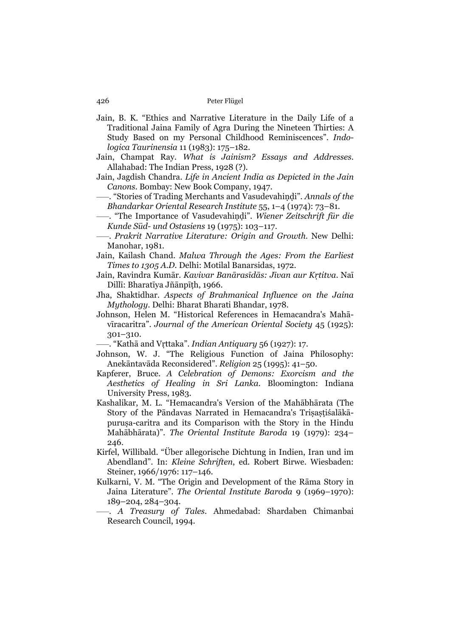- Jain, B. K. "Ethics and Narrative Literature in the Daily Life of a Traditional Jaina Family of Agra During the Nineteen Thirties: A Study Based on my Personal Childhood Reminiscences". *Indologica Taurinensia* 11 (1983): 175–182.
- Jain, Champat Ray. *What is Jainism? Essays and Addresses*. Allahabad: The Indian Press, 1928 (?).
- Jain, Jagdish Chandra. *Life in Ancient India as Depicted in the Jain Canons*. Bombay: New Book Company, 1947.
- –––. "Stories of Trading Merchants and Vasudevahiṇḍi". *Annals of the Bhandarkar Oriental Research Institute* 55, 1–4 (1974): 73–81.
- –––. "The Importance of Vasudevahiṇḍi". *Wiener Zeitschrift für die Kunde Süd- und Ostasiens* 19 (1975): 103–117.
- –––. *Prakrit Narrative Literature: Origin and Growth*. New Delhi: Manohar, 1981.
- Jain, Kailash Chand. *Malwa Through the Ages: From the Earliest Times to 1305 A.D.* Delhi: Motilal Banarsidas, 1972.
- Jain, Ravindra Kumār. *Kavivar Banārasīdās: Jīvan aur Kṛtitva*. Naī Dillī: Bharatīya Jñānpīṭh, 1966.
- Jha, Shaktidhar. *Aspects of Brahmanical Influence on the Jaina Mythology*. Delhi: Bharat Bharati Bhandar, 1978.
- Johnson, Helen M. "Historical References in Hemacandra's Mahāvīracaritra". *Journal of the American Oriental Society* 45 (1925): 301–310.
- –––. "Kathā and Vṛttaka". *Indian Antiquary* 56 (1927): 17.
- Johnson, W. J. "The Religious Function of Jaina Philosophy: Anekāntavāda Reconsidered". *Religion* 25 (1995): 41–50.
- Kapferer, Bruce. *A Celebration of Demons: Exorcism and the Aesthetics of Healing in Sri Lanka*. Bloomington: Indiana University Press, 1983.
- Kashalikar, M. L. "Hemacandra's Version of the Mahābhārata (The Story of the Pāndavas Narrated in Hemacandra's Triṣaṣṭiśalākāpuruṣa-caritra and its Comparison with the Story in the Hindu Mahābhārata)". *The Oriental Institute Baroda* 19 (1979): 234– 246.
- Kirfel, Willibald. "Über allegorische Dichtung in Indien, Iran und im Abendland". In: *Kleine Schriften*, ed. Robert Birwe. Wiesbaden: Steiner, 1966/1976: 117–146.
- Kulkarni, V. M. "The Origin and Development of the Rāma Story in Jaina Literature". *The Oriental Institute Baroda* 9 (1969–1970): 189–204, 284–304.
- –––. *A Treasury of Tales*. Ahmedabad: Shardaben Chimanbai Research Council, 1994.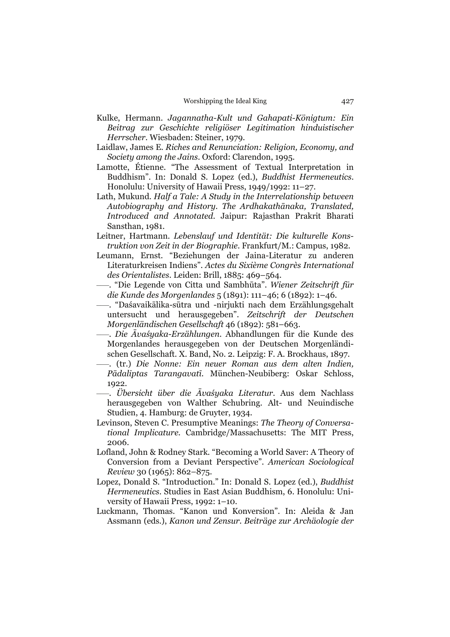- Kulke, Hermann. *Jagannatha-Kult und Gahapati-Königtum: Ein Beitrag zur Geschichte religiöser Legitimation hinduistischer Herrscher*. Wiesbaden: Steiner, 1979.
- Laidlaw, James E. *Riches and Renunciation: Religion, Economy, and Society among the Jains*. Oxford: Clarendon, 1995.
- Lamotte, Étienne. "The Assessment of Textual Interpretation in Buddhism". In: Donald S. Lopez (ed.), *Buddhist Hermeneutics*. Honolulu: University of Hawaii Press, 1949/1992: 11–27.
- Lath, Mukund. *Half a Tale: A Study in the Interrelationship between Autobiography and History. The Ardhakathānaka, Translated, Introduced and Annotated*. Jaipur: Rajasthan Prakrit Bharati Sansthan, 1981.
- Leitner, Hartmann. *Lebenslauf und Identität: Die kulturelle Konstruktion von Zeit in der Biographie*. Frankfurt/M.: Campus, 1982.
- Leumann, Ernst. "Beziehungen der Jaina-Literatur zu anderen Literaturkreisen Indiens". *Actes du Sixième Congrès International des Orientalistes*. Leiden: Brill, 1885: 469–564.
- –––. "Die Legende von Citta und Sambhūta". *Wiener Zeitschrift für die Kunde des Morgenlandes* 5 (1891): 111–46; 6 (1892): 1–46.
- –––. "Daśavaikālika-sūtra und -nirjukti nach dem Erzählungsgehalt untersucht und herausgegeben". *Zeitschrift der Deutschen Morgenländischen Gesellschaft* 46 (1892): 581–663.
- –––. *Die Āvaśyaka-Erzählungen*. Abhandlungen für die Kunde des Morgenlandes herausgegeben von der Deutschen Morgenländischen Gesellschaft. X. Band, No. 2. Leipzig: F. A. Brockhaus, 1897.
- –––. (tr.) *Die Nonne: Ein neuer Roman aus dem alten Indien, Pādaliptas Tarangavatī*. München-Neubiberg: Oskar Schloss, 1922.
- –––. *Übersicht über die Āvaśyaka Literatur*. Aus dem Nachlass herausgegeben von Walther Schubring. Alt- und Neuindische Studien, 4. Hamburg: de Gruyter, 1934.
- Levinson, Steven C. Presumptive Meanings: *The Theory of Conversational Implicature.* Cambridge/Massachusetts: The MIT Press, 2006.
- Lofland, John & Rodney Stark. "Becoming a World Saver: A Theory of Conversion from a Deviant Perspective". *American Sociological Review* 30 (1965): 862–875.
- Lopez, Donald S. "Introduction." In: Donald S. Lopez (ed.), *Buddhist Hermeneutics*. Studies in East Asian Buddhism, 6. Honolulu: University of Hawaii Press, 1992: 1–10.
- Luckmann, Thomas. "Kanon und Konversion". In: Aleida & Jan Assmann (eds.), *Kanon und Zensur. Beiträge zur Archäologie der*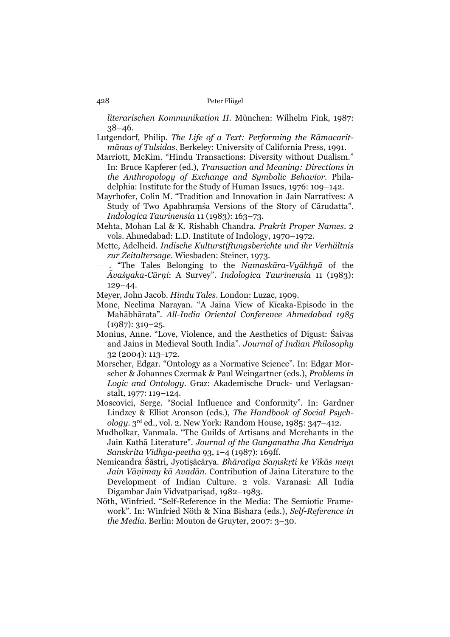*literarischen Kommunikation II*. München: Wilhelm Fink, 1987: 38–46.

- Lutgendorf, Philip. *The Life of a Text: Performing the Rāmacaritmānas of Tulsidas*. Berkeley: University of California Press, 1991.
- Marriott, McKim. "Hindu Transactions: Diversity without Dualism." In: Bruce Kapferer (ed.), *Transaction and Meaning: Directions in the Anthropology of Exchange and Symbolic Behavior*. Philadelphia: Institute for the Study of Human Issues, 1976: 109–142.
- Mayrhofer, Colin M. "Tradition and Innovation in Jain Narratives: A Study of Two Apabhraṃśa Versions of the Story of Cārudatta". *Indologica Taurinensia* 11 (1983): 163–73.
- Mehta, Mohan Lal & K. Rishabh Chandra. *Prakrit Proper Names*. 2 vols. Ahmedabad: L.D. Institute of Indology, 1970–1972.
- Mette, Adelheid. *Indische Kulturstiftungsberichte und ihr Verhältnis zur Zeitaltersage*. Wiesbaden: Steiner, 1973.
- –––. "The Tales Belonging to the *Namaskāra-Vyākhyā* of the *Āvaśyaka-Cūrṇi*: A Survey". *Indologica Taurinensia* 11 (1983): 129–44.
- Meyer, John Jacob. *Hindu Tales*. London: Luzac, 1909.
- Mone, Neelima Narayan. "A Jaina View of Kīcaka-Episode in the Mahābhārata". *All-India Oriental Conference Ahmedabad 1985*  $(1987): 319 - 25.$
- Monius, Anne. "Love, Violence, and the Aesthetics of Digust: Śaivas and Jains in Medieval South India". *Journal of Indian Philosophy* 32 (2004): 113–172.
- Morscher, Edgar. "Ontology as a Normative Science". In: Edgar Morscher & Johannes Czermak & Paul Weingartner (eds.), *Problems in Logic and Ontology*. Graz: Akademische Druck- und Verlagsanstalt, 1977: 119–124.
- Moscovici, Serge. "Social Influence and Conformity". In: Gardner Lindzey & Elliot Aronson (eds.), *The Handbook of Social Psychology*. 3rd ed., vol. 2. New York: Random House, 1985: 347–412.
- Mudholkar, Vanmala. "The Guilds of Artisans and Merchants in the Jain Kathā Literature". *Journal of the Ganganatha Jha Kendriya Sanskrita Vidhya-peetha* 93, 1–4 (1987): 169ff.
- Nemicandra Śāstri, Jyotiṣācārya. *Bhāratīya Saṃskṛti ke Vikās meṃ Jain Vāṇīmay kā Avadān*. Contribution of Jaina Literature to the Development of Indian Culture. 2 vols. Varanasi: All India Digambar Jain Vidvatpariṣad, 1982–1983.
- Nöth, Winfried. "Self-Reference in the Media: The Semiotic Framework". In: Winfried Nöth & Nina Bishara (eds.), *Self-Reference in the Media*. Berlin: Mouton de Gruyter, 2007: 3–30.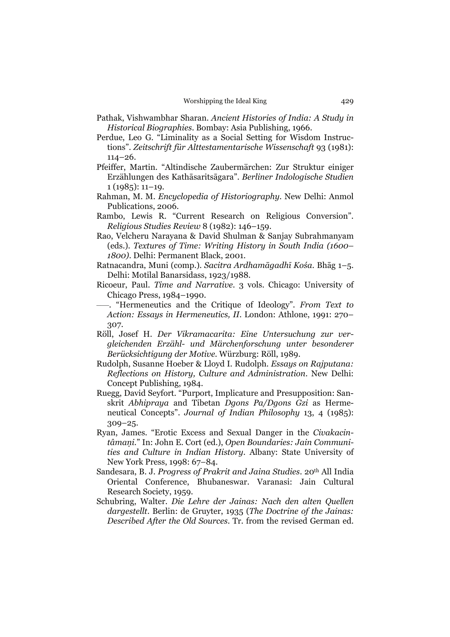- Pathak, Vishwambhar Sharan. *Ancient Histories of India: A Study in Historical Biographies*. Bombay: Asia Publishing, 1966.
- Perdue, Leo G. "Liminality as a Social Setting for Wisdom Instructions". *Zeitschrift für Alttestamentarische Wissenschaft* 93 (1981): 114–26.
- Pfeiffer, Martin. "Altindische Zaubermärchen: Zur Struktur einiger Erzählungen des Kathāsaritsāgara". *Berliner Indologische Studien*  $1(1985): 11-19.$
- Rahman, M. M. *Encyclopedia of Historiography*. New Delhi: Anmol Publications, 2006.
- Rambo, Lewis R. "Current Research on Religious Conversion". *Religious Studies Review* 8 (1982): 146–159.
- Rao, Velcheru Narayana & David Shulman & Sanjay Subrahmanyam (eds.). *Textures of Time: Writing History in South India (1600– 1800)*. Delhi: Permanent Black, 2001.
- Ratnacandra, Muni (comp.). *Sacitra Ardhamāgadhī Kośa*. Bhāg 1–5. Delhi: Motilal Banarsidass, 1923/1988.
- Ricoeur, Paul. *Time and Narrative*. 3 vols. Chicago: University of Chicago Press, 1984–1990.
- –––. "Hermeneutics and the Critique of Ideology". *From Text to Action: Essays in Hermeneutics, II*. London: Athlone, 1991: 270– 307.
- Röll, Josef H. *Der Vikramacarita: Eine Untersuchung zur vergleichenden Erzähl- und Märchenforschung unter besonderer Berücksichtigung der Motive*. Würzburg: Röll, 1989.
- Rudolph, Susanne Hoeber & Lloyd I. Rudolph. *Essays on Rajputana: Reflections on History, Culture and Administration*. New Delhi: Concept Publishing, 1984.
- Ruegg, David Seyfort. "Purport, Implicature and Presupposition: Sanskrit *Abhipraya* and Tibetan *Dgons Pa/Dgons Gzi* as Hermeneutical Concepts". *Journal of Indian Philosophy* 13, 4 (1985): 309–25.
- Ryan, James. "Erotic Excess and Sexual Danger in the *Civakacintâmaṇi*." In: John E. Cort (ed.), *Open Boundaries: Jain Communities and Culture in Indian History*. Albany: State University of New York Press, 1998: 67–84.
- Sandesara, B. J. *Progress of Prakrit and Jaina Studies*. 20<sup>th</sup> All India Oriental Conference, Bhubaneswar. Varanasi: Jain Cultural Research Society, 1959.
- Schubring, Walter. *Die Lehre der Jainas: Nach den alten Quellen dargestellt*. Berlin: de Gruyter, 1935 (*The Doctrine of the Jainas: Described After the Old Sources*. Tr. from the revised German ed.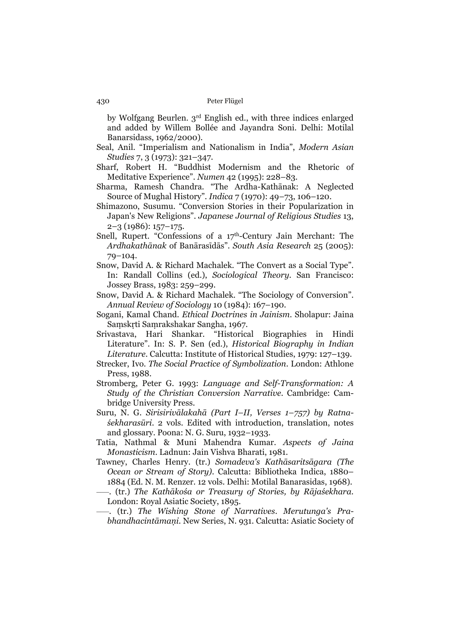by Wolfgang Beurlen. 3rd English ed., with three indices enlarged and added by Willem Bollée and Jayandra Soni. Delhi: Motilal Banarsidass, 1962/2000).

- Seal, Anil. "Imperialism and Nationalism in India", *Modern Asian Studies* 7, 3 (1973): 321–347.
- Sharf, Robert H. "Buddhist Modernism and the Rhetoric of Meditative Experience". *Numen* 42 (1995): 228–83.
- Sharma, Ramesh Chandra. "The Ardha-Kathānak: A Neglected Source of Mughal History". *Indica* 7 (1970): 49–73, 106–120.
- Shimazono, Susumu. "Conversion Stories in their Popularization in Japan's New Religions". *Japanese Journal of Religious Studies* 13, 2–3 (1986): 157–175.
- Snell, Rupert. "Confessions of a 17<sup>th</sup>-Century Jain Merchant: The *Ardhakathānak* of Banārasīdās". *South Asia Research* 25 (2005): 79–104.
- Snow, David A. & Richard Machalek. "The Convert as a Social Type". In: Randall Collins (ed.), *Sociological Theory*. San Francisco: Jossey Brass, 1983: 259–299.
- Snow, David A. & Richard Machalek. "The Sociology of Conversion". *Annual Review of Sociology* 10 (1984): 167–190.
- Sogani, Kamal Chand. *Ethical Doctrines in Jainism*. Sholapur: Jaina Saṃskṛti Saṃrakshakar Sangha, 1967.
- Srivastava, Hari Shankar. "Historical Biographies in Hindi Literature". In: S. P. Sen (ed.), *Historical Biography in Indian Literature*. Calcutta: Institute of Historical Studies, 1979: 127–139.
- Strecker, Ivo. *The Social Practice of Symbolization*. London: Athlone Press, 1988.
- Stromberg, Peter G. 1993: *Language and Self-Transformation: A Study of the Christian Conversion Narrative*. Cambridge: Cambridge University Press.
- Suru, N. G. *Sirisirivālakahā (Part I–II, Verses 1–757) by Ratnaśekharasūri*. 2 vols. Edited with introduction, translation, notes and glossary. Poona: N. G. Suru, 1932–1933.
- Tatia, Nathmal & Muni Mahendra Kumar. *Aspects of Jaina Monasticism*. Ladnun: Jain Vishva Bharati, 1981.
- Tawney, Charles Henry. (tr.) *Somadeva's Kathāsaritsāgara (The Ocean or Stream of Story)*. Calcutta: Bibliotheka Indica, 1880– 1884 (Ed. N. M. Renzer. 12 vols. Delhi: Motilal Banarasidas, 1968).
- –––. (tr.) *The Kathākośa or Treasury of Stories, by Rājaśekhara*. London: Royal Asiatic Society, 1895.

–––. (tr.) *The Wishing Stone of Narratives*. *Merutunga's Prabhandhacintāmaṇi*. New Series, N. 931. Calcutta: Asiatic Society of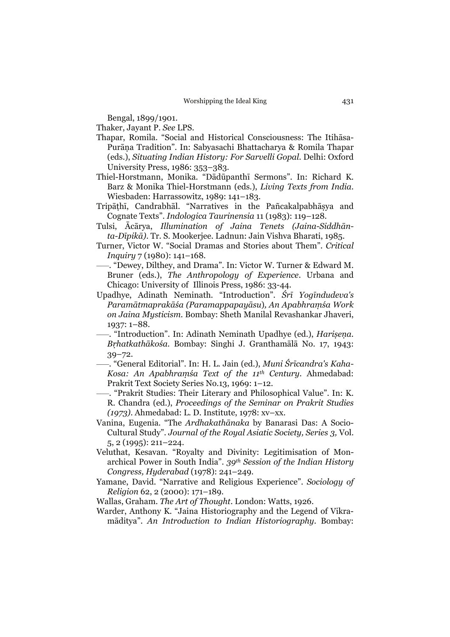Bengal, 1899/1901.

Thaker, Jayant P. *See* LPS.

- Thapar, Romila. "Social and Historical Consciousness: The Itihāsa-Purāṇa Tradition". In: Sabyasachi Bhattacharya & Romila Thapar (eds.), *Situating Indian History: For Sarvelli Gopal*. Delhi: Oxford University Press, 1986: 353–383.
- Thiel-Horstmann, Monika. "Dādūpanthī Sermons". In: Richard K. Barz & Monika Thiel-Horstmann (eds.), *Living Texts from India*. Wiesbaden: Harrassowitz, 1989: 141–183.
- Tripāṭhī, Candrabhāl. "Narratives in the Pañcakalpabhāṣya and Cognate Texts". *Indologica Taurinensia* 11 (1983): 119–128.
- Tulsi, Ācārya, *Illumination of Jaina Tenets (Jaina-Siddhānta-Dīpikā)*. Tr. S. Mookerjee. Ladnun: Jain Vishva Bharati, 1985.
- Turner, Victor W. "Social Dramas and Stories about Them". *Critical Inquiry* 7 (1980): 141–168*.*
- –––. "Dewey, Dilthey, and Drama". In: Victor W. Turner & Edward M. Bruner (eds.), *The Anthropology of Experience*. Urbana and Chicago: University of Illinois Press, 1986: 33-44.
- Upadhye, Adinath Neminath. "Introduction". *Śrī Yogīndudeva's Paramātmaprakāśa (Paramappapayāsu*)*, An Apabhraṃśa Work on Jaina Mysticism*. Bombay: Sheth Manilal Revashankar Jhaveri, 1937: 1–88.
- –––. "Introduction". In: Adinath Neminath Upadhye (ed.), *Hariṣeṇa. Bṛhatkathākośa*. Bombay: Singhi J. Granthamālā No. 17, 1943: 39–72.
- –––. "General Editorial". In: H. L. Jain (ed.), *Muni Śrīcandra's Kaha-Kosa: An Apabhraṃśa Text of the 11th Century*. Ahmedabad: Prakrit Text Society Series No.13, 1969: 1–12.
- –––. "Prakrit Studies: Their Literary and Philosophical Value". In: K. R. Chandra (ed.), *Proceedings of the Seminar on Prakrit Studies (1973)*. Ahmedabad: L. D. Institute, 1978: xv–xx.
- Vanina, Eugenia. "The *Ardhakathānaka* by Banarasi Das: A Socio-Cultural Study". *Journal of the Royal Asiatic Society, Series 3,* Vol. 5, 2 (1995): 211–224.
- Veluthat, Kesavan. "Royalty and Divinity: Legitimisation of Monarchical Power in South India". *39th Session of the Indian History Congress, Hyderabad* (1978): 241–249.
- Yamane, David. "Narrative and Religious Experience". *Sociology of Religion* 62, 2 (2000): 171–189.

Wallas, Graham. *The Art of Thought*. London: Watts, 1926.

Warder, Anthony K. "Jaina Historiography and the Legend of Vikramāditya". *An Introduction to Indian Historiography*. Bombay: